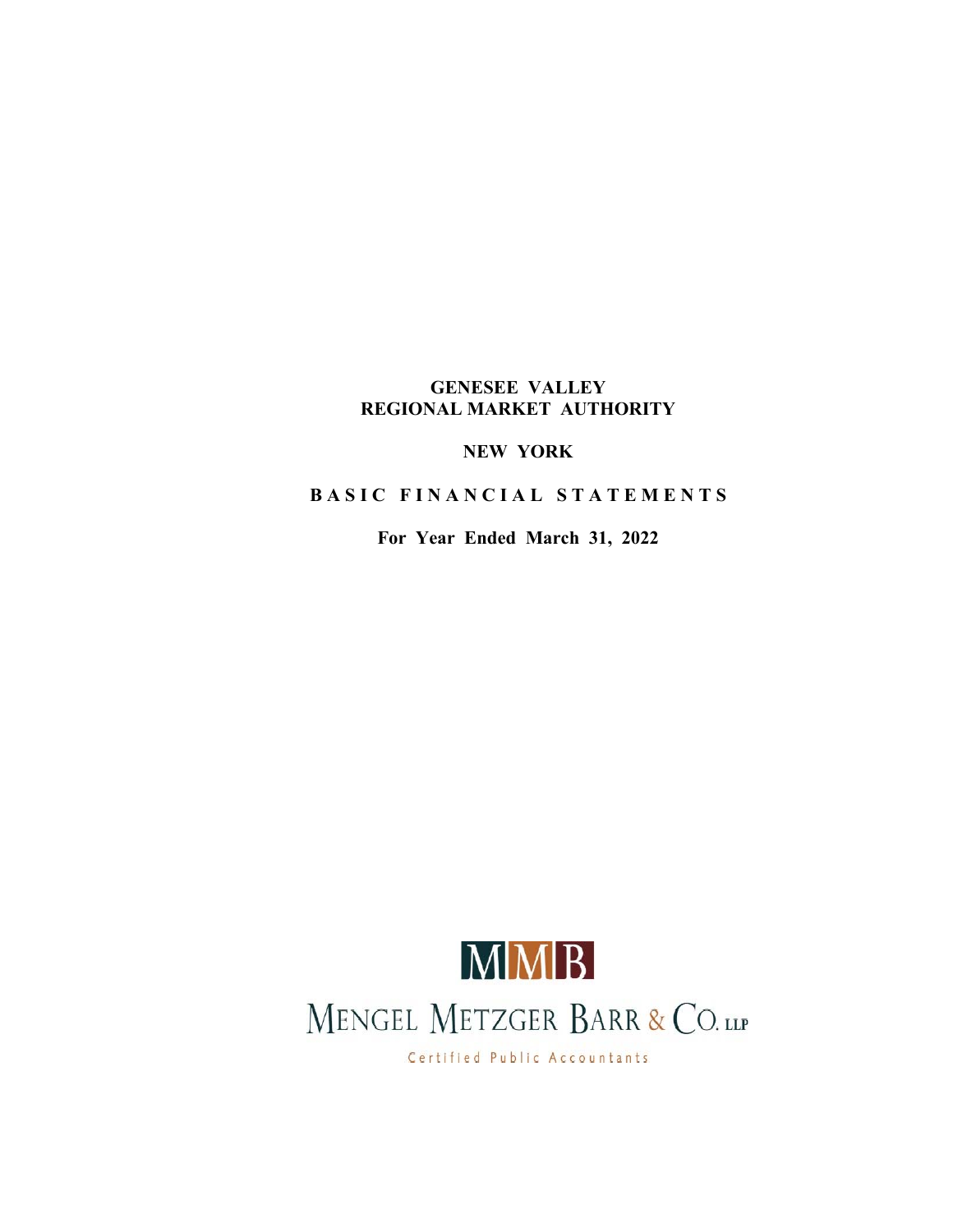# **GENESEE VALLEY REGIONAL MARKET AUTHORITY**

# **NEW YORK**

# **B A S I C F I N A N C I A L S T A T E M E N T S**

**For Year Ended March 31, 2022**

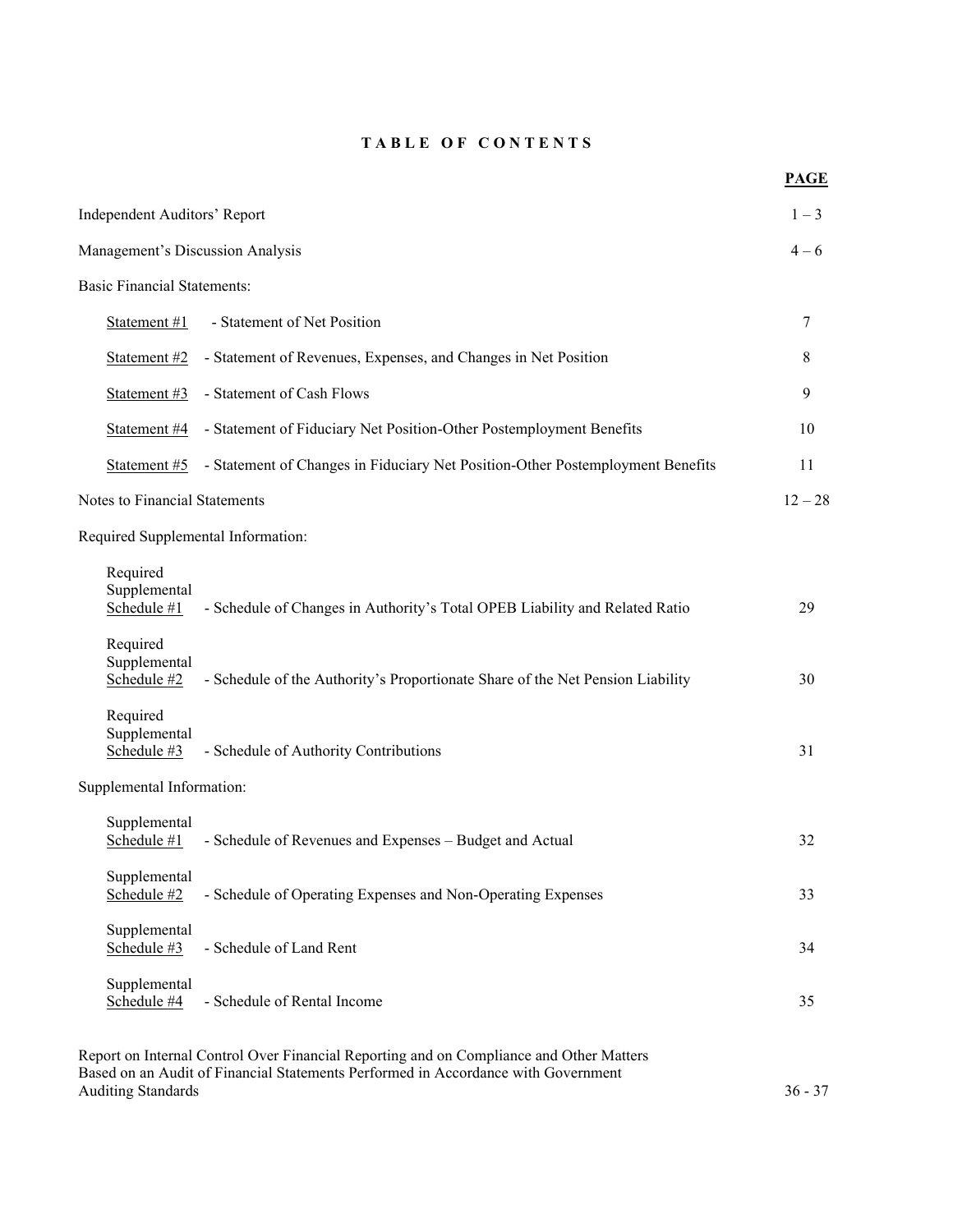# **T A B L E O F C O N T E N T S**

|                                           |                                                                                                                                                                              | <b>PAGE</b> |
|-------------------------------------------|------------------------------------------------------------------------------------------------------------------------------------------------------------------------------|-------------|
| Independent Auditors' Report              |                                                                                                                                                                              | $1 - 3$     |
| Management's Discussion Analysis          |                                                                                                                                                                              | $4 - 6$     |
| <b>Basic Financial Statements:</b>        |                                                                                                                                                                              |             |
| Statement #1                              | - Statement of Net Position                                                                                                                                                  | 7           |
| Statement #2                              | - Statement of Revenues, Expenses, and Changes in Net Position                                                                                                               | 8           |
| Statement $#3$                            | - Statement of Cash Flows                                                                                                                                                    | 9           |
| Statement #4                              | - Statement of Fiduciary Net Position-Other Postemployment Benefits                                                                                                          | 10          |
| Statement #5                              | - Statement of Changes in Fiduciary Net Position-Other Postemployment Benefits                                                                                               | 11          |
| Notes to Financial Statements             |                                                                                                                                                                              | $12 - 28$   |
| Required Supplemental Information:        |                                                                                                                                                                              |             |
| Required<br>Supplemental<br>Schedule #1   | - Schedule of Changes in Authority's Total OPEB Liability and Related Ratio                                                                                                  | 29          |
| Required<br>Supplemental<br>Schedule $#2$ | - Schedule of the Authority's Proportionate Share of the Net Pension Liability                                                                                               | 30          |
| Required<br>Supplemental<br>Schedule $#3$ | - Schedule of Authority Contributions                                                                                                                                        | 31          |
| Supplemental Information:                 |                                                                                                                                                                              |             |
| Supplemental<br>Schedule $#1$             | - Schedule of Revenues and Expenses - Budget and Actual                                                                                                                      | 32          |
| Supplemental<br>Schedule #2               | - Schedule of Operating Expenses and Non-Operating Expenses                                                                                                                  | 33          |
| Supplemental<br>Schedule #3               | - Schedule of Land Rent                                                                                                                                                      | 34          |
| Supplemental<br>Schedule #4               | - Schedule of Rental Income                                                                                                                                                  | 35          |
|                                           | Report on Internal Control Over Financial Reporting and on Compliance and Other Matters<br>Based on an Audit of Financial Statements Performed in Accordance with Government |             |

Auditing Standards 36 - 37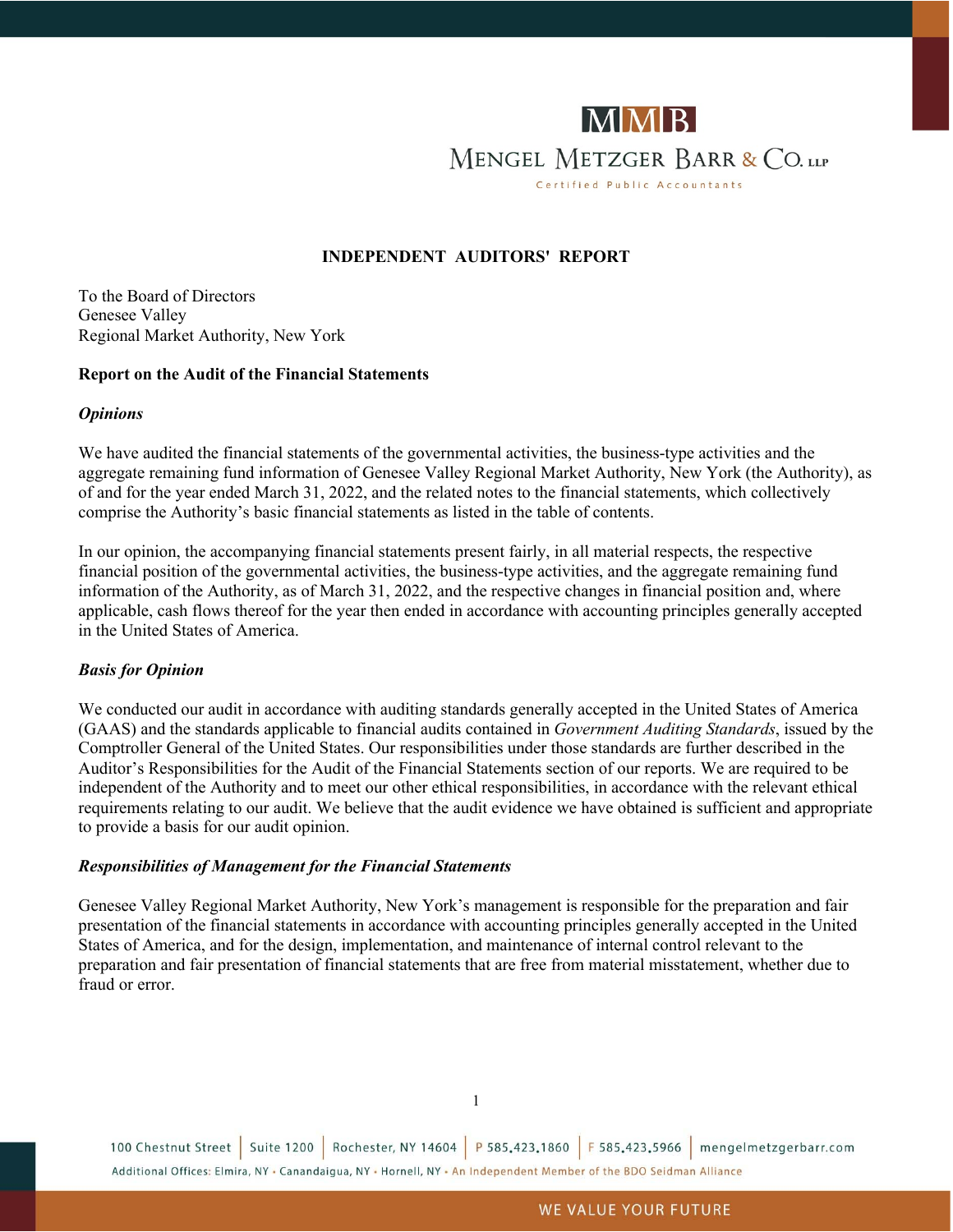

# **INDEPENDENT AUDITORS' REPORT**

To the Board of Directors Genesee Valley Regional Market Authority, New York

#### **Report on the Audit of the Financial Statements**

#### *Opinions*

We have audited the financial statements of the governmental activities, the business-type activities and the aggregate remaining fund information of Genesee Valley Regional Market Authority, New York (the Authority), as of and for the year ended March 31, 2022, and the related notes to the financial statements, which collectively comprise the Authority's basic financial statements as listed in the table of contents.

In our opinion, the accompanying financial statements present fairly, in all material respects, the respective financial position of the governmental activities, the business-type activities, and the aggregate remaining fund information of the Authority, as of March 31, 2022, and the respective changes in financial position and, where applicable, cash flows thereof for the year then ended in accordance with accounting principles generally accepted in the United States of America.

#### *Basis for Opinion*

We conducted our audit in accordance with auditing standards generally accepted in the United States of America (GAAS) and the standards applicable to financial audits contained in *Government Auditing Standards*, issued by the Comptroller General of the United States. Our responsibilities under those standards are further described in the Auditor's Responsibilities for the Audit of the Financial Statements section of our reports. We are required to be independent of the Authority and to meet our other ethical responsibilities, in accordance with the relevant ethical requirements relating to our audit. We believe that the audit evidence we have obtained is sufficient and appropriate to provide a basis for our audit opinion.

#### *Responsibilities of Management for the Financial Statements*

Genesee Valley Regional Market Authority, New York's management is responsible for the preparation and fair presentation of the financial statements in accordance with accounting principles generally accepted in the United States of America, and for the design, implementation, and maintenance of internal control relevant to the preparation and fair presentation of financial statements that are free from material misstatement, whether due to fraud or error.

100 Chestnut Street | Suite 1200 | Rochester, NY 14604 | P 585.423.1860 | F 585.423.5966 | mengelmetzgerbarr.com Additional Offices: Elmira, NY . Canandaigua, NY . Hornell, NY . An Independent Member of the BDO Seidman Alliance

1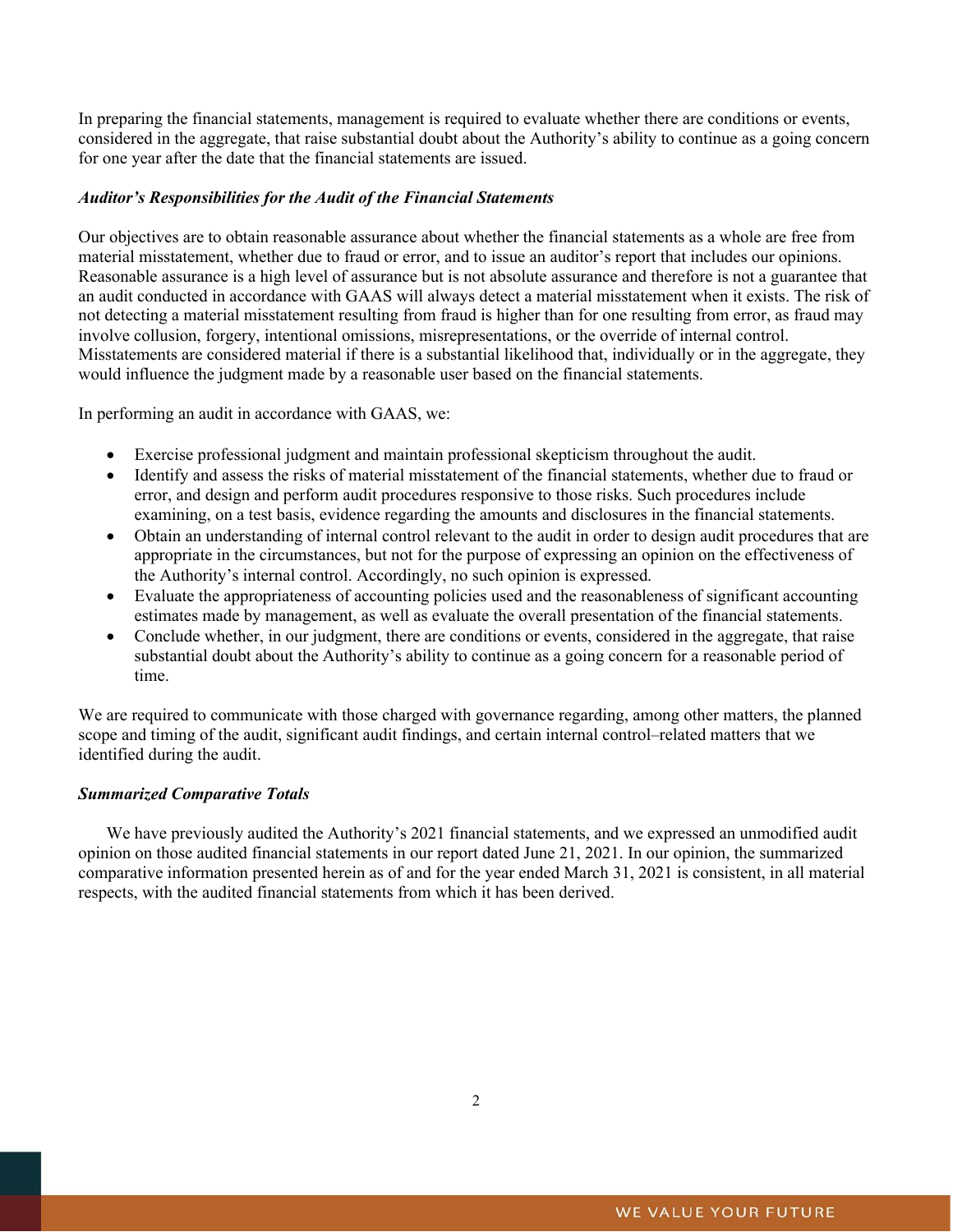In preparing the financial statements, management is required to evaluate whether there are conditions or events, considered in the aggregate, that raise substantial doubt about the Authority's ability to continue as a going concern for one year after the date that the financial statements are issued.

# *Auditor's Responsibilities for the Audit of the Financial Statements*

Our objectives are to obtain reasonable assurance about whether the financial statements as a whole are free from material misstatement, whether due to fraud or error, and to issue an auditor's report that includes our opinions. Reasonable assurance is a high level of assurance but is not absolute assurance and therefore is not a guarantee that an audit conducted in accordance with GAAS will always detect a material misstatement when it exists. The risk of not detecting a material misstatement resulting from fraud is higher than for one resulting from error, as fraud may involve collusion, forgery, intentional omissions, misrepresentations, or the override of internal control. Misstatements are considered material if there is a substantial likelihood that, individually or in the aggregate, they would influence the judgment made by a reasonable user based on the financial statements.

In performing an audit in accordance with GAAS, we:

- Exercise professional judgment and maintain professional skepticism throughout the audit.
- Identify and assess the risks of material misstatement of the financial statements, whether due to fraud or error, and design and perform audit procedures responsive to those risks. Such procedures include examining, on a test basis, evidence regarding the amounts and disclosures in the financial statements.
- Obtain an understanding of internal control relevant to the audit in order to design audit procedures that are appropriate in the circumstances, but not for the purpose of expressing an opinion on the effectiveness of the Authority's internal control. Accordingly, no such opinion is expressed.
- Evaluate the appropriateness of accounting policies used and the reasonableness of significant accounting estimates made by management, as well as evaluate the overall presentation of the financial statements.
- Conclude whether, in our judgment, there are conditions or events, considered in the aggregate, that raise substantial doubt about the Authority's ability to continue as a going concern for a reasonable period of time.

We are required to communicate with those charged with governance regarding, among other matters, the planned scope and timing of the audit, significant audit findings, and certain internal control–related matters that we identified during the audit.

#### *Summarized Comparative Totals*

We have previously audited the Authority's 2021 financial statements, and we expressed an unmodified audit opinion on those audited financial statements in our report dated June 21, 2021. In our opinion, the summarized comparative information presented herein as of and for the year ended March 31, 2021 is consistent, in all material respects, with the audited financial statements from which it has been derived.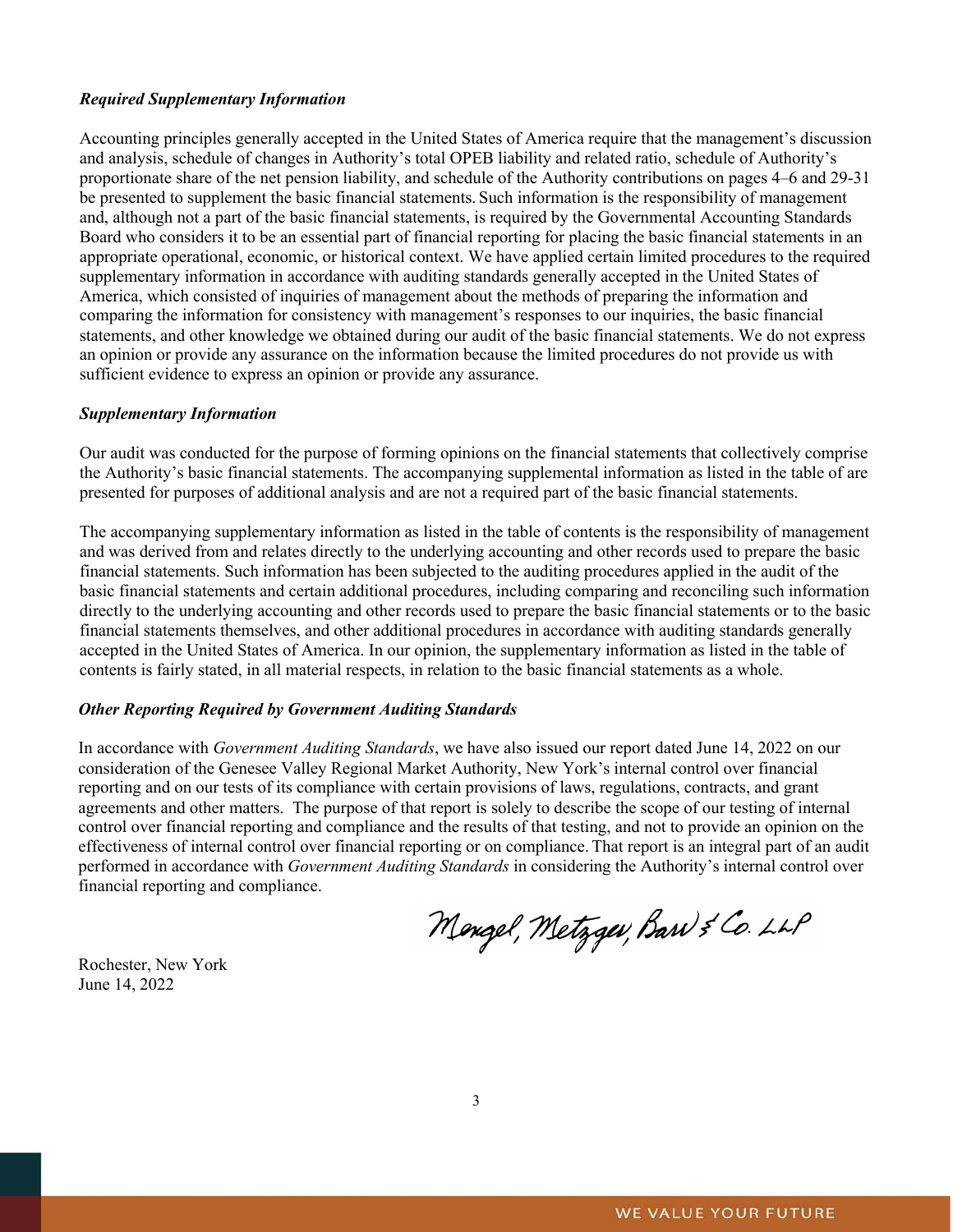### *Required Supplementary Information*

Accounting principles generally accepted in the United States of America require that the management's discussion and analysis, schedule of changes in Authority's total OPEB liability and related ratio, schedule of Authority's proportionate share of the net pension liability, and schedule of the Authority contributions on pages 4–6 and 29-31 be presented to supplement the basic financial statements. Such information is the responsibility of management and, although not a part of the basic financial statements, is required by the Governmental Accounting Standards Board who considers it to be an essential part of financial reporting for placing the basic financial statements in an appropriate operational, economic, or historical context. We have applied certain limited procedures to the required supplementary information in accordance with auditing standards generally accepted in the United States of America, which consisted of inquiries of management about the methods of preparing the information and comparing the information for consistency with management's responses to our inquiries, the basic financial statements, and other knowledge we obtained during our audit of the basic financial statements. We do not express an opinion or provide any assurance on the information because the limited procedures do not provide us with sufficient evidence to express an opinion or provide any assurance.

#### *Supplementary Information*

Our audit was conducted for the purpose of forming opinions on the financial statements that collectively comprise the Authority's basic financial statements. The accompanying supplemental information as listed in the table of are presented for purposes of additional analysis and are not a required part of the basic financial statements.

The accompanying supplementary information as listed in the table of contents is the responsibility of management and was derived from and relates directly to the underlying accounting and other records used to prepare the basic financial statements. Such information has been subjected to the auditing procedures applied in the audit of the basic financial statements and certain additional procedures, including comparing and reconciling such information directly to the underlying accounting and other records used to prepare the basic financial statements or to the basic financial statements themselves, and other additional procedures in accordance with auditing standards generally accepted in the United States of America. In our opinion, the supplementary information as listed in the table of contents is fairly stated, in all material respects, in relation to the basic financial statements as a whole.

#### *Other Reporting Required by Government Auditing Standards*

In accordance with *Government Auditing Standards*, we have also issued our report dated June 14, 2022 on our consideration of the Genesee Valley Regional Market Authority, New York's internal control over financial reporting and on our tests of its compliance with certain provisions of laws, regulations, contracts, and grant agreements and other matters. The purpose of that report is solely to describe the scope of our testing of internal control over financial reporting and compliance and the results of that testing, and not to provide an opinion on the effectiveness of internal control over financial reporting or on compliance. That report is an integral part of an audit performed in accordance with *Government Auditing Standards* in considering the Authority's internal control over financial reporting and compliance.

Mongel, Metzger, Barr) & Co. LLP

Rochester, New York June 14, 2022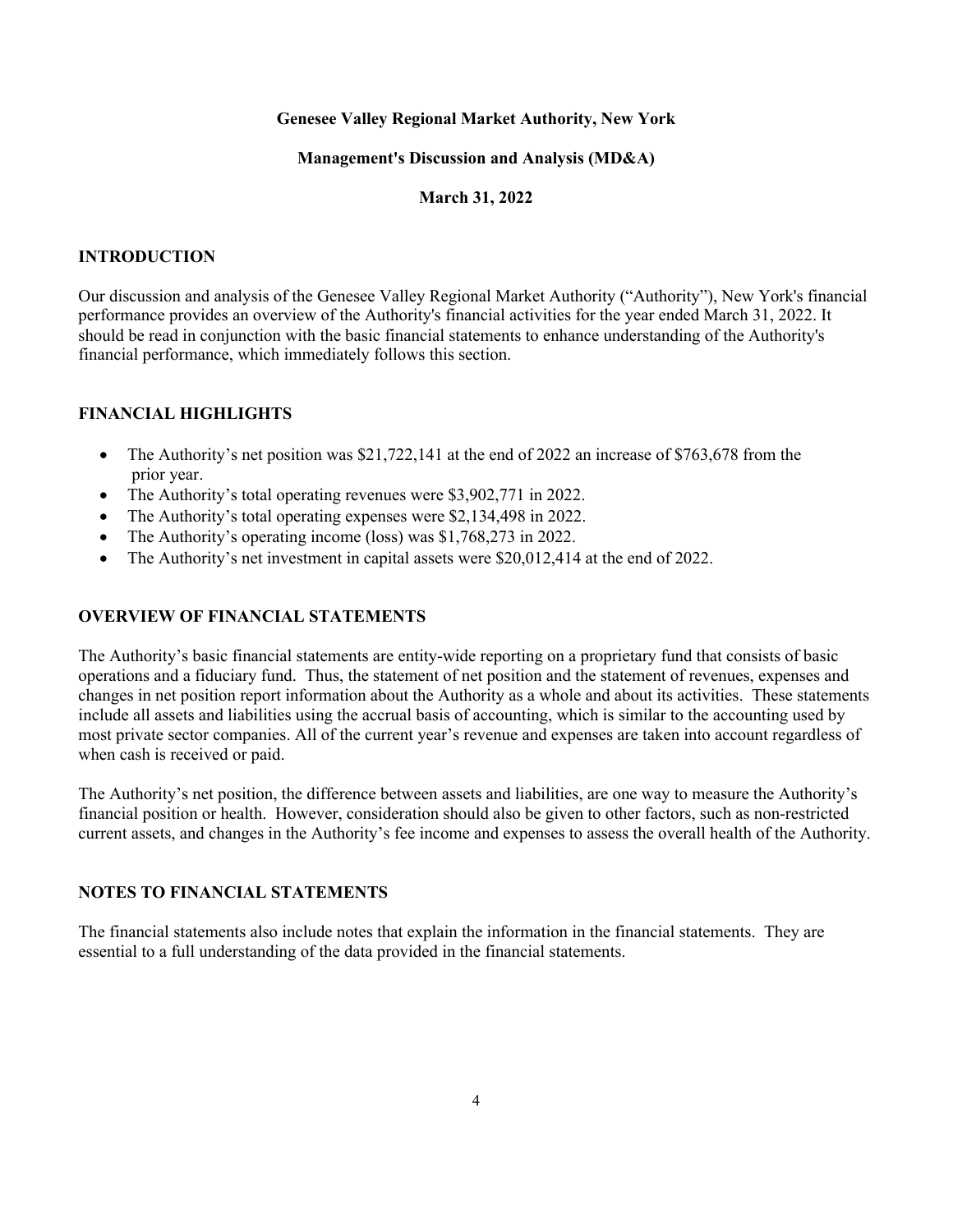#### **Genesee Valley Regional Market Authority, New York**

### **Management's Discussion and Analysis (MD&A)**

### **March 31, 2022**

# **INTRODUCTION**

Our discussion and analysis of the Genesee Valley Regional Market Authority ("Authority"), New York's financial performance provides an overview of the Authority's financial activities for the year ended March 31, 2022. It should be read in conjunction with the basic financial statements to enhance understanding of the Authority's financial performance, which immediately follows this section.

## **FINANCIAL HIGHLIGHTS**

- The Authority's net position was \$21,722,141 at the end of 2022 an increase of \$763,678 from the prior year.
- The Authority's total operating revenues were \$3,902,771 in 2022.
- The Authority's total operating expenses were \$2,134,498 in 2022.
- The Authority's operating income (loss) was \$1,768,273 in 2022.
- The Authority's net investment in capital assets were \$20,012,414 at the end of 2022.

### **OVERVIEW OF FINANCIAL STATEMENTS**

The Authority's basic financial statements are entity-wide reporting on a proprietary fund that consists of basic operations and a fiduciary fund. Thus, the statement of net position and the statement of revenues, expenses and changes in net position report information about the Authority as a whole and about its activities. These statements include all assets and liabilities using the accrual basis of accounting, which is similar to the accounting used by most private sector companies. All of the current year's revenue and expenses are taken into account regardless of when cash is received or paid.

The Authority's net position, the difference between assets and liabilities, are one way to measure the Authority's financial position or health. However, consideration should also be given to other factors, such as non-restricted current assets, and changes in the Authority's fee income and expenses to assess the overall health of the Authority.

# **NOTES TO FINANCIAL STATEMENTS**

The financial statements also include notes that explain the information in the financial statements. They are essential to a full understanding of the data provided in the financial statements.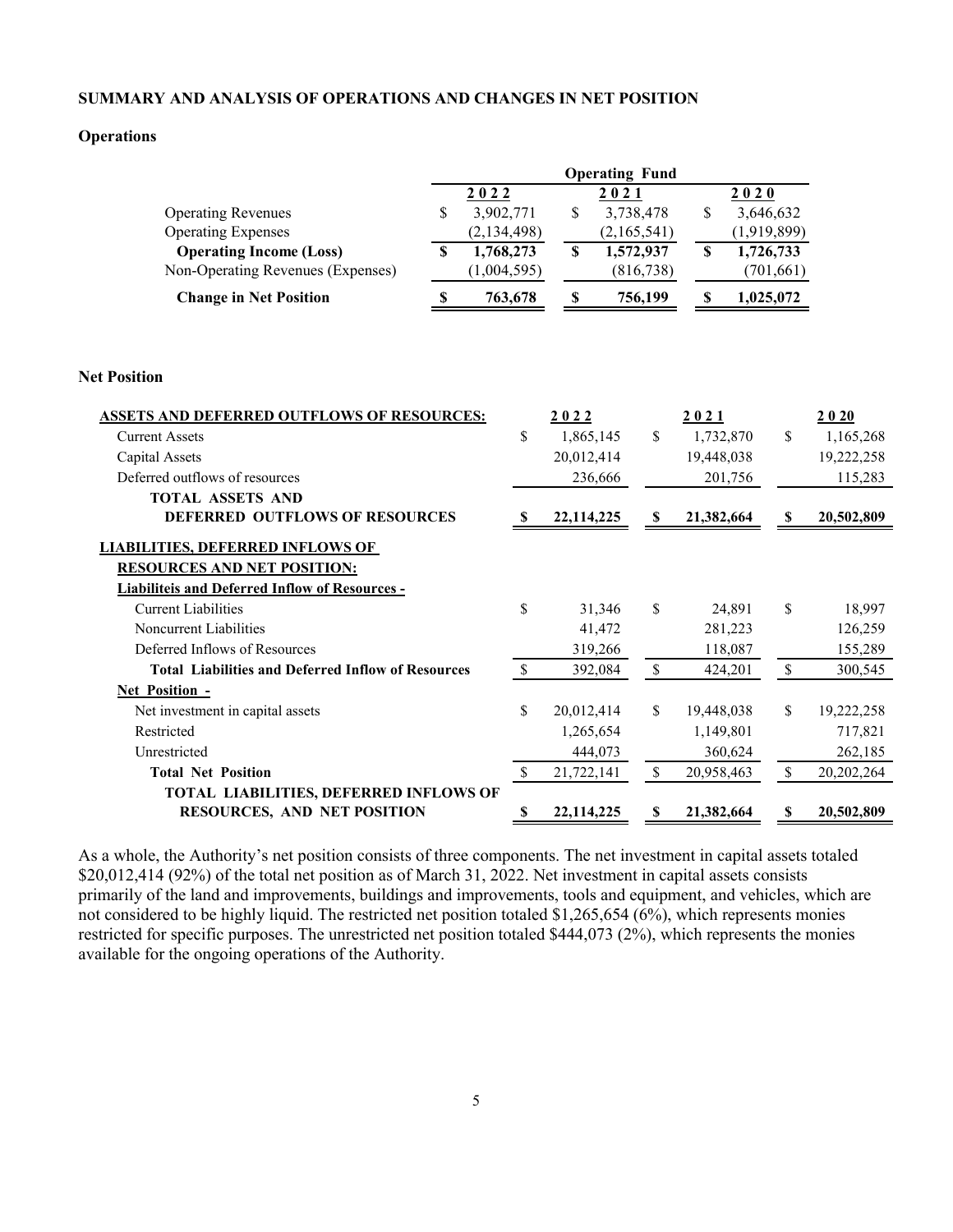# **SUMMARY AND ANALYSIS OF OPERATIONS AND CHANGES IN NET POSITION**

#### **Operations**

|                                   | <b>Operating Fund</b> |               |    |             |      |             |  |
|-----------------------------------|-----------------------|---------------|----|-------------|------|-------------|--|
|                                   | 2022<br>2021          |               |    |             | 2020 |             |  |
| <b>Operating Revenues</b>         | S                     | 3,902,771     |    | 3,738,478   |      | 3,646,632   |  |
| <b>Operating Expenses</b>         |                       | (2, 134, 498) |    | (2,165,541) |      | (1,919,899) |  |
| <b>Operating Income (Loss)</b>    | S                     | 1,768,273     | \$ | 1,572,937   |      | 1,726,733   |  |
| Non-Operating Revenues (Expenses) |                       | (1,004,595)   |    | (816, 738)  |      | (701,661)   |  |
| <b>Change in Net Position</b>     | S                     | 763,678       | S  | 756,199     |      | 1,025,072   |  |

# **Net Position**

| <b>ASSETS AND DEFERRED OUTFLOWS OF RESOURCES:</b>         |    | 2022         |               | 2021       |     | 2020         |
|-----------------------------------------------------------|----|--------------|---------------|------------|-----|--------------|
| <b>Current Assets</b>                                     | \$ | 1,865,145    | \$            | 1,732,870  | \$  | 1,165,268    |
| <b>Capital Assets</b>                                     |    | 20,012,414   |               | 19,448,038 |     | 19,222,258   |
| Deferred outflows of resources                            |    | 236,666      |               | 201,756    |     | 115,283      |
| <b>TOTAL ASSETS AND</b>                                   |    |              |               |            |     |              |
| <b>DEFERRED OUTFLOWS OF RESOURCES</b>                     | S  | 22, 114, 225 | S             | 21,382,664 | S   | 20,502,809   |
| <u>LIABILITIES, DEFERRED INFLOWS OF</u>                   |    |              |               |            |     |              |
| <b>RESOURCES AND NET POSITION:</b>                        |    |              |               |            |     |              |
| <b>Liabiliteis and Deferred Inflow of Resources -</b>     |    |              |               |            |     |              |
| <b>Current Liabilities</b>                                | \$ | 31,346       | <sup>\$</sup> | 24,891     | S.  | 18,997       |
| Noncurrent Liabilities                                    |    | 41,472       |               | 281,223    |     | 126,259      |
| Deferred Inflows of Resources                             |    | 319,266      |               | 118,087    |     | 155,289      |
| <b>Total Liabilities and Deferred Inflow of Resources</b> | \$ | 392,084      | \$            | 424,201    | \$  | 300,545      |
| Net Position -                                            |    |              |               |            |     |              |
| Net investment in capital assets                          | \$ | 20,012,414   | \$            | 19,448,038 | \$. | 19,222,258   |
| Restricted                                                |    | 1,265,654    |               | 1,149,801  |     | 717,821      |
| Unrestricted                                              |    | 444,073      |               | 360,624    |     | 262,185      |
| <b>Total Net Position</b>                                 | \$ | 21,722,141   | \$            | 20,958,463 | S   | 20, 202, 264 |
| TOTAL LIABILITIES, DEFERRED INFLOWS OF                    |    |              |               |            |     |              |
| RESOURCES, AND NET POSITION                               | \$ | 22, 114, 225 | S             | 21,382,664 | S   | 20,502,809   |

As a whole, the Authority's net position consists of three components. The net investment in capital assets totaled \$20,012,414 (92%) of the total net position as of March 31, 2022. Net investment in capital assets consists primarily of the land and improvements, buildings and improvements, tools and equipment, and vehicles, which are not considered to be highly liquid. The restricted net position totaled \$1,265,654 (6%), which represents monies restricted for specific purposes. The unrestricted net position totaled \$444,073 (2%), which represents the monies available for the ongoing operations of the Authority.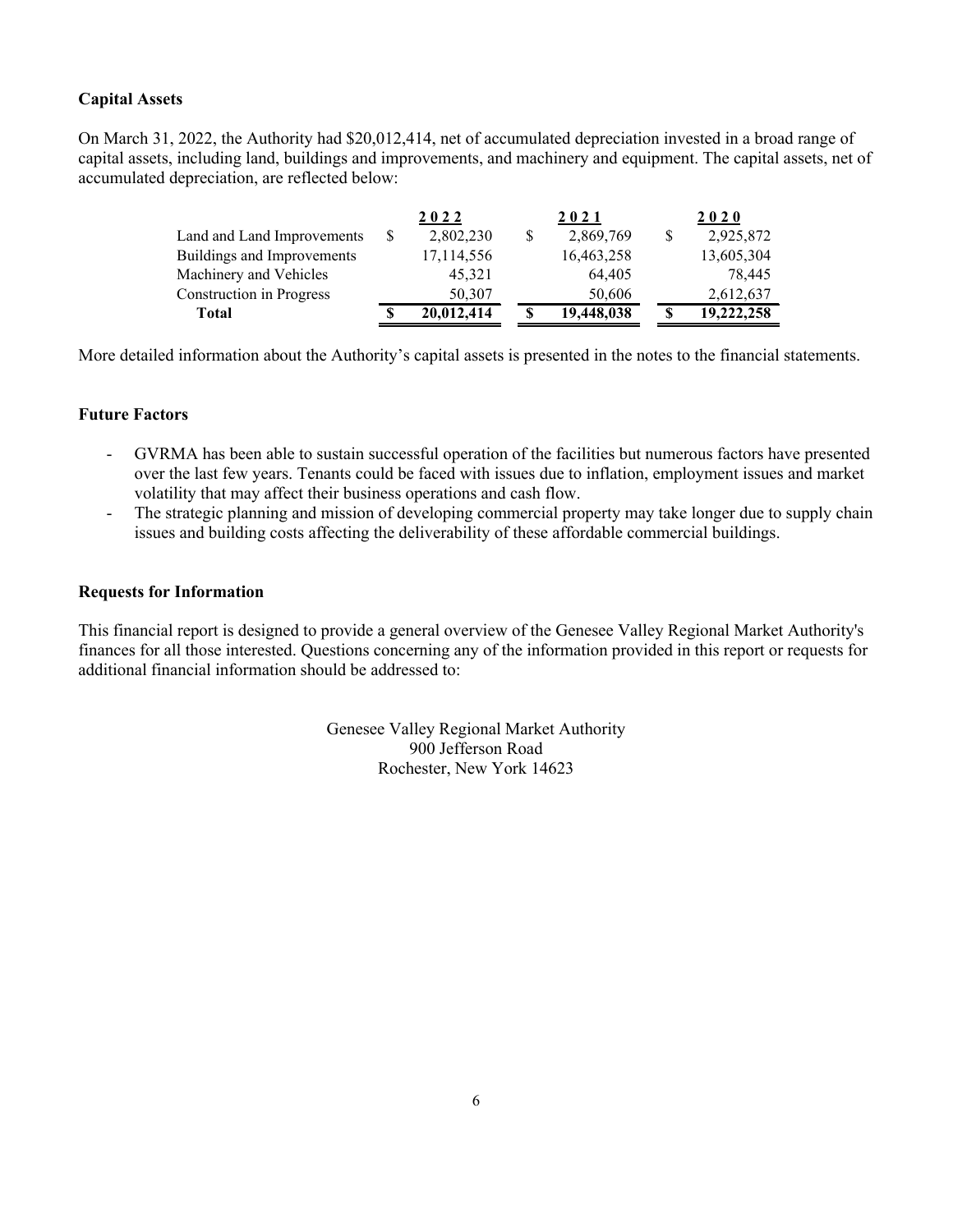# **Capital Assets**

On March 31, 2022, the Authority had \$20,012,414, net of accumulated depreciation invested in a broad range of capital assets, including land, buildings and improvements, and machinery and equipment. The capital assets, net of accumulated depreciation, are reflected below:

|                                 |  | 2022       | 2021             |  | 2020       |
|---------------------------------|--|------------|------------------|--|------------|
| Land and Land Improvements      |  | 2,802,230  | \$<br>2,869,769  |  | 2,925,872  |
| Buildings and Improvements      |  | 17,114,556 | 16,463,258       |  | 13,605,304 |
| Machinery and Vehicles          |  | 45,321     | 64,405           |  | 78,445     |
| <b>Construction in Progress</b> |  | 50,307     | 50,606           |  | 2,612,637  |
| Total                           |  | 20,012,414 | \$<br>19,448,038 |  | 19,222,258 |

More detailed information about the Authority's capital assets is presented in the notes to the financial statements.

# **Future Factors**

- GVRMA has been able to sustain successful operation of the facilities but numerous factors have presented over the last few years. Tenants could be faced with issues due to inflation, employment issues and market volatility that may affect their business operations and cash flow.
- The strategic planning and mission of developing commercial property may take longer due to supply chain issues and building costs affecting the deliverability of these affordable commercial buildings.

# **Requests for Information**

This financial report is designed to provide a general overview of the Genesee Valley Regional Market Authority's finances for all those interested. Questions concerning any of the information provided in this report or requests for additional financial information should be addressed to:

> Genesee Valley Regional Market Authority 900 Jefferson Road Rochester, New York 14623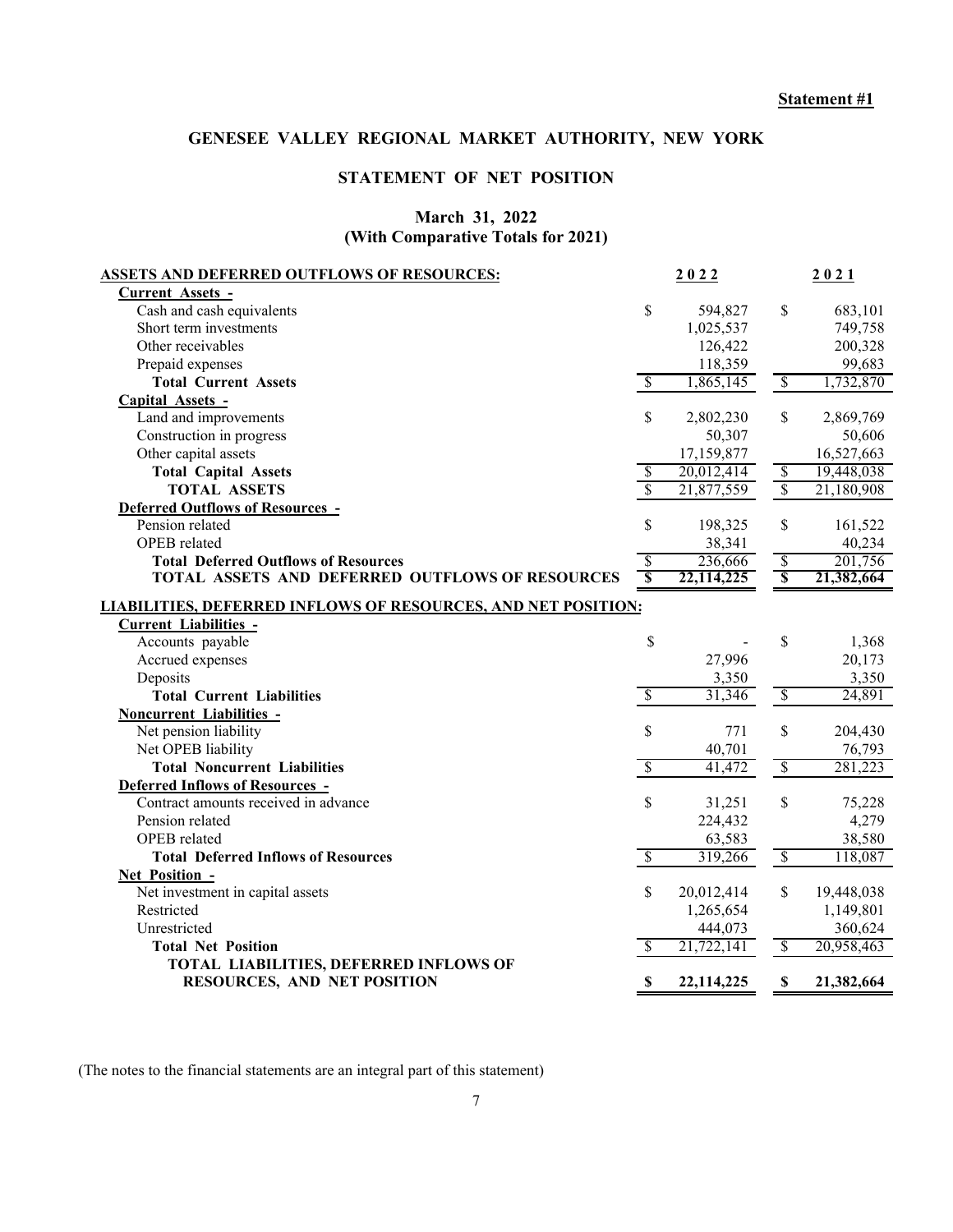# **STATEMENT OF NET POSITION**

# **March 31, 2022 (With Comparative Totals for 2021)**

| <b>ASSETS AND DEFERRED OUTFLOWS OF RESOURCES:</b>                    |                          | 2022         |                           | 2021       |
|----------------------------------------------------------------------|--------------------------|--------------|---------------------------|------------|
| <b>Current Assets -</b>                                              |                          |              |                           |            |
| Cash and cash equivalents                                            | \$                       | 594,827      | \$                        | 683,101    |
| Short term investments                                               |                          | 1,025,537    |                           | 749,758    |
| Other receivables                                                    |                          | 126,422      |                           | 200,328    |
| Prepaid expenses                                                     |                          | 118,359      |                           | 99,683     |
| <b>Total Current Assets</b>                                          | $\overline{\mathcal{S}}$ | 1,865,145    | $\sqrt{\frac{2}{\pi}}$    | 1,732,870  |
| Capital Assets -                                                     |                          |              |                           |            |
| Land and improvements                                                | \$                       | 2,802,230    | \$                        | 2,869,769  |
| Construction in progress                                             |                          | 50,307       |                           | 50,606     |
| Other capital assets                                                 |                          | 17,159,877   |                           | 16,527,663 |
| <b>Total Capital Assets</b>                                          | $\overline{\mathcal{S}}$ | 20,012,414   | $\overline{\mathcal{S}}$  | 19,448,038 |
| <b>TOTAL ASSETS</b>                                                  | $\overline{\mathcal{S}}$ | 21,877,559   | $\sqrt{\frac{2}{\pi}}$    | 21,180,908 |
| <b>Deferred Outflows of Resources -</b>                              |                          |              |                           |            |
| Pension related                                                      | \$                       | 198,325      | \$                        | 161,522    |
| OPEB related                                                         |                          | 38,341       |                           | 40,234     |
| <b>Total Deferred Outflows of Resources</b>                          | $\overline{\mathcal{S}}$ | 236,666      | $\overline{\mathcal{S}}$  | 201,756    |
| TOTAL ASSETS AND DEFERRED OUTFLOWS OF RESOURCES                      | $\overline{\mathcal{S}}$ | 22, 114, 225 | $\overline{\mathbb{S}}$   | 21,382,664 |
| <b>LIABILITIES, DEFERRED INFLOWS OF RESOURCES, AND NET POSITION:</b> |                          |              |                           |            |
| <b>Current Liabilities -</b>                                         |                          |              |                           |            |
| Accounts payable                                                     | \$                       |              | \$                        | 1,368      |
| Accrued expenses                                                     |                          | 27,996       |                           | 20,173     |
| Deposits                                                             |                          | 3,350        |                           | 3,350      |
| <b>Total Current Liabilities</b>                                     | $\overline{\mathcal{S}}$ | 31,346       | -S                        | 24,891     |
| Noncurrent Liabilities -                                             |                          |              |                           |            |
| Net pension liability                                                | \$                       | 771          | \$                        | 204,430    |
| Net OPEB liability                                                   |                          | 40,701       |                           | 76,793     |
| <b>Total Noncurrent Liabilities</b>                                  | $\sqrt{3}$               | 41,472       | $\sqrt{3}$                | 281,223    |
| <b>Deferred Inflows of Resources -</b>                               |                          |              |                           |            |
| Contract amounts received in advance                                 | \$                       | 31,251       | \$                        | 75,228     |
| Pension related                                                      |                          | 224,432      |                           | 4,279      |
| OPEB related                                                         |                          | 63,583       |                           | 38,580     |
| <b>Total Deferred Inflows of Resources</b>                           | $\overline{\mathcal{S}}$ | 319,266      | $\sqrt{2}$                | 118,087    |
| Net Position -                                                       |                          |              |                           |            |
| Net investment in capital assets                                     | \$                       | 20,012,414   | \$                        | 19,448,038 |
| Restricted                                                           |                          | 1,265,654    |                           | 1,149,801  |
| Unrestricted                                                         |                          | 444,073      |                           | 360,624    |
| <b>Total Net Position</b>                                            | $\overline{\mathcal{S}}$ | 21,722,141   | $\overline{\mathcal{S}}$  | 20,958,463 |
| TOTAL LIABILITIES, DEFERRED INFLOWS OF                               |                          |              |                           |            |
| <b>RESOURCES, AND NET POSITION</b>                                   | \$                       | 22,114,225   | $\boldsymbol{\mathsf{S}}$ | 21,382,664 |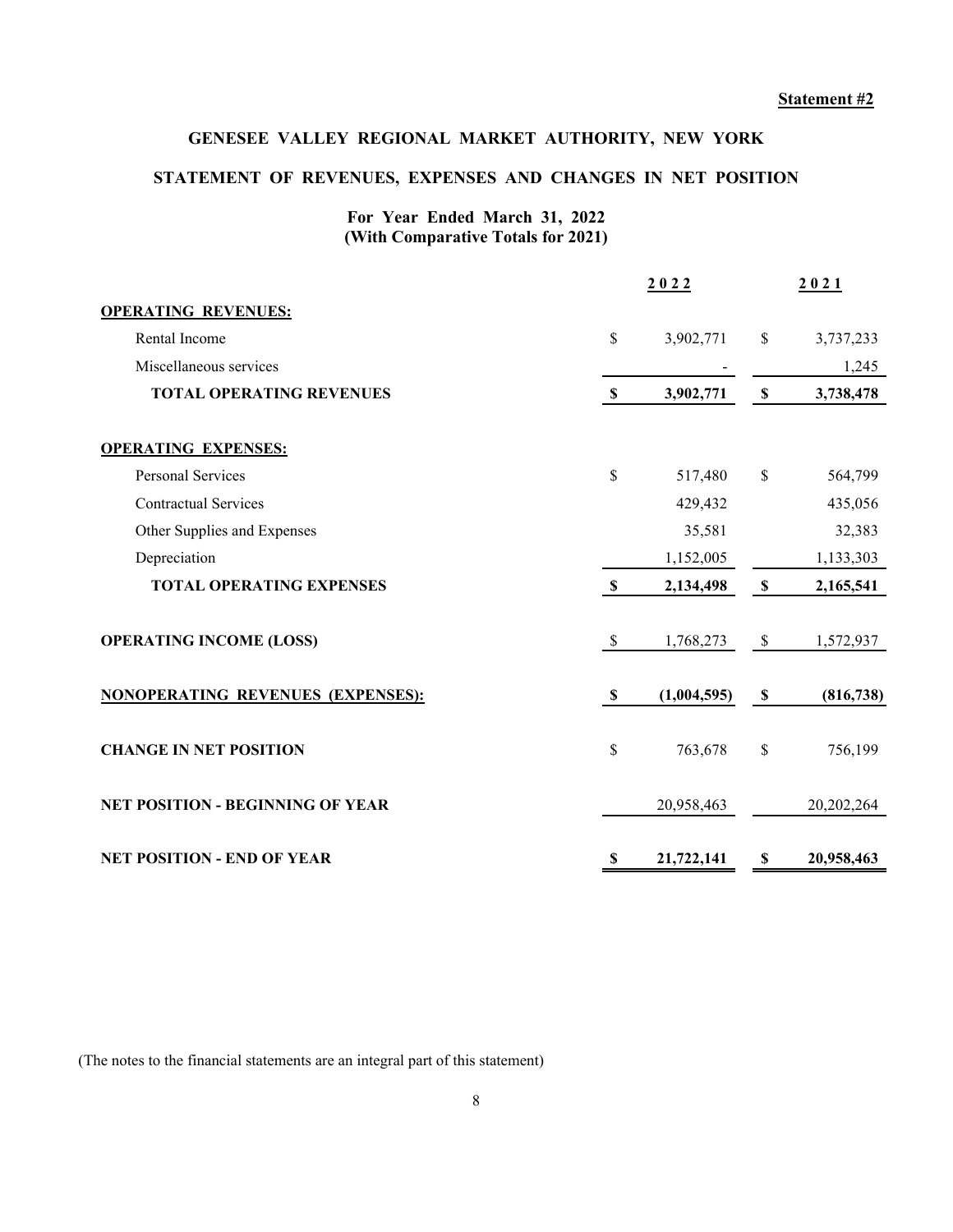# **STATEMENT OF REVENUES, EXPENSES AND CHANGES IN NET POSITION**

|  | For Year Ended March 31, 2022      |  |
|--|------------------------------------|--|
|  | (With Comparative Totals for 2021) |  |

|                                          |                           | 2022        |                           | 2021       |
|------------------------------------------|---------------------------|-------------|---------------------------|------------|
| <b>OPERATING REVENUES:</b>               |                           |             |                           |            |
| Rental Income                            | \$                        | 3,902,771   | \$                        | 3,737,233  |
| Miscellaneous services                   |                           |             |                           | 1,245      |
| <b>TOTAL OPERATING REVENUES</b>          | $\mathbf S$               | 3,902,771   | $\mathbf s$               | 3,738,478  |
| <b>OPERATING EXPENSES:</b>               |                           |             |                           |            |
| <b>Personal Services</b>                 | \$                        | 517,480     | \$                        | 564,799    |
| <b>Contractual Services</b>              |                           | 429,432     |                           | 435,056    |
| Other Supplies and Expenses              |                           | 35,581      |                           | 32,383     |
| Depreciation                             |                           | 1,152,005   |                           | 1,133,303  |
| <b>TOTAL OPERATING EXPENSES</b>          | $\mathbf S$               | 2,134,498   | $\mathbf{\$}$             | 2,165,541  |
| <b>OPERATING INCOME (LOSS)</b>           | $\boldsymbol{\mathsf{S}}$ | 1,768,273   | $\mathbb{S}$              | 1,572,937  |
| <b>NONOPERATING REVENUES (EXPENSES):</b> | $\mathbf{s}$              | (1,004,595) | $\boldsymbol{\mathsf{s}}$ | (816, 738) |
| <b>CHANGE IN NET POSITION</b>            | \$                        | 763,678     | \$                        | 756,199    |
| <b>NET POSITION - BEGINNING OF YEAR</b>  |                           | 20,958,463  |                           | 20,202,264 |
| <b>NET POSITION - END OF YEAR</b>        | S                         | 21,722,141  | -S                        | 20,958,463 |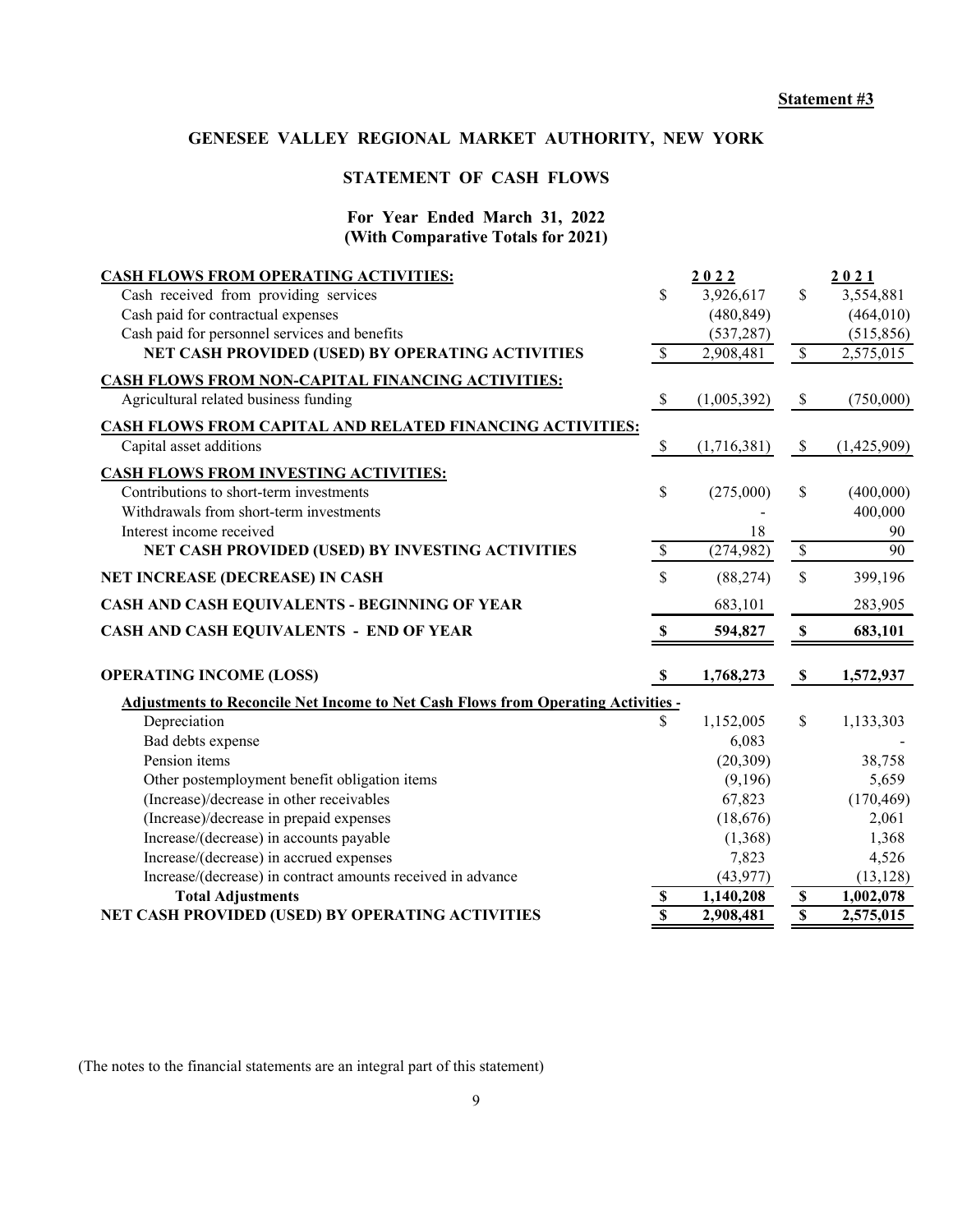# **STATEMENT OF CASH FLOWS**

# **For Year Ended March 31, 2022 (With Comparative Totals for 2021)**

| Cash received from providing services<br>\$<br>3,926,617<br>$\mathcal{S}$<br>3,554,881<br>Cash paid for contractual expenses<br>(480, 849)<br>Cash paid for personnel services and benefits<br>(537, 287)<br>(515, 856)<br>NET CASH PROVIDED (USED) BY OPERATING ACTIVITIES<br>$\overline{\mathcal{S}}$<br>2,908,481<br>$\overline{\mathcal{S}}$<br>2,575,015<br><b>CASH FLOWS FROM NON-CAPITAL FINANCING ACTIVITIES:</b><br>Agricultural related business funding<br>$\$$<br>$\mathbb{S}$<br>(750,000)<br>(1,005,392)<br><b>CASH FLOWS FROM CAPITAL AND RELATED FINANCING ACTIVITIES:</b><br>$\boldsymbol{\mathsf{S}}$<br>Capital asset additions<br>(1,716,381)<br>$\mathcal{S}$<br>(1,425,909)<br><b>CASH FLOWS FROM INVESTING ACTIVITIES:</b><br>Contributions to short-term investments<br>\$<br>\$<br>(400,000)<br>(275,000)<br>Withdrawals from short-term investments<br>400,000<br>18<br>Interest income received<br>90<br>$\overline{\mathcal{S}}$<br>$\overline{\mathcal{S}}$<br>NET CASH PROVIDED (USED) BY INVESTING ACTIVITIES<br>(274, 982)<br>90<br>\$<br>$\mathsf{\$}$<br><b>NET INCREASE (DECREASE) IN CASH</b><br>399,196<br>(88, 274)<br>CASH AND CASH EQUIVALENTS - BEGINNING OF YEAR<br>683,101<br>283,905<br><b>CASH AND CASH EQUIVALENTS - END OF YEAR</b><br>$\mathbf S$<br>683,101<br>594,827<br>$\boldsymbol{\mathsf{S}}$<br><b>OPERATING INCOME (LOSS)</b><br>$\boldsymbol{\mathsf{s}}$<br>1,768,273<br>1,572,937<br>$\mathbf{\$}$<br><b>Adjustments to Reconcile Net Income to Net Cash Flows from Operating Activities -</b><br>Depreciation<br>\$<br>\$<br>1,152,005<br>1,133,303<br>Bad debts expense<br>6,083<br>Pension items<br>(20, 309)<br>38,758<br>Other postemployment benefit obligation items<br>(9,196)<br>5,659<br>(Increase)/decrease in other receivables<br>67,823<br>(Increase)/decrease in prepaid expenses<br>(18,676)<br>2,061<br>Increase/(decrease) in accounts payable<br>(1,368)<br>1,368<br>Increase/(decrease) in accrued expenses<br>7,823<br>4,526<br>Increase/(decrease) in contract amounts received in advance<br>(43, 977)<br>(13, 128)<br><b>Total Adjustments</b><br>$\boldsymbol{\mathsf{S}}$<br>1,140,208<br>$\mathbb S$<br>1,002,078<br>$\overline{\mathbf{s}}$<br>$\overline{\mathbf{S}}$<br>NET CASH PROVIDED (USED) BY OPERATING ACTIVITIES<br>2,908,481<br>2,575,015 | <b>CASH FLOWS FROM OPERATING ACTIVITIES:</b> | 2022 | 2021       |
|----------------------------------------------------------------------------------------------------------------------------------------------------------------------------------------------------------------------------------------------------------------------------------------------------------------------------------------------------------------------------------------------------------------------------------------------------------------------------------------------------------------------------------------------------------------------------------------------------------------------------------------------------------------------------------------------------------------------------------------------------------------------------------------------------------------------------------------------------------------------------------------------------------------------------------------------------------------------------------------------------------------------------------------------------------------------------------------------------------------------------------------------------------------------------------------------------------------------------------------------------------------------------------------------------------------------------------------------------------------------------------------------------------------------------------------------------------------------------------------------------------------------------------------------------------------------------------------------------------------------------------------------------------------------------------------------------------------------------------------------------------------------------------------------------------------------------------------------------------------------------------------------------------------------------------------------------------------------------------------------------------------------------------------------------------------------------------------------------------------------------------------------------------------------------------------------------------------------------------------------------------------------------------------------------------------------------------------------|----------------------------------------------|------|------------|
|                                                                                                                                                                                                                                                                                                                                                                                                                                                                                                                                                                                                                                                                                                                                                                                                                                                                                                                                                                                                                                                                                                                                                                                                                                                                                                                                                                                                                                                                                                                                                                                                                                                                                                                                                                                                                                                                                                                                                                                                                                                                                                                                                                                                                                                                                                                                              |                                              |      |            |
|                                                                                                                                                                                                                                                                                                                                                                                                                                                                                                                                                                                                                                                                                                                                                                                                                                                                                                                                                                                                                                                                                                                                                                                                                                                                                                                                                                                                                                                                                                                                                                                                                                                                                                                                                                                                                                                                                                                                                                                                                                                                                                                                                                                                                                                                                                                                              |                                              |      | (464, 010) |
|                                                                                                                                                                                                                                                                                                                                                                                                                                                                                                                                                                                                                                                                                                                                                                                                                                                                                                                                                                                                                                                                                                                                                                                                                                                                                                                                                                                                                                                                                                                                                                                                                                                                                                                                                                                                                                                                                                                                                                                                                                                                                                                                                                                                                                                                                                                                              |                                              |      |            |
|                                                                                                                                                                                                                                                                                                                                                                                                                                                                                                                                                                                                                                                                                                                                                                                                                                                                                                                                                                                                                                                                                                                                                                                                                                                                                                                                                                                                                                                                                                                                                                                                                                                                                                                                                                                                                                                                                                                                                                                                                                                                                                                                                                                                                                                                                                                                              |                                              |      |            |
|                                                                                                                                                                                                                                                                                                                                                                                                                                                                                                                                                                                                                                                                                                                                                                                                                                                                                                                                                                                                                                                                                                                                                                                                                                                                                                                                                                                                                                                                                                                                                                                                                                                                                                                                                                                                                                                                                                                                                                                                                                                                                                                                                                                                                                                                                                                                              |                                              |      |            |
|                                                                                                                                                                                                                                                                                                                                                                                                                                                                                                                                                                                                                                                                                                                                                                                                                                                                                                                                                                                                                                                                                                                                                                                                                                                                                                                                                                                                                                                                                                                                                                                                                                                                                                                                                                                                                                                                                                                                                                                                                                                                                                                                                                                                                                                                                                                                              |                                              |      |            |
|                                                                                                                                                                                                                                                                                                                                                                                                                                                                                                                                                                                                                                                                                                                                                                                                                                                                                                                                                                                                                                                                                                                                                                                                                                                                                                                                                                                                                                                                                                                                                                                                                                                                                                                                                                                                                                                                                                                                                                                                                                                                                                                                                                                                                                                                                                                                              |                                              |      |            |
|                                                                                                                                                                                                                                                                                                                                                                                                                                                                                                                                                                                                                                                                                                                                                                                                                                                                                                                                                                                                                                                                                                                                                                                                                                                                                                                                                                                                                                                                                                                                                                                                                                                                                                                                                                                                                                                                                                                                                                                                                                                                                                                                                                                                                                                                                                                                              |                                              |      |            |
|                                                                                                                                                                                                                                                                                                                                                                                                                                                                                                                                                                                                                                                                                                                                                                                                                                                                                                                                                                                                                                                                                                                                                                                                                                                                                                                                                                                                                                                                                                                                                                                                                                                                                                                                                                                                                                                                                                                                                                                                                                                                                                                                                                                                                                                                                                                                              |                                              |      |            |
|                                                                                                                                                                                                                                                                                                                                                                                                                                                                                                                                                                                                                                                                                                                                                                                                                                                                                                                                                                                                                                                                                                                                                                                                                                                                                                                                                                                                                                                                                                                                                                                                                                                                                                                                                                                                                                                                                                                                                                                                                                                                                                                                                                                                                                                                                                                                              |                                              |      |            |
|                                                                                                                                                                                                                                                                                                                                                                                                                                                                                                                                                                                                                                                                                                                                                                                                                                                                                                                                                                                                                                                                                                                                                                                                                                                                                                                                                                                                                                                                                                                                                                                                                                                                                                                                                                                                                                                                                                                                                                                                                                                                                                                                                                                                                                                                                                                                              |                                              |      |            |
|                                                                                                                                                                                                                                                                                                                                                                                                                                                                                                                                                                                                                                                                                                                                                                                                                                                                                                                                                                                                                                                                                                                                                                                                                                                                                                                                                                                                                                                                                                                                                                                                                                                                                                                                                                                                                                                                                                                                                                                                                                                                                                                                                                                                                                                                                                                                              |                                              |      |            |
|                                                                                                                                                                                                                                                                                                                                                                                                                                                                                                                                                                                                                                                                                                                                                                                                                                                                                                                                                                                                                                                                                                                                                                                                                                                                                                                                                                                                                                                                                                                                                                                                                                                                                                                                                                                                                                                                                                                                                                                                                                                                                                                                                                                                                                                                                                                                              |                                              |      |            |
|                                                                                                                                                                                                                                                                                                                                                                                                                                                                                                                                                                                                                                                                                                                                                                                                                                                                                                                                                                                                                                                                                                                                                                                                                                                                                                                                                                                                                                                                                                                                                                                                                                                                                                                                                                                                                                                                                                                                                                                                                                                                                                                                                                                                                                                                                                                                              |                                              |      |            |
|                                                                                                                                                                                                                                                                                                                                                                                                                                                                                                                                                                                                                                                                                                                                                                                                                                                                                                                                                                                                                                                                                                                                                                                                                                                                                                                                                                                                                                                                                                                                                                                                                                                                                                                                                                                                                                                                                                                                                                                                                                                                                                                                                                                                                                                                                                                                              |                                              |      |            |
|                                                                                                                                                                                                                                                                                                                                                                                                                                                                                                                                                                                                                                                                                                                                                                                                                                                                                                                                                                                                                                                                                                                                                                                                                                                                                                                                                                                                                                                                                                                                                                                                                                                                                                                                                                                                                                                                                                                                                                                                                                                                                                                                                                                                                                                                                                                                              |                                              |      |            |
|                                                                                                                                                                                                                                                                                                                                                                                                                                                                                                                                                                                                                                                                                                                                                                                                                                                                                                                                                                                                                                                                                                                                                                                                                                                                                                                                                                                                                                                                                                                                                                                                                                                                                                                                                                                                                                                                                                                                                                                                                                                                                                                                                                                                                                                                                                                                              |                                              |      |            |
|                                                                                                                                                                                                                                                                                                                                                                                                                                                                                                                                                                                                                                                                                                                                                                                                                                                                                                                                                                                                                                                                                                                                                                                                                                                                                                                                                                                                                                                                                                                                                                                                                                                                                                                                                                                                                                                                                                                                                                                                                                                                                                                                                                                                                                                                                                                                              |                                              |      |            |
|                                                                                                                                                                                                                                                                                                                                                                                                                                                                                                                                                                                                                                                                                                                                                                                                                                                                                                                                                                                                                                                                                                                                                                                                                                                                                                                                                                                                                                                                                                                                                                                                                                                                                                                                                                                                                                                                                                                                                                                                                                                                                                                                                                                                                                                                                                                                              |                                              |      |            |
|                                                                                                                                                                                                                                                                                                                                                                                                                                                                                                                                                                                                                                                                                                                                                                                                                                                                                                                                                                                                                                                                                                                                                                                                                                                                                                                                                                                                                                                                                                                                                                                                                                                                                                                                                                                                                                                                                                                                                                                                                                                                                                                                                                                                                                                                                                                                              |                                              |      |            |
|                                                                                                                                                                                                                                                                                                                                                                                                                                                                                                                                                                                                                                                                                                                                                                                                                                                                                                                                                                                                                                                                                                                                                                                                                                                                                                                                                                                                                                                                                                                                                                                                                                                                                                                                                                                                                                                                                                                                                                                                                                                                                                                                                                                                                                                                                                                                              |                                              |      |            |
|                                                                                                                                                                                                                                                                                                                                                                                                                                                                                                                                                                                                                                                                                                                                                                                                                                                                                                                                                                                                                                                                                                                                                                                                                                                                                                                                                                                                                                                                                                                                                                                                                                                                                                                                                                                                                                                                                                                                                                                                                                                                                                                                                                                                                                                                                                                                              |                                              |      |            |
|                                                                                                                                                                                                                                                                                                                                                                                                                                                                                                                                                                                                                                                                                                                                                                                                                                                                                                                                                                                                                                                                                                                                                                                                                                                                                                                                                                                                                                                                                                                                                                                                                                                                                                                                                                                                                                                                                                                                                                                                                                                                                                                                                                                                                                                                                                                                              |                                              |      | (170, 469) |
|                                                                                                                                                                                                                                                                                                                                                                                                                                                                                                                                                                                                                                                                                                                                                                                                                                                                                                                                                                                                                                                                                                                                                                                                                                                                                                                                                                                                                                                                                                                                                                                                                                                                                                                                                                                                                                                                                                                                                                                                                                                                                                                                                                                                                                                                                                                                              |                                              |      |            |
|                                                                                                                                                                                                                                                                                                                                                                                                                                                                                                                                                                                                                                                                                                                                                                                                                                                                                                                                                                                                                                                                                                                                                                                                                                                                                                                                                                                                                                                                                                                                                                                                                                                                                                                                                                                                                                                                                                                                                                                                                                                                                                                                                                                                                                                                                                                                              |                                              |      |            |
|                                                                                                                                                                                                                                                                                                                                                                                                                                                                                                                                                                                                                                                                                                                                                                                                                                                                                                                                                                                                                                                                                                                                                                                                                                                                                                                                                                                                                                                                                                                                                                                                                                                                                                                                                                                                                                                                                                                                                                                                                                                                                                                                                                                                                                                                                                                                              |                                              |      |            |
|                                                                                                                                                                                                                                                                                                                                                                                                                                                                                                                                                                                                                                                                                                                                                                                                                                                                                                                                                                                                                                                                                                                                                                                                                                                                                                                                                                                                                                                                                                                                                                                                                                                                                                                                                                                                                                                                                                                                                                                                                                                                                                                                                                                                                                                                                                                                              |                                              |      |            |
|                                                                                                                                                                                                                                                                                                                                                                                                                                                                                                                                                                                                                                                                                                                                                                                                                                                                                                                                                                                                                                                                                                                                                                                                                                                                                                                                                                                                                                                                                                                                                                                                                                                                                                                                                                                                                                                                                                                                                                                                                                                                                                                                                                                                                                                                                                                                              |                                              |      |            |
|                                                                                                                                                                                                                                                                                                                                                                                                                                                                                                                                                                                                                                                                                                                                                                                                                                                                                                                                                                                                                                                                                                                                                                                                                                                                                                                                                                                                                                                                                                                                                                                                                                                                                                                                                                                                                                                                                                                                                                                                                                                                                                                                                                                                                                                                                                                                              |                                              |      |            |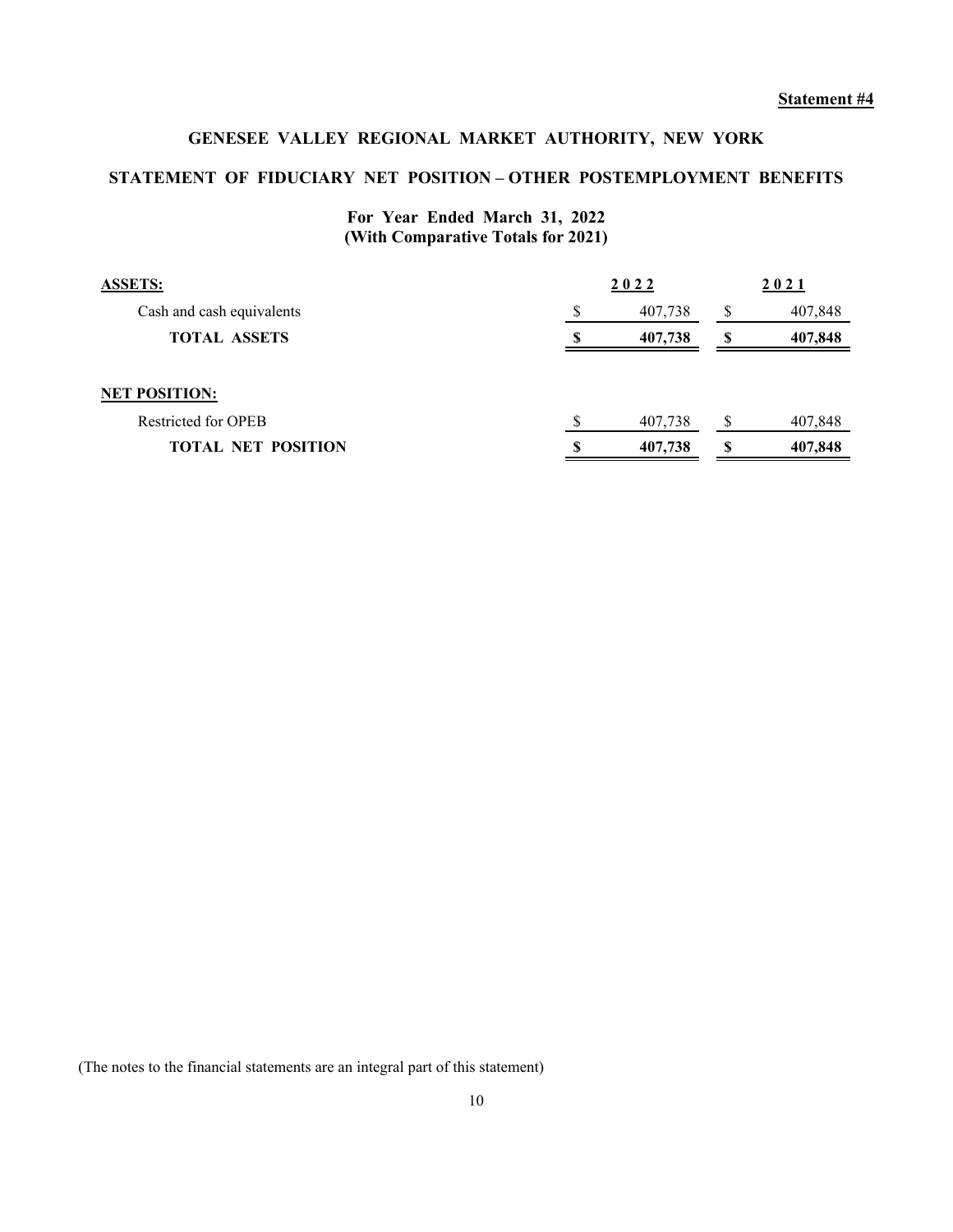# **STATEMENT OF FIDUCIARY NET POSITION – OTHER POSTEMPLOYMENT BENEFITS**

# **For Year Ended March 31, 2022 (With Comparative Totals for 2021)**

| <b>ASSETS:</b>            | 2022 | 2021    |   |         |
|---------------------------|------|---------|---|---------|
| Cash and cash equivalents |      | 407,738 | S | 407,848 |
| <b>TOTAL ASSETS</b>       | S    | 407,738 | S | 407,848 |
| <b>NET POSITION:</b>      |      |         |   |         |
| Restricted for OPEB       |      | 407,738 | S | 407,848 |
| <b>TOTAL NET POSITION</b> | ጣ    | 407,738 | S | 407,848 |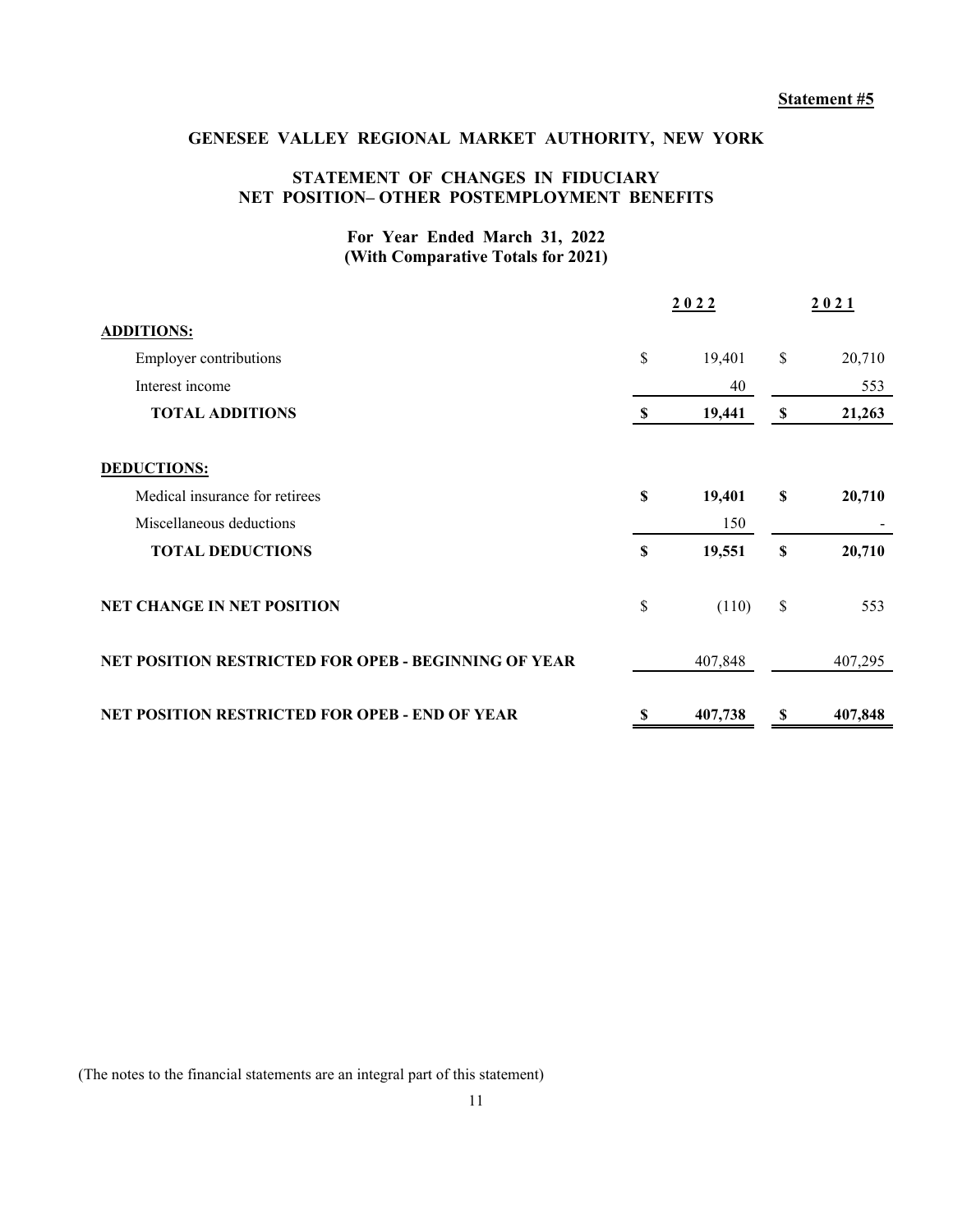# **STATEMENT OF CHANGES IN FIDUCIARY NET POSITION– OTHER POSTEMPLOYMENT BENEFITS**

**For Year Ended March 31, 2022 (With Comparative Totals for 2021)**

|                                                       |    | 2022    |             | 2021    |
|-------------------------------------------------------|----|---------|-------------|---------|
| <b>ADDITIONS:</b>                                     |    |         |             |         |
| <b>Employer contributions</b>                         | \$ | 19,401  | \$          | 20,710  |
| Interest income                                       |    | 40      |             | 553     |
| <b>TOTAL ADDITIONS</b>                                | \$ | 19,441  | $\mathbb S$ | 21,263  |
| <b>DEDUCTIONS:</b>                                    |    |         |             |         |
| Medical insurance for retirees                        | \$ | 19,401  | $\mathbf S$ | 20,710  |
| Miscellaneous deductions                              |    | 150     |             |         |
| <b>TOTAL DEDUCTIONS</b>                               | \$ | 19,551  | \$          | 20,710  |
| <b>NET CHANGE IN NET POSITION</b>                     | \$ | (110)   | \$          | 553     |
| NET POSITION RESTRICTED FOR OPEB - BEGINNING OF YEAR  |    | 407,848 |             | 407,295 |
| <b>NET POSITION RESTRICTED FOR OPEB - END OF YEAR</b> | \$ | 407,738 | \$          | 407,848 |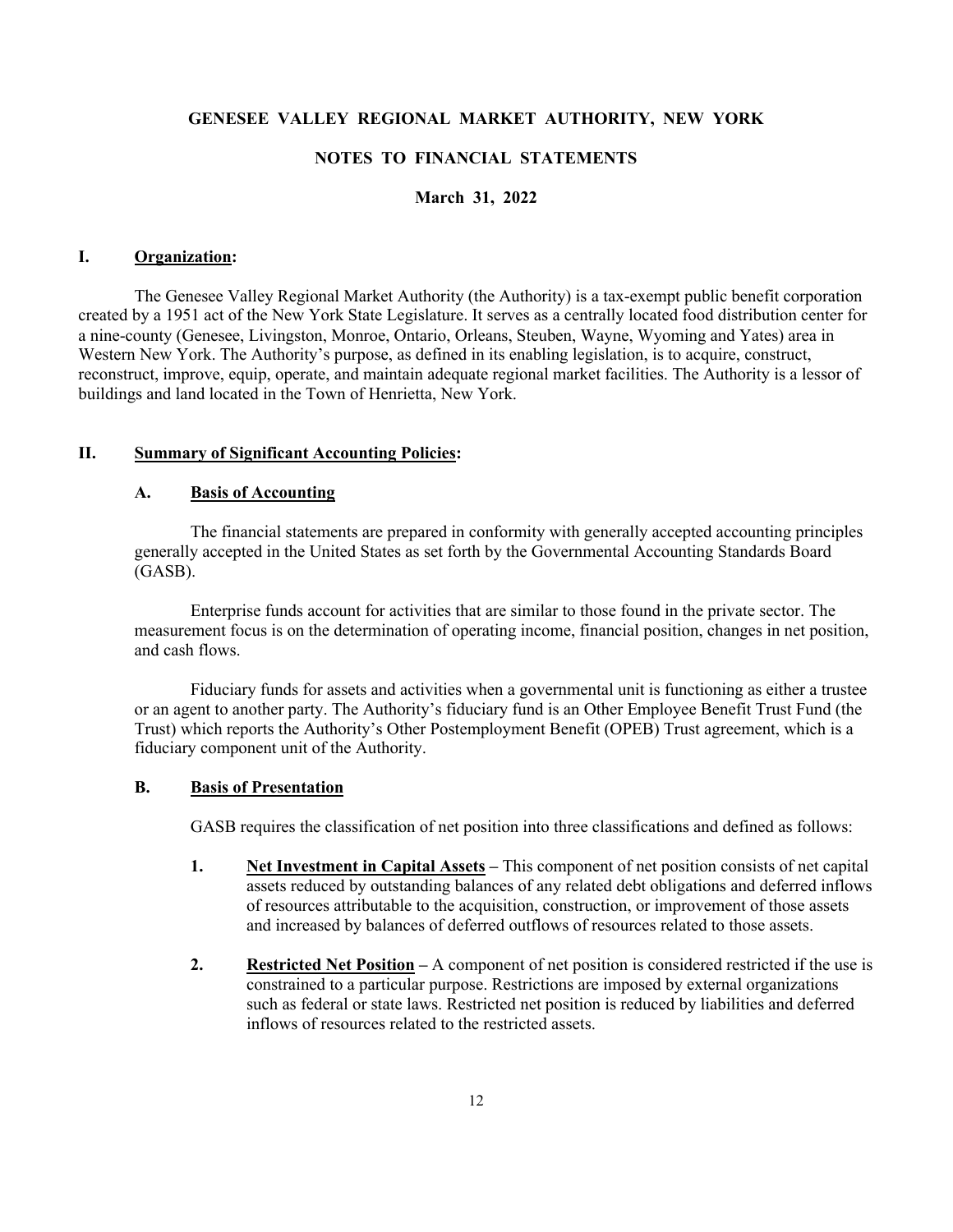### **NOTES TO FINANCIAL STATEMENTS**

### **March 31, 2022**

### **I. Organization:**

The Genesee Valley Regional Market Authority (the Authority) is a tax-exempt public benefit corporation created by a 1951 act of the New York State Legislature. It serves as a centrally located food distribution center for a nine-county (Genesee, Livingston, Monroe, Ontario, Orleans, Steuben, Wayne, Wyoming and Yates) area in Western New York. The Authority's purpose, as defined in its enabling legislation, is to acquire, construct, reconstruct, improve, equip, operate, and maintain adequate regional market facilities. The Authority is a lessor of buildings and land located in the Town of Henrietta, New York.

### **II. Summary of Significant Accounting Policies:**

#### **A. Basis of Accounting**

The financial statements are prepared in conformity with generally accepted accounting principles generally accepted in the United States as set forth by the Governmental Accounting Standards Board (GASB).

Enterprise funds account for activities that are similar to those found in the private sector. The measurement focus is on the determination of operating income, financial position, changes in net position, and cash flows.

Fiduciary funds for assets and activities when a governmental unit is functioning as either a trustee or an agent to another party. The Authority's fiduciary fund is an Other Employee Benefit Trust Fund (the Trust) which reports the Authority's Other Postemployment Benefit (OPEB) Trust agreement, which is a fiduciary component unit of the Authority.

### **B. Basis of Presentation**

GASB requires the classification of net position into three classifications and defined as follows:

- **1. Net Investment in Capital Assets –** This component of net position consists of net capital assets reduced by outstanding balances of any related debt obligations and deferred inflows of resources attributable to the acquisition, construction, or improvement of those assets and increased by balances of deferred outflows of resources related to those assets.
- **2. Restricted Net Position –** A component of net position is considered restricted if the use is constrained to a particular purpose. Restrictions are imposed by external organizations such as federal or state laws. Restricted net position is reduced by liabilities and deferred inflows of resources related to the restricted assets.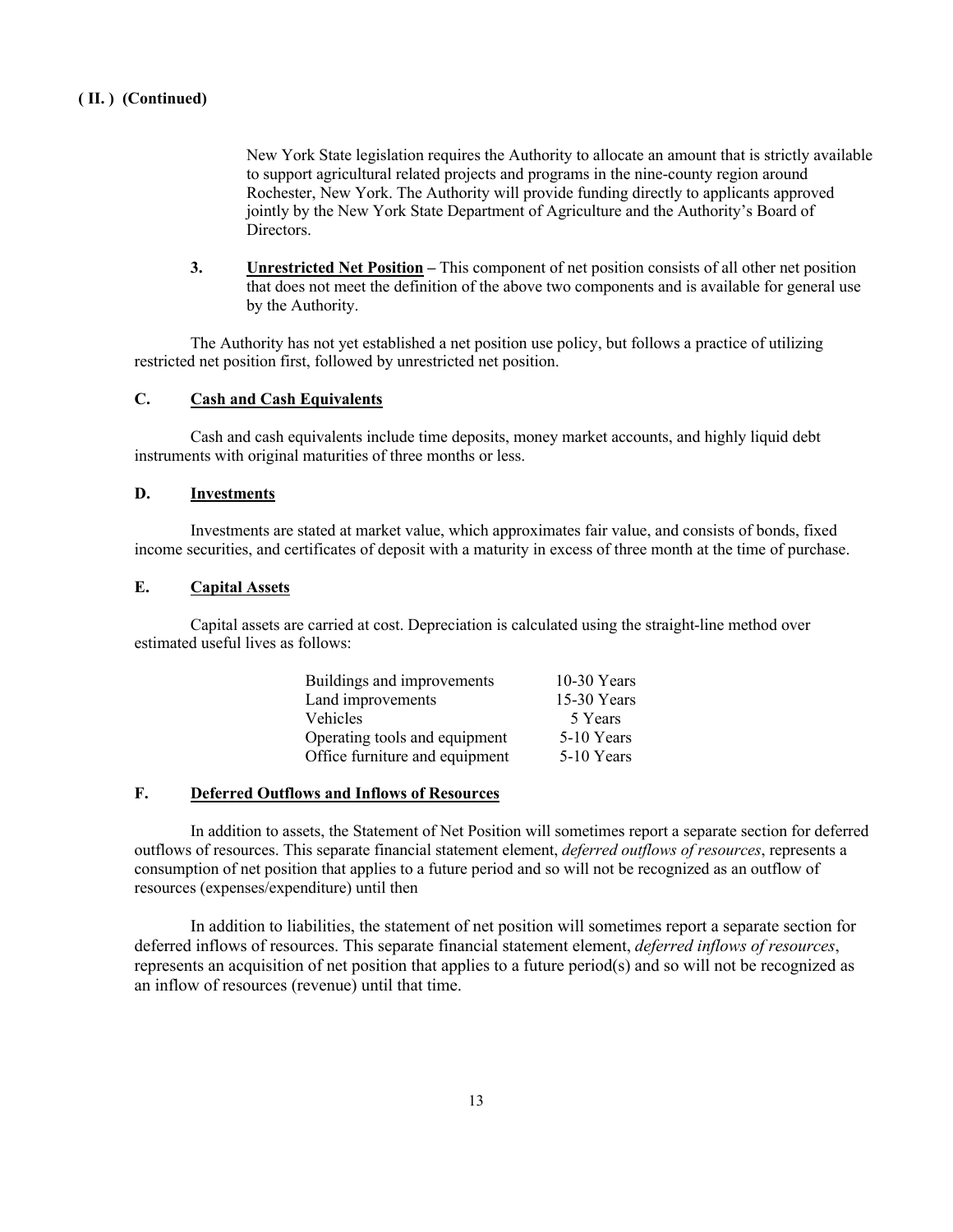New York State legislation requires the Authority to allocate an amount that is strictly available to support agricultural related projects and programs in the nine-county region around Rochester, New York. The Authority will provide funding directly to applicants approved jointly by the New York State Department of Agriculture and the Authority's Board of Directors.

**3. Unrestricted Net Position –** This component of net position consists of all other net position that does not meet the definition of the above two components and is available for general use by the Authority.

The Authority has not yet established a net position use policy, but follows a practice of utilizing restricted net position first, followed by unrestricted net position.

#### **C. Cash and Cash Equivalents**

Cash and cash equivalents include time deposits, money market accounts, and highly liquid debt instruments with original maturities of three months or less.

#### **D. Investments**

Investments are stated at market value, which approximates fair value, and consists of bonds, fixed income securities, and certificates of deposit with a maturity in excess of three month at the time of purchase.

#### **E. Capital Assets**

Capital assets are carried at cost. Depreciation is calculated using the straight-line method over estimated useful lives as follows:

| Buildings and improvements     | $10-30$ Years |
|--------------------------------|---------------|
| Land improvements              | 15-30 Years   |
| Vehicles                       | 5 Years       |
| Operating tools and equipment  | 5-10 Years    |
| Office furniture and equipment | 5-10 Years    |

#### **F. Deferred Outflows and Inflows of Resources**

In addition to assets, the Statement of Net Position will sometimes report a separate section for deferred outflows of resources. This separate financial statement element, *deferred outflows of resources*, represents a consumption of net position that applies to a future period and so will not be recognized as an outflow of resources (expenses/expenditure) until then

In addition to liabilities, the statement of net position will sometimes report a separate section for deferred inflows of resources. This separate financial statement element, *deferred inflows of resources*, represents an acquisition of net position that applies to a future period(s) and so will not be recognized as an inflow of resources (revenue) until that time.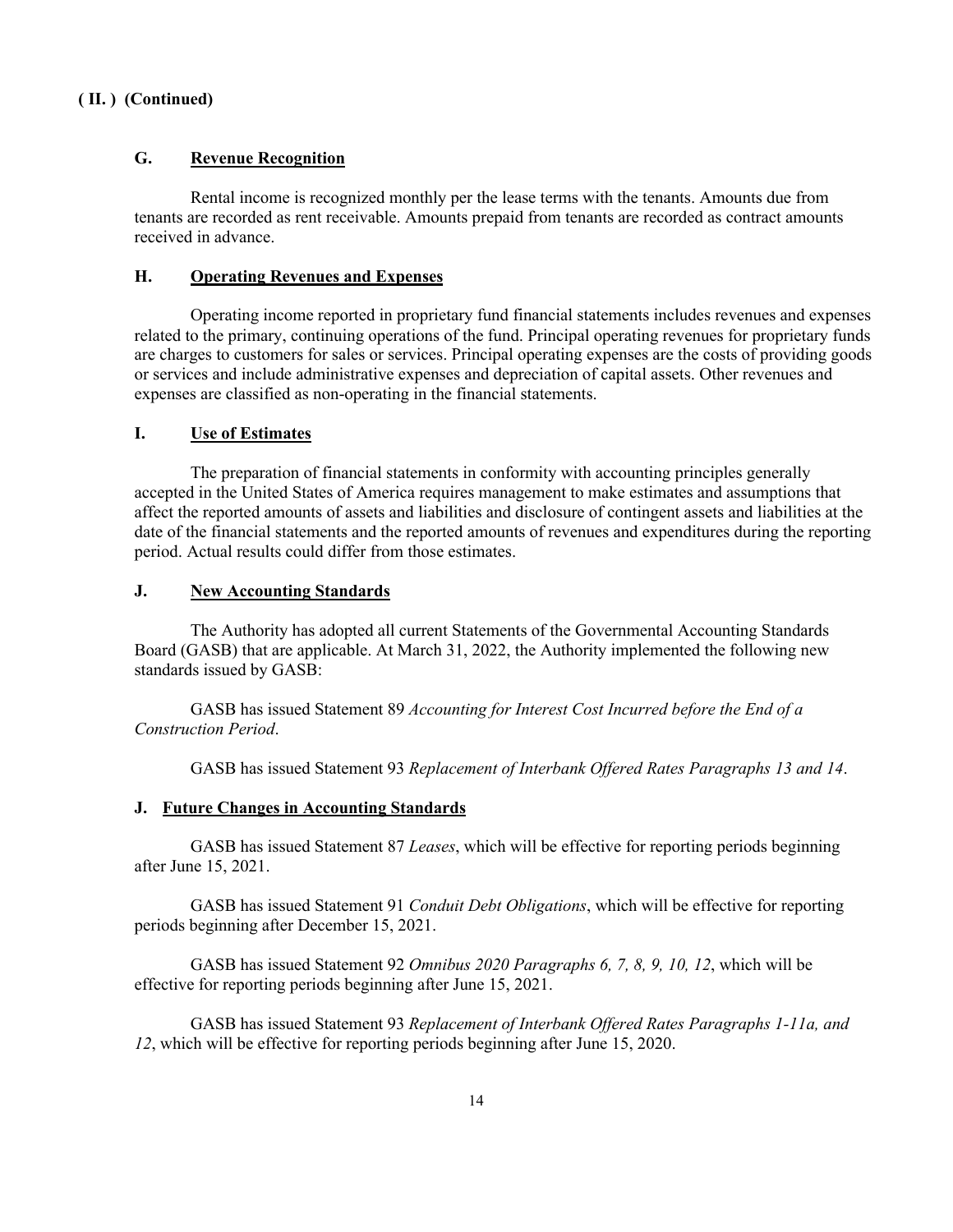### **G. Revenue Recognition**

Rental income is recognized monthly per the lease terms with the tenants. Amounts due from tenants are recorded as rent receivable. Amounts prepaid from tenants are recorded as contract amounts received in advance.

### **H. Operating Revenues and Expenses**

Operating income reported in proprietary fund financial statements includes revenues and expenses related to the primary, continuing operations of the fund. Principal operating revenues for proprietary funds are charges to customers for sales or services. Principal operating expenses are the costs of providing goods or services and include administrative expenses and depreciation of capital assets. Other revenues and expenses are classified as non-operating in the financial statements.

#### **I. Use of Estimates**

The preparation of financial statements in conformity with accounting principles generally accepted in the United States of America requires management to make estimates and assumptions that affect the reported amounts of assets and liabilities and disclosure of contingent assets and liabilities at the date of the financial statements and the reported amounts of revenues and expenditures during the reporting period. Actual results could differ from those estimates.

### **J. New Accounting Standards**

The Authority has adopted all current Statements of the Governmental Accounting Standards Board (GASB) that are applicable. At March 31, 2022, the Authority implemented the following new standards issued by GASB:

GASB has issued Statement 89 *Accounting for Interest Cost Incurred before the End of a Construction Period*.

GASB has issued Statement 93 *Replacement of Interbank Offered Rates Paragraphs 13 and 14*.

### **J. Future Changes in Accounting Standards**

GASB has issued Statement 87 *Leases*, which will be effective for reporting periods beginning after June 15, 2021.

GASB has issued Statement 91 *Conduit Debt Obligations*, which will be effective for reporting periods beginning after December 15, 2021.

GASB has issued Statement 92 *Omnibus 2020 Paragraphs 6, 7, 8, 9, 10, 12*, which will be effective for reporting periods beginning after June 15, 2021.

GASB has issued Statement 93 *Replacement of Interbank Offered Rates Paragraphs 1-11a, and 12*, which will be effective for reporting periods beginning after June 15, 2020.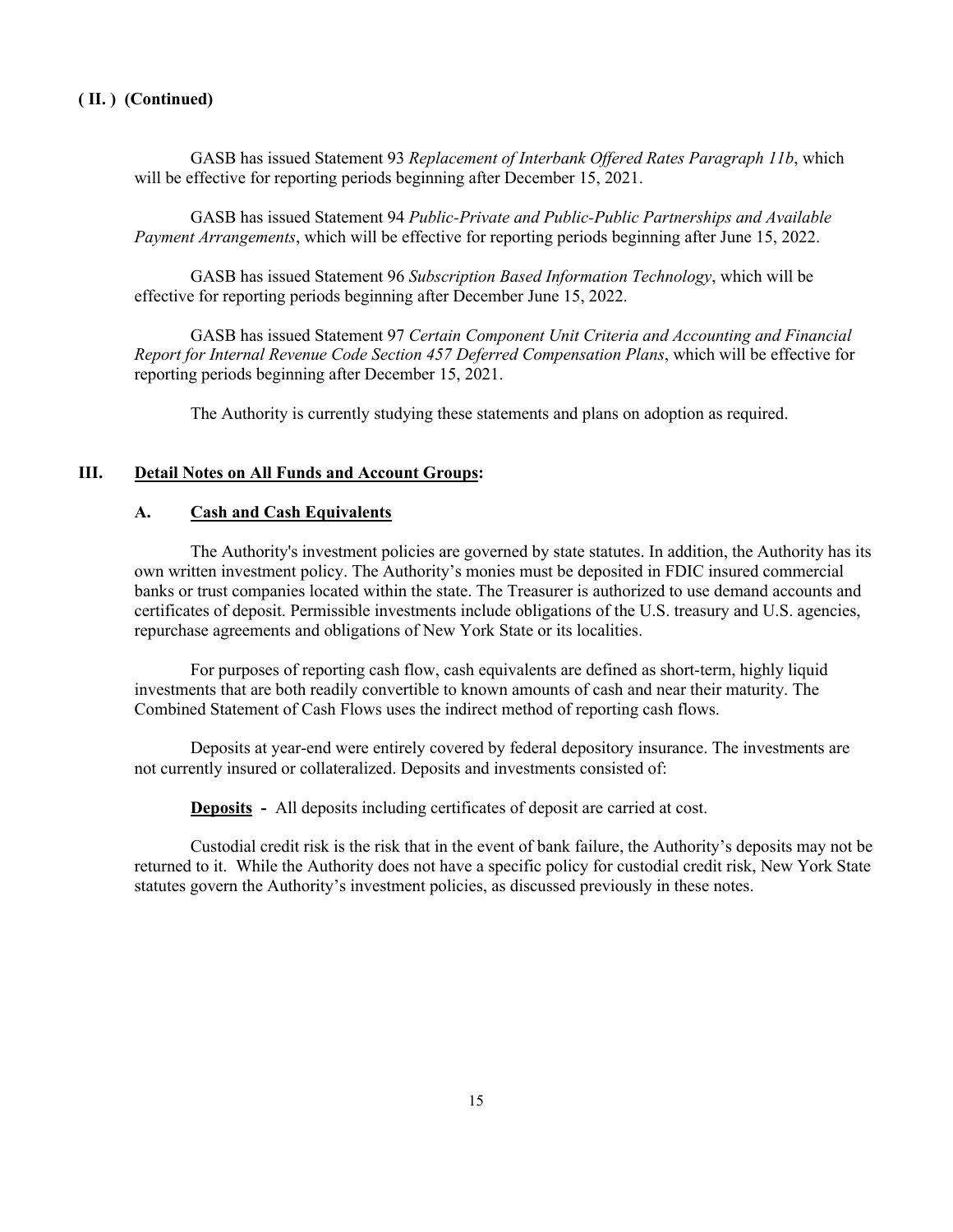GASB has issued Statement 93 *Replacement of Interbank Offered Rates Paragraph 11b*, which will be effective for reporting periods beginning after December 15, 2021.

GASB has issued Statement 94 *Public-Private and Public-Public Partnerships and Available Payment Arrangements*, which will be effective for reporting periods beginning after June 15, 2022.

GASB has issued Statement 96 *Subscription Based Information Technology*, which will be effective for reporting periods beginning after December June 15, 2022.

GASB has issued Statement 97 *Certain Component Unit Criteria and Accounting and Financial Report for Internal Revenue Code Section 457 Deferred Compensation Plans*, which will be effective for reporting periods beginning after December 15, 2021.

The Authority is currently studying these statements and plans on adoption as required.

#### **III. Detail Notes on All Funds and Account Groups:**

#### **A. Cash and Cash Equivalents**

The Authority's investment policies are governed by state statutes. In addition, the Authority has its own written investment policy. The Authority's monies must be deposited in FDIC insured commercial banks or trust companies located within the state. The Treasurer is authorized to use demand accounts and certificates of deposit. Permissible investments include obligations of the U.S. treasury and U.S. agencies, repurchase agreements and obligations of New York State or its localities.

For purposes of reporting cash flow, cash equivalents are defined as short-term, highly liquid investments that are both readily convertible to known amounts of cash and near their maturity. The Combined Statement of Cash Flows uses the indirect method of reporting cash flows.

Deposits at year-end were entirely covered by federal depository insurance. The investments are not currently insured or collateralized. Deposits and investments consisted of:

**Deposits -** All deposits including certificates of deposit are carried at cost.

Custodial credit risk is the risk that in the event of bank failure, the Authority's deposits may not be returned to it. While the Authority does not have a specific policy for custodial credit risk, New York State statutes govern the Authority's investment policies, as discussed previously in these notes.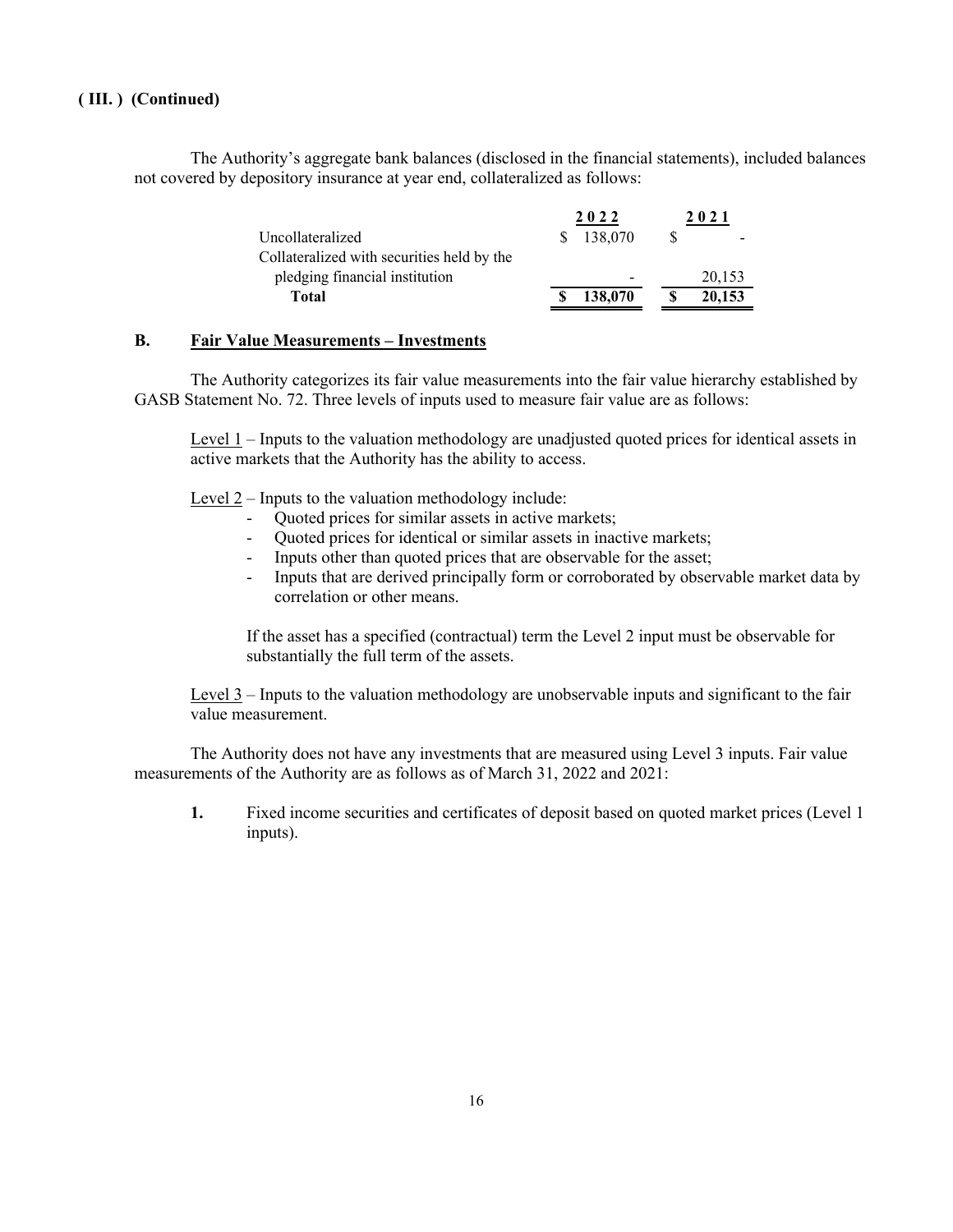The Authority's aggregate bank balances (disclosed in the financial statements), included balances not covered by depository insurance at year end, collateralized as follows:

|                          |      | 2021   |
|--------------------------|------|--------|
| 138,070                  |      |        |
|                          |      |        |
| $\overline{\phantom{0}}$ |      | 20,153 |
| 138,070                  |      | 20,153 |
|                          | 2022 |        |

# **B. Fair Value Measurements – Investments**

The Authority categorizes its fair value measurements into the fair value hierarchy established by GASB Statement No. 72. Three levels of inputs used to measure fair value are as follows:

Level 1 – Inputs to the valuation methodology are unadjusted quoted prices for identical assets in active markets that the Authority has the ability to access.

Level  $2$  – Inputs to the valuation methodology include:

- Quoted prices for similar assets in active markets;
- Quoted prices for identical or similar assets in inactive markets;
- Inputs other than quoted prices that are observable for the asset;
- Inputs that are derived principally form or corroborated by observable market data by correlation or other means.

If the asset has a specified (contractual) term the Level 2 input must be observable for substantially the full term of the assets.

Level 3 – Inputs to the valuation methodology are unobservable inputs and significant to the fair value measurement.

The Authority does not have any investments that are measured using Level 3 inputs. Fair value measurements of the Authority are as follows as of March 31, 2022 and 2021:

**1.** Fixed income securities and certificates of deposit based on quoted market prices (Level 1 inputs).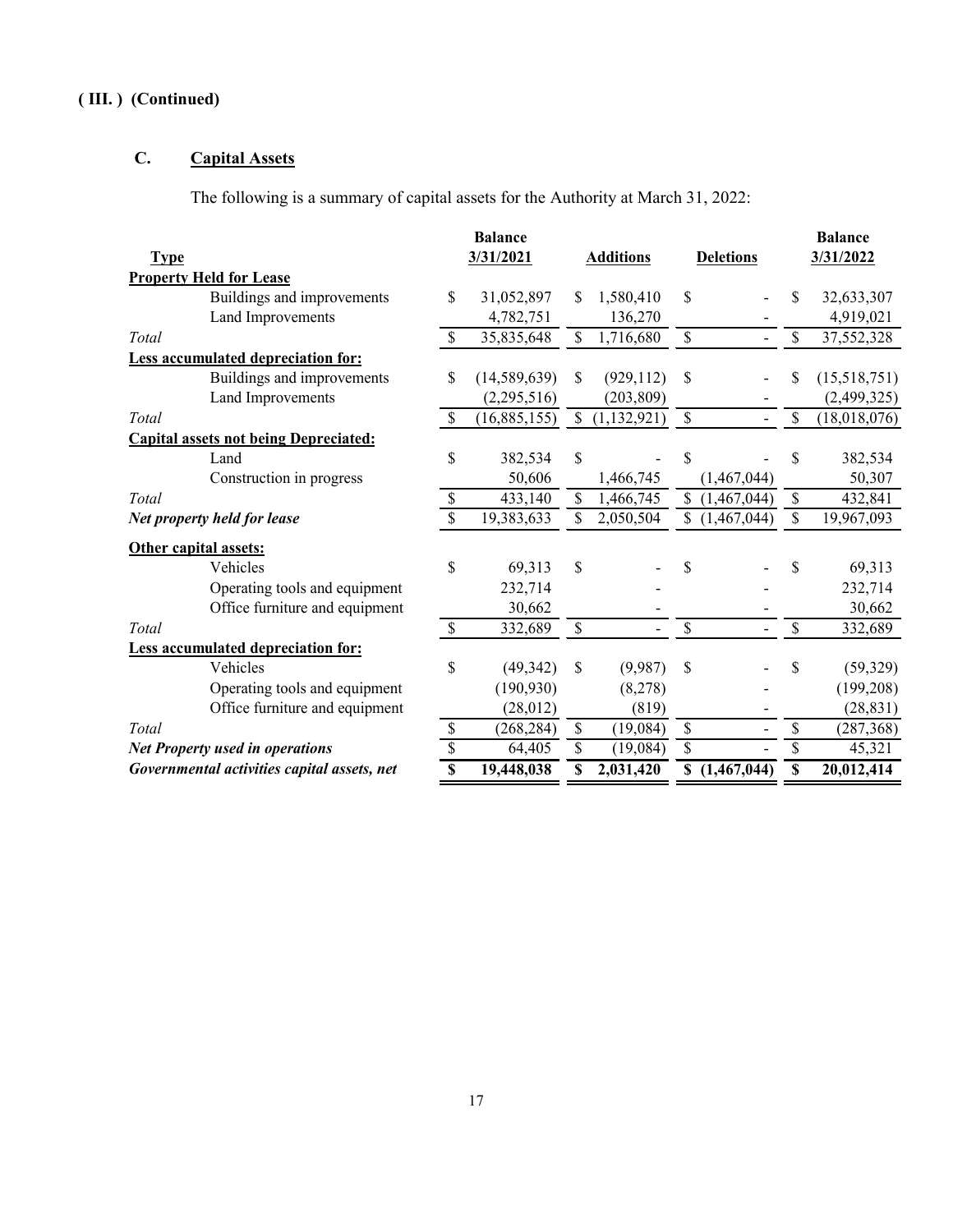# **C. Capital Assets**

The following is a summary of capital assets for the Authority at March 31, 2022:

|             |                                              |               | <b>Balance</b> |                  |               |                  |             |               | <b>Balance</b> |
|-------------|----------------------------------------------|---------------|----------------|------------------|---------------|------------------|-------------|---------------|----------------|
| <b>Type</b> |                                              | 3/31/2021     |                | <b>Additions</b> |               | <b>Deletions</b> |             | 3/31/2022     |                |
|             | <b>Property Held for Lease</b>               |               |                |                  |               |                  |             |               |                |
|             | Buildings and improvements                   | \$            | 31,052,897     | \$               | 1,580,410     | \$               |             | \$            | 32,633,307     |
|             | Land Improvements                            |               | 4,782,751      |                  | 136,270       |                  |             |               | 4,919,021      |
| Total       |                                              | <sup>\$</sup> | 35,835,648     | \$               | 1,716,680     | \$               |             | \$            | 37,552,328     |
|             | <b>Less accumulated depreciation for:</b>    |               |                |                  |               |                  |             |               |                |
|             | Buildings and improvements                   | \$            | (14, 589, 639) | \$               | (929, 112)    | \$               |             | \$            | (15,518,751)   |
|             | Land Improvements                            |               | (2,295,516)    |                  | (203, 809)    |                  |             |               | (2,499,325)    |
| Total       |                                              | $\mathbb{S}$  | (16,885,155)   | \$               | (1, 132, 921) | \$               |             | \$            | (18,018,076)   |
|             | <b>Capital assets not being Depreciated:</b> |               |                |                  |               |                  |             |               |                |
|             | Land                                         | \$            | 382,534        | \$               |               | \$               |             | \$            | 382,534        |
|             | Construction in progress                     |               | 50,606         |                  | 1,466,745     |                  | (1,467,044) |               | 50,307         |
| Total       |                                              | \$            | 433,140        | S                | 1,466,745     | $\mathbb{S}$     | (1,467,044) | \$            | 432,841        |
|             | Net property held for lease                  | $\mathbb{S}$  | 19,383,633     | S                | 2,050,504     | $\mathbb{S}$     | (1,467,044) | \$            | 19,967,093     |
|             | Other capital assets:                        |               |                |                  |               |                  |             |               |                |
|             | Vehicles                                     | \$            | 69,313         | \$               |               | \$               |             | \$            | 69,313         |
|             | Operating tools and equipment                |               | 232,714        |                  |               |                  |             |               | 232,714        |
|             | Office furniture and equipment               |               | 30,662         |                  |               |                  |             |               | 30,662         |
| Total       |                                              | $\mathcal{S}$ | 332,689        | $\mathcal{S}$    |               | $\mathbb{S}$     |             | $\mathcal{S}$ | 332,689        |
|             | <b>Less accumulated depreciation for:</b>    |               |                |                  |               |                  |             |               |                |
|             | Vehicles                                     | \$            | (49, 342)      | \$               | (9,987)       | \$               |             | \$            | (59, 329)      |
|             | Operating tools and equipment                |               | (190, 930)     |                  | (8,278)       |                  |             |               | (199, 208)     |
|             | Office furniture and equipment               |               | (28, 012)      |                  | (819)         |                  |             |               | (28, 831)      |
| Total       |                                              | $\$$          | (268, 284)     | $\$$             | (19,084)      | \$               |             | \$            | (287, 368)     |
|             | <b>Net Property used in operations</b>       | \$            | 64,405         | \$               | (19,084)      | \$               |             | \$            | 45,321         |
|             | Governmental activities capital assets, net  | \$            | 19,448,038     | \$               | 2,031,420     | \$               | (1,467,044) | \$            | 20,012,414     |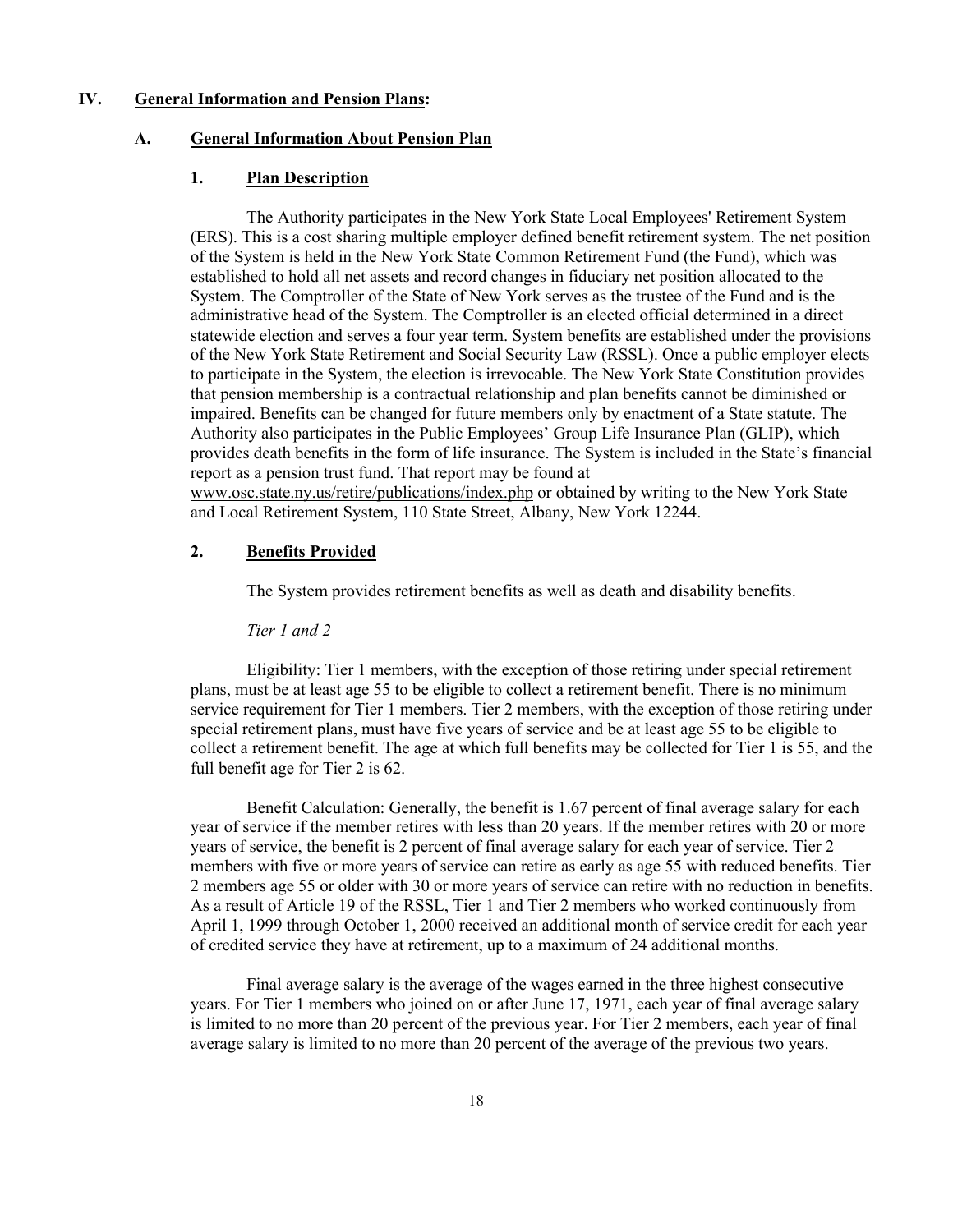#### **IV. General Information and Pension Plans:**

### **A. General Information About Pension Plan**

#### **1. Plan Description**

The Authority participates in the New York State Local Employees' Retirement System (ERS). This is a cost sharing multiple employer defined benefit retirement system. The net position of the System is held in the New York State Common Retirement Fund (the Fund), which was established to hold all net assets and record changes in fiduciary net position allocated to the System. The Comptroller of the State of New York serves as the trustee of the Fund and is the administrative head of the System. The Comptroller is an elected official determined in a direct statewide election and serves a four year term. System benefits are established under the provisions of the New York State Retirement and Social Security Law (RSSL). Once a public employer elects to participate in the System, the election is irrevocable. The New York State Constitution provides that pension membership is a contractual relationship and plan benefits cannot be diminished or impaired. Benefits can be changed for future members only by enactment of a State statute. The Authority also participates in the Public Employees' Group Life Insurance Plan (GLIP), which provides death benefits in the form of life insurance. The System is included in the State's financial report as a pension trust fund. That report may be found at www.osc.state.ny.us/retire/publications/index.php or obtained by writing to the New York State and Local Retirement System, 110 State Street, Albany, New York 12244.

#### **2. Benefits Provided**

The System provides retirement benefits as well as death and disability benefits.

#### *Tier 1 and 2*

Eligibility: Tier 1 members, with the exception of those retiring under special retirement plans, must be at least age 55 to be eligible to collect a retirement benefit. There is no minimum service requirement for Tier 1 members. Tier 2 members, with the exception of those retiring under special retirement plans, must have five years of service and be at least age 55 to be eligible to collect a retirement benefit. The age at which full benefits may be collected for Tier 1 is 55, and the full benefit age for Tier 2 is 62.

Benefit Calculation: Generally, the benefit is 1.67 percent of final average salary for each year of service if the member retires with less than 20 years. If the member retires with 20 or more years of service, the benefit is 2 percent of final average salary for each year of service. Tier 2 members with five or more years of service can retire as early as age 55 with reduced benefits. Tier 2 members age 55 or older with 30 or more years of service can retire with no reduction in benefits. As a result of Article 19 of the RSSL, Tier 1 and Tier 2 members who worked continuously from April 1, 1999 through October 1, 2000 received an additional month of service credit for each year of credited service they have at retirement, up to a maximum of 24 additional months.

Final average salary is the average of the wages earned in the three highest consecutive years. For Tier 1 members who joined on or after June 17, 1971, each year of final average salary is limited to no more than 20 percent of the previous year. For Tier 2 members, each year of final average salary is limited to no more than 20 percent of the average of the previous two years.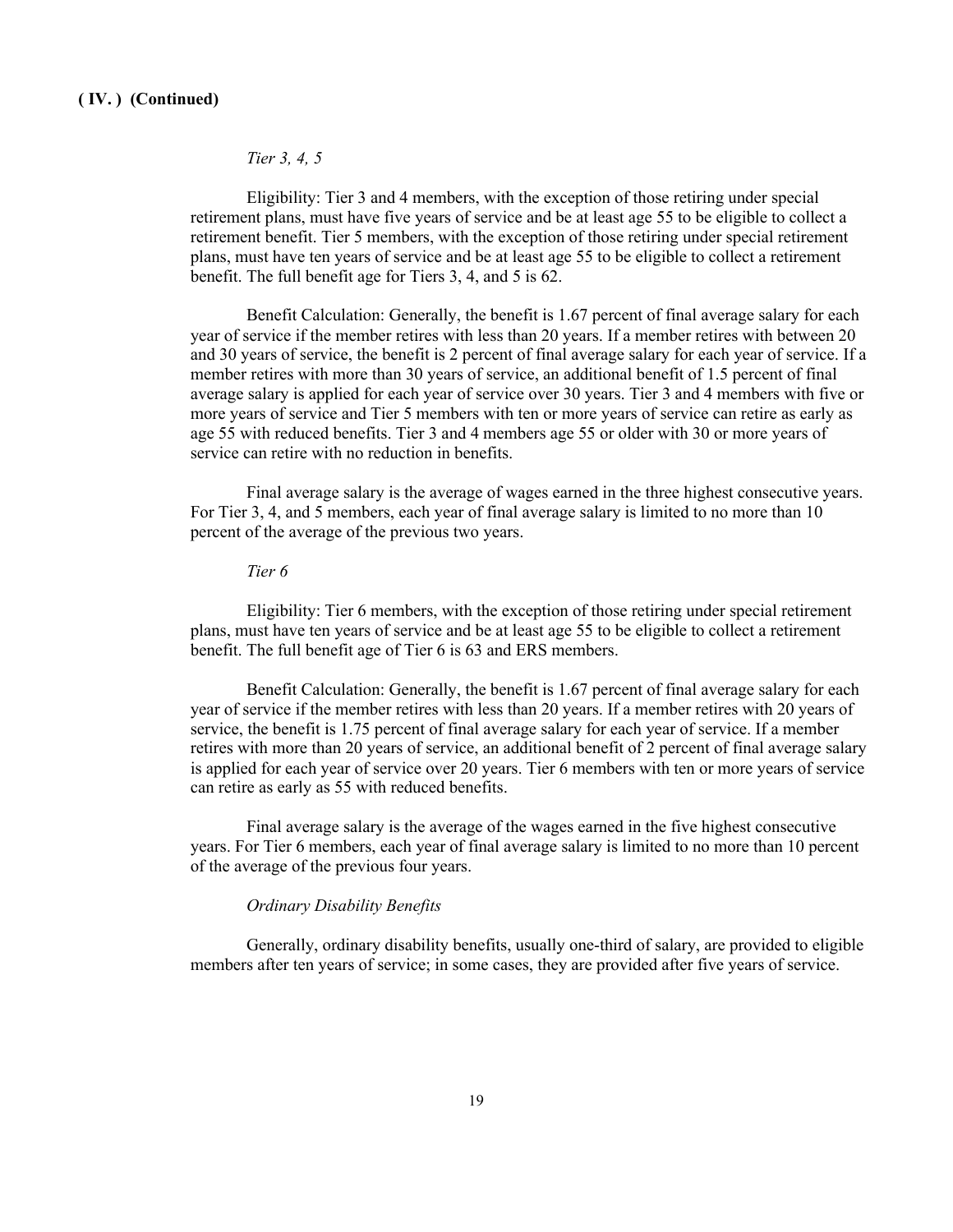### *Tier 3, 4, 5*

Eligibility: Tier 3 and 4 members, with the exception of those retiring under special retirement plans, must have five years of service and be at least age 55 to be eligible to collect a retirement benefit. Tier 5 members, with the exception of those retiring under special retirement plans, must have ten years of service and be at least age 55 to be eligible to collect a retirement benefit. The full benefit age for Tiers 3, 4, and 5 is 62.

Benefit Calculation: Generally, the benefit is 1.67 percent of final average salary for each year of service if the member retires with less than 20 years. If a member retires with between 20 and 30 years of service, the benefit is 2 percent of final average salary for each year of service. If a member retires with more than 30 years of service, an additional benefit of 1.5 percent of final average salary is applied for each year of service over 30 years. Tier 3 and 4 members with five or more years of service and Tier 5 members with ten or more years of service can retire as early as age 55 with reduced benefits. Tier 3 and 4 members age 55 or older with 30 or more years of service can retire with no reduction in benefits.

Final average salary is the average of wages earned in the three highest consecutive years. For Tier 3, 4, and 5 members, each year of final average salary is limited to no more than 10 percent of the average of the previous two years.

#### *Tier 6*

Eligibility: Tier 6 members, with the exception of those retiring under special retirement plans, must have ten years of service and be at least age 55 to be eligible to collect a retirement benefit. The full benefit age of Tier 6 is 63 and ERS members.

Benefit Calculation: Generally, the benefit is 1.67 percent of final average salary for each year of service if the member retires with less than 20 years. If a member retires with 20 years of service, the benefit is 1.75 percent of final average salary for each year of service. If a member retires with more than 20 years of service, an additional benefit of 2 percent of final average salary is applied for each year of service over 20 years. Tier 6 members with ten or more years of service can retire as early as 55 with reduced benefits.

Final average salary is the average of the wages earned in the five highest consecutive years. For Tier 6 members, each year of final average salary is limited to no more than 10 percent of the average of the previous four years.

#### *Ordinary Disability Benefits*

Generally, ordinary disability benefits, usually one-third of salary, are provided to eligible members after ten years of service; in some cases, they are provided after five years of service.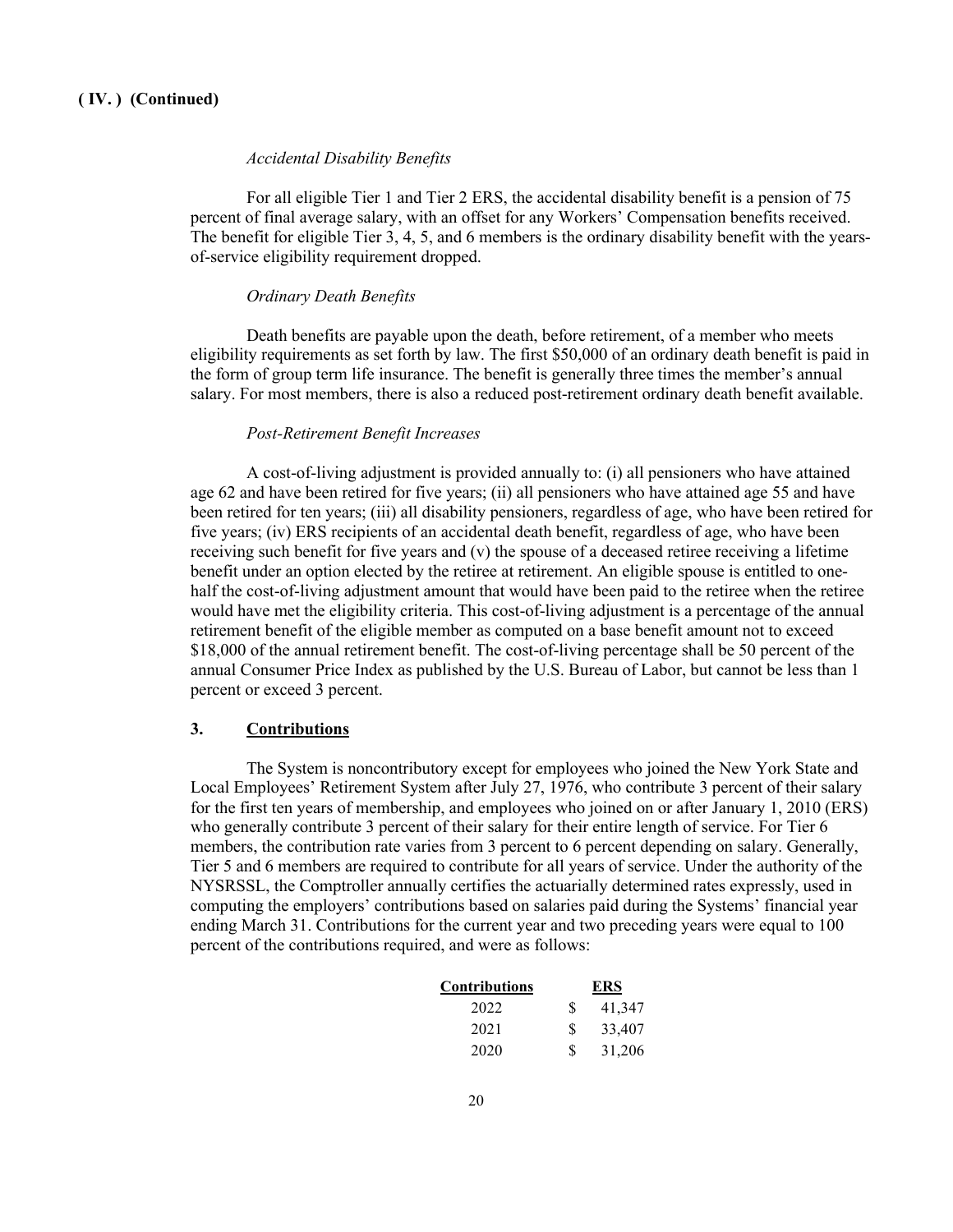#### *Accidental Disability Benefits*

For all eligible Tier 1 and Tier 2 ERS, the accidental disability benefit is a pension of 75 percent of final average salary, with an offset for any Workers' Compensation benefits received. The benefit for eligible Tier 3, 4, 5, and 6 members is the ordinary disability benefit with the yearsof-service eligibility requirement dropped.

#### *Ordinary Death Benefits*

Death benefits are payable upon the death, before retirement, of a member who meets eligibility requirements as set forth by law. The first \$50,000 of an ordinary death benefit is paid in the form of group term life insurance. The benefit is generally three times the member's annual salary. For most members, there is also a reduced post-retirement ordinary death benefit available.

#### *Post-Retirement Benefit Increases*

A cost-of-living adjustment is provided annually to: (i) all pensioners who have attained age 62 and have been retired for five years; (ii) all pensioners who have attained age 55 and have been retired for ten years; (iii) all disability pensioners, regardless of age, who have been retired for five years; (iv) ERS recipients of an accidental death benefit, regardless of age, who have been receiving such benefit for five years and (v) the spouse of a deceased retiree receiving a lifetime benefit under an option elected by the retiree at retirement. An eligible spouse is entitled to onehalf the cost-of-living adjustment amount that would have been paid to the retiree when the retiree would have met the eligibility criteria. This cost-of-living adjustment is a percentage of the annual retirement benefit of the eligible member as computed on a base benefit amount not to exceed \$18,000 of the annual retirement benefit. The cost-of-living percentage shall be 50 percent of the annual Consumer Price Index as published by the U.S. Bureau of Labor, but cannot be less than 1 percent or exceed 3 percent.

# **3. Contributions**

The System is noncontributory except for employees who joined the New York State and Local Employees' Retirement System after July 27, 1976, who contribute 3 percent of their salary for the first ten years of membership, and employees who joined on or after January 1, 2010 (ERS) who generally contribute 3 percent of their salary for their entire length of service. For Tier 6 members, the contribution rate varies from 3 percent to 6 percent depending on salary. Generally, Tier 5 and 6 members are required to contribute for all years of service. Under the authority of the NYSRSSL, the Comptroller annually certifies the actuarially determined rates expressly, used in computing the employers' contributions based on salaries paid during the Systems' financial year ending March 31. Contributions for the current year and two preceding years were equal to 100 percent of the contributions required, and were as follows:

| Contributions |   | ERS    |
|---------------|---|--------|
| 2022          | S | 41,347 |
| 2021          | S | 33,407 |
| 2020          | S | 31,206 |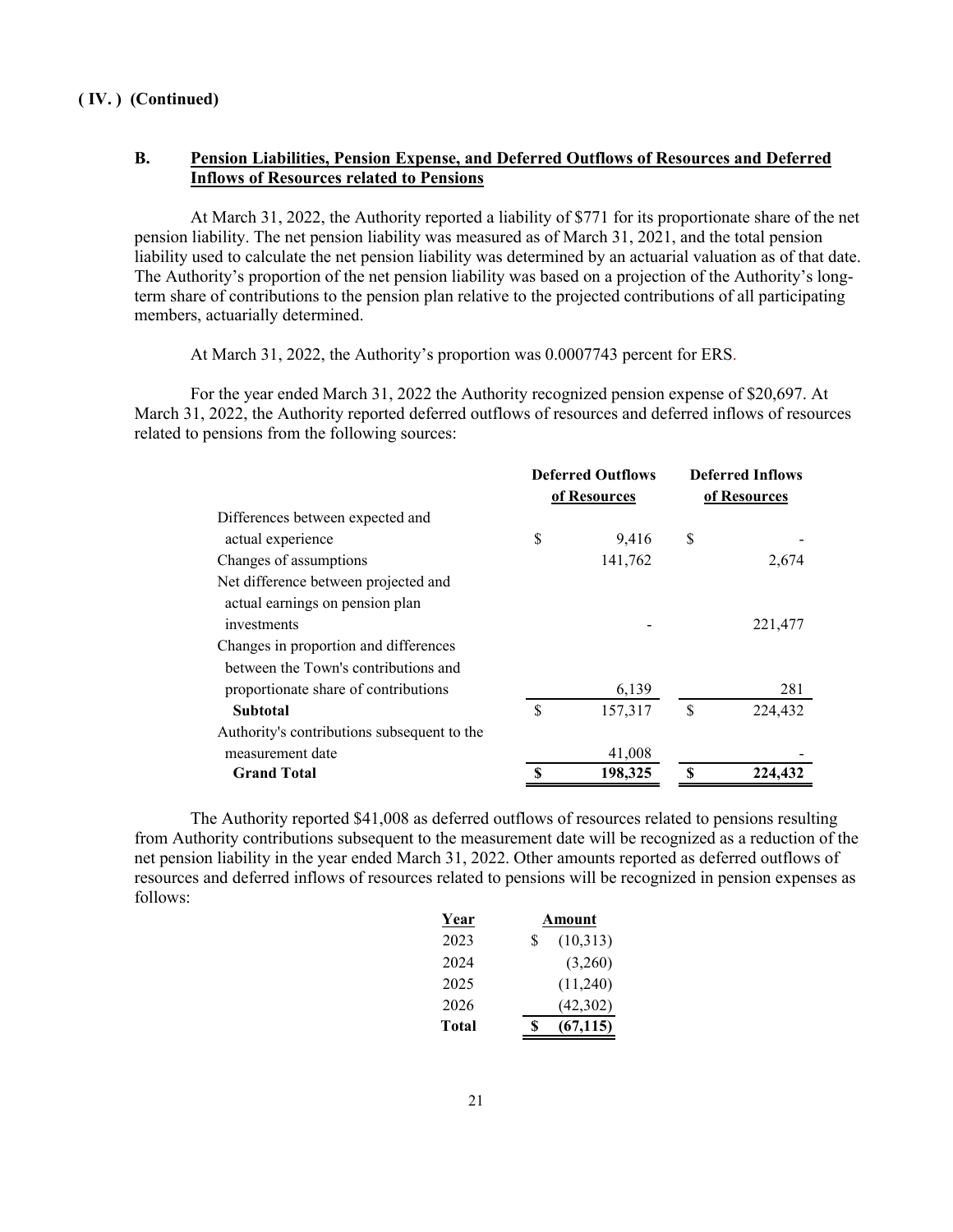# **B. Pension Liabilities, Pension Expense, and Deferred Outflows of Resources and Deferred Inflows of Resources related to Pensions**

At March 31, 2022, the Authority reported a liability of \$771 for its proportionate share of the net pension liability. The net pension liability was measured as of March 31, 2021, and the total pension liability used to calculate the net pension liability was determined by an actuarial valuation as of that date. The Authority's proportion of the net pension liability was based on a projection of the Authority's longterm share of contributions to the pension plan relative to the projected contributions of all participating members, actuarially determined.

At March 31, 2022, the Authority's proportion was 0.0007743 percent for ERS.

For the year ended March 31, 2022 the Authority recognized pension expense of \$20,697. At March 31, 2022, the Authority reported deferred outflows of resources and deferred inflows of resources related to pensions from the following sources:

|                                             | <b>Deferred Outflows</b> |              | <b>Deferred Inflows</b> |         |  |
|---------------------------------------------|--------------------------|--------------|-------------------------|---------|--|
|                                             |                          | of Resources | of Resources            |         |  |
| Differences between expected and            |                          |              |                         |         |  |
| actual experience                           | \$                       | 9,416        | S                       |         |  |
| Changes of assumptions                      |                          | 141,762      |                         | 2,674   |  |
| Net difference between projected and        |                          |              |                         |         |  |
| actual earnings on pension plan             |                          |              |                         |         |  |
| investments                                 |                          |              |                         | 221,477 |  |
| Changes in proportion and differences       |                          |              |                         |         |  |
| between the Town's contributions and        |                          |              |                         |         |  |
| proportionate share of contributions        |                          | 6,139        |                         | 281     |  |
| Subtotal                                    | <sup>\$</sup>            | 157,317      | \$                      | 224,432 |  |
| Authority's contributions subsequent to the |                          |              |                         |         |  |
| measurement date                            |                          | 41,008       |                         |         |  |
| <b>Grand Total</b>                          |                          | 198,325      |                         | 224,432 |  |

The Authority reported \$41,008 as deferred outflows of resources related to pensions resulting from Authority contributions subsequent to the measurement date will be recognized as a reduction of the net pension liability in the year ended March 31, 2022. Other amounts reported as deferred outflows of resources and deferred inflows of resources related to pensions will be recognized in pension expenses as follows:

| Year  |   | Amount    |  |  |  |  |  |
|-------|---|-----------|--|--|--|--|--|
| 2023  | S | (10,313)  |  |  |  |  |  |
| 2024  |   | (3,260)   |  |  |  |  |  |
| 2025  |   | (11,240)  |  |  |  |  |  |
| 2026  |   | (42,302)  |  |  |  |  |  |
| Total |   | (67, 115) |  |  |  |  |  |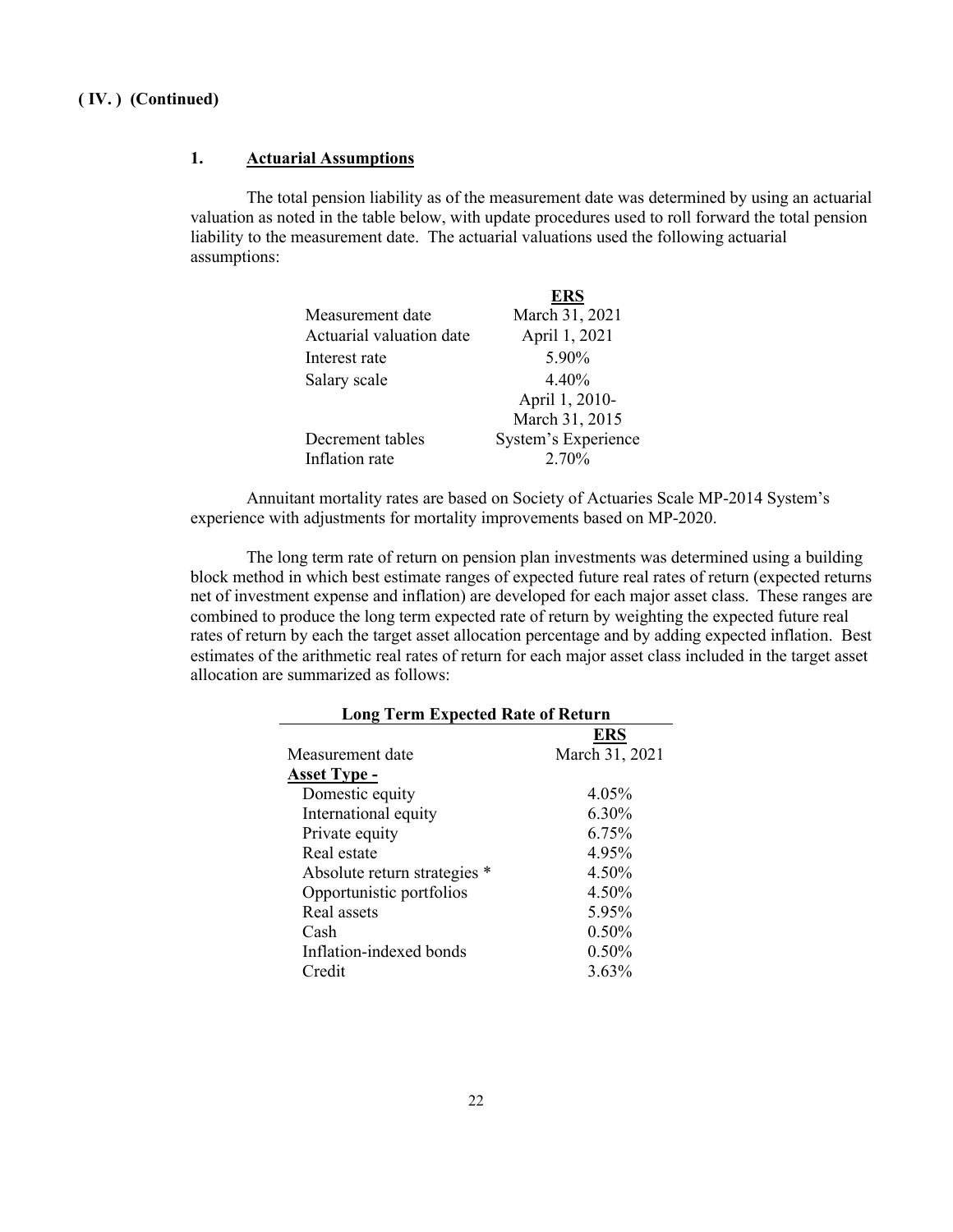### **1. Actuarial Assumptions**

The total pension liability as of the measurement date was determined by using an actuarial valuation as noted in the table below, with update procedures used to roll forward the total pension liability to the measurement date. The actuarial valuations used the following actuarial assumptions:

| ERS                 |
|---------------------|
| March 31, 2021      |
| April 1, 2021       |
| 5.90%               |
| 4.40%               |
| April 1, 2010-      |
| March 31, 2015      |
| System's Experience |
| 2.70%               |
|                     |

Annuitant mortality rates are based on Society of Actuaries Scale MP-2014 System's experience with adjustments for mortality improvements based on MP-2020.

The long term rate of return on pension plan investments was determined using a building block method in which best estimate ranges of expected future real rates of return (expected returns net of investment expense and inflation) are developed for each major asset class. These ranges are combined to produce the long term expected rate of return by weighting the expected future real rates of return by each the target asset allocation percentage and by adding expected inflation. Best estimates of the arithmetic real rates of return for each major asset class included in the target asset allocation are summarized as follows:

| <b>Long Term Expected Rate of Return</b> |                |  |  |  |  |  |
|------------------------------------------|----------------|--|--|--|--|--|
|                                          | ERS            |  |  |  |  |  |
| Measurement date                         | March 31, 2021 |  |  |  |  |  |
| <b>Asset Type -</b>                      |                |  |  |  |  |  |
| Domestic equity                          | 4.05%          |  |  |  |  |  |
| International equity                     | 6.30%          |  |  |  |  |  |
| Private equity                           | 6.75%          |  |  |  |  |  |
| Real estate                              | 4.95%          |  |  |  |  |  |
| Absolute return strategies *             | 4.50%          |  |  |  |  |  |
| Opportunistic portfolios                 | 4.50%          |  |  |  |  |  |
| Real assets                              | 5.95%          |  |  |  |  |  |
| Cash                                     | $0.50\%$       |  |  |  |  |  |
| Inflation-indexed bonds                  | 0.50%          |  |  |  |  |  |
| Credit                                   | $3.63\%$       |  |  |  |  |  |
|                                          |                |  |  |  |  |  |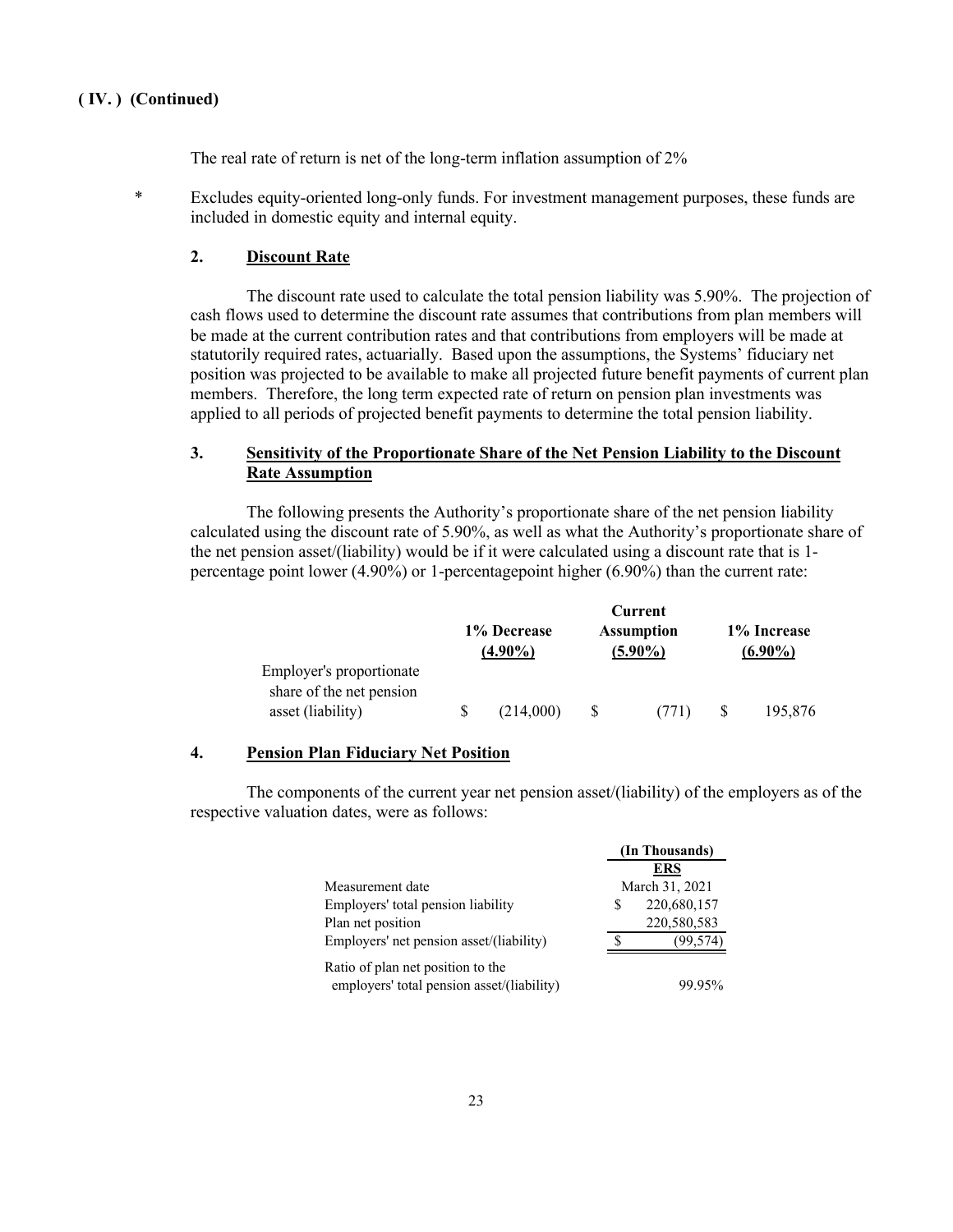The real rate of return is net of the long-term inflation assumption of 2%

\* Excludes equity-oriented long-only funds. For investment management purposes, these funds are included in domestic equity and internal equity.

## **2. Discount Rate**

The discount rate used to calculate the total pension liability was 5.90%. The projection of cash flows used to determine the discount rate assumes that contributions from plan members will be made at the current contribution rates and that contributions from employers will be made at statutorily required rates, actuarially. Based upon the assumptions, the Systems' fiduciary net position was projected to be available to make all projected future benefit payments of current plan members. Therefore, the long term expected rate of return on pension plan investments was applied to all periods of projected benefit payments to determine the total pension liability.

# **3. Sensitivity of the Proportionate Share of the Net Pension Liability to the Discount Rate Assumption**

The following presents the Authority's proportionate share of the net pension liability calculated using the discount rate of 5.90%, as well as what the Authority's proportionate share of the net pension asset/(liability) would be if it were calculated using a discount rate that is 1 percentage point lower (4.90%) or 1-percentagepoint higher (6.90%) than the current rate:

|                                                      | 1% Decrease<br>$(4.90\%)$ |           | Current<br><b>Assumption</b><br>$(5.90\%)$ | 1% Increase<br>$(6.90\%)$ |         |  |
|------------------------------------------------------|---------------------------|-----------|--------------------------------------------|---------------------------|---------|--|
| Employer's proportionate<br>share of the net pension |                           |           |                                            |                           |         |  |
| asset (liability)                                    | S                         | (214,000) | (771)                                      |                           | 195,876 |  |

## **4. Pension Plan Fiduciary Net Position**

The components of the current year net pension asset/(liability) of the employers as of the respective valuation dates, were as follows:

|                                            | (In Thousands) |
|--------------------------------------------|----------------|
|                                            | <b>ERS</b>     |
| Measurement date                           | March 31, 2021 |
| Employers' total pension liability         | 220,680,157    |
| Plan net position                          | 220,580,583    |
| Employers' net pension asset/(liability)   | (99,574)       |
| Ratio of plan net position to the          |                |
| employers' total pension asset/(liability) | 99.95%         |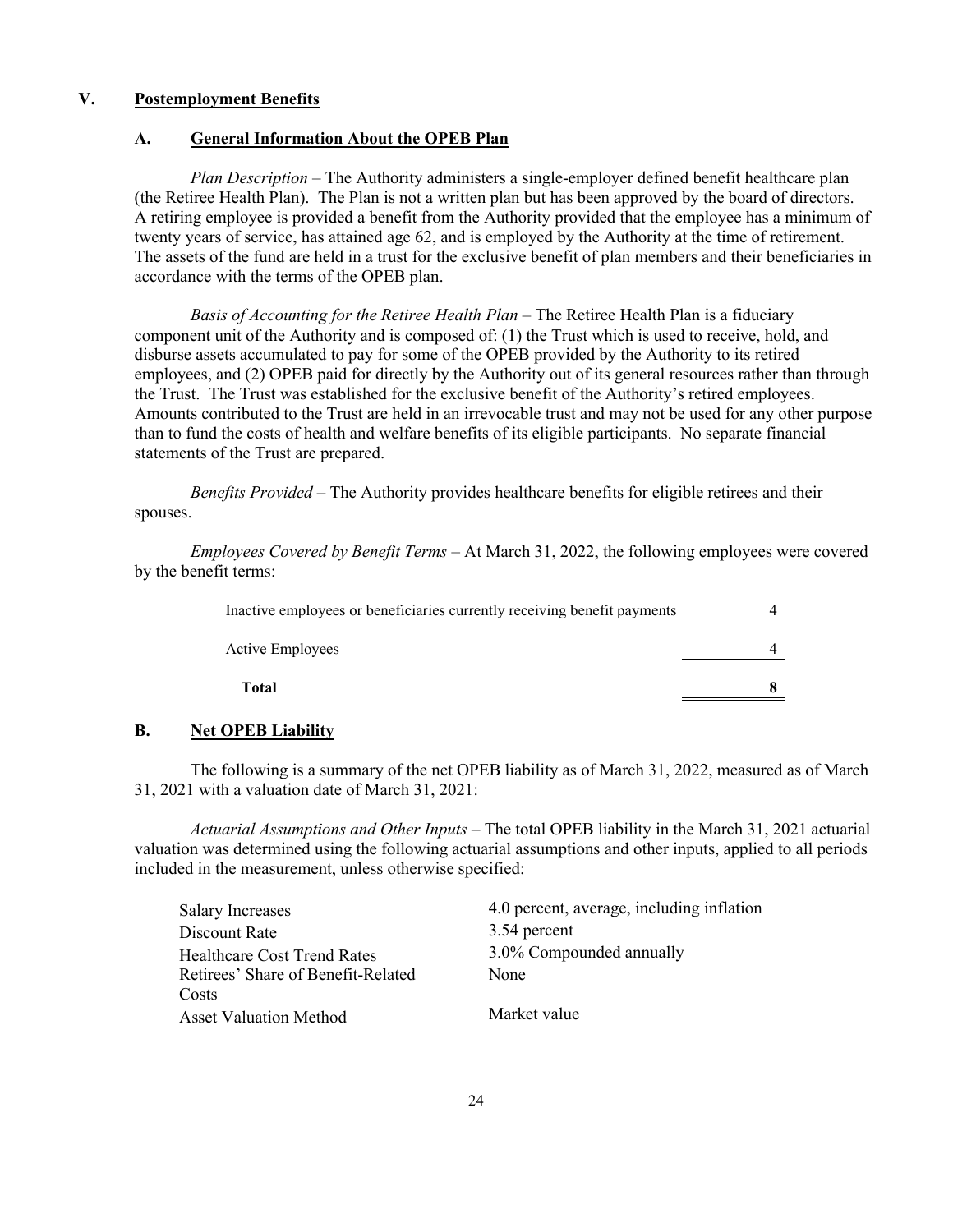#### **V. Postemployment Benefits**

#### **A. General Information About the OPEB Plan**

*Plan Description* – The Authority administers a single-employer defined benefit healthcare plan (the Retiree Health Plan). The Plan is not a written plan but has been approved by the board of directors. A retiring employee is provided a benefit from the Authority provided that the employee has a minimum of twenty years of service, has attained age 62, and is employed by the Authority at the time of retirement. The assets of the fund are held in a trust for the exclusive benefit of plan members and their beneficiaries in accordance with the terms of the OPEB plan.

*Basis of Accounting for the Retiree Health Plan* – The Retiree Health Plan is a fiduciary component unit of the Authority and is composed of: (1) the Trust which is used to receive, hold, and disburse assets accumulated to pay for some of the OPEB provided by the Authority to its retired employees, and (2) OPEB paid for directly by the Authority out of its general resources rather than through the Trust. The Trust was established for the exclusive benefit of the Authority's retired employees. Amounts contributed to the Trust are held in an irrevocable trust and may not be used for any other purpose than to fund the costs of health and welfare benefits of its eligible participants. No separate financial statements of the Trust are prepared.

*Benefits Provided* – The Authority provides healthcare benefits for eligible retirees and their spouses.

*Employees Covered by Benefit Terms* – At March 31, 2022, the following employees were covered by the benefit terms:

| Inactive employees or beneficiaries currently receiving benefit payments |  |
|--------------------------------------------------------------------------|--|
| <b>Active Employees</b>                                                  |  |
| Total                                                                    |  |
|                                                                          |  |

# **B. Net OPEB Liability**

The following is a summary of the net OPEB liability as of March 31, 2022, measured as of March 31, 2021 with a valuation date of March 31, 2021:

*Actuarial Assumptions and Other Inputs* – The total OPEB liability in the March 31, 2021 actuarial valuation was determined using the following actuarial assumptions and other inputs, applied to all periods included in the measurement, unless otherwise specified:

| <b>Salary Increases</b>            | 4.0 percent, average, including inflation |
|------------------------------------|-------------------------------------------|
| Discount Rate                      | 3.54 percent                              |
| <b>Healthcare Cost Trend Rates</b> | 3.0% Compounded annually                  |
| Retirees' Share of Benefit-Related | None                                      |
| Costs                              |                                           |
| <b>Asset Valuation Method</b>      | Market value                              |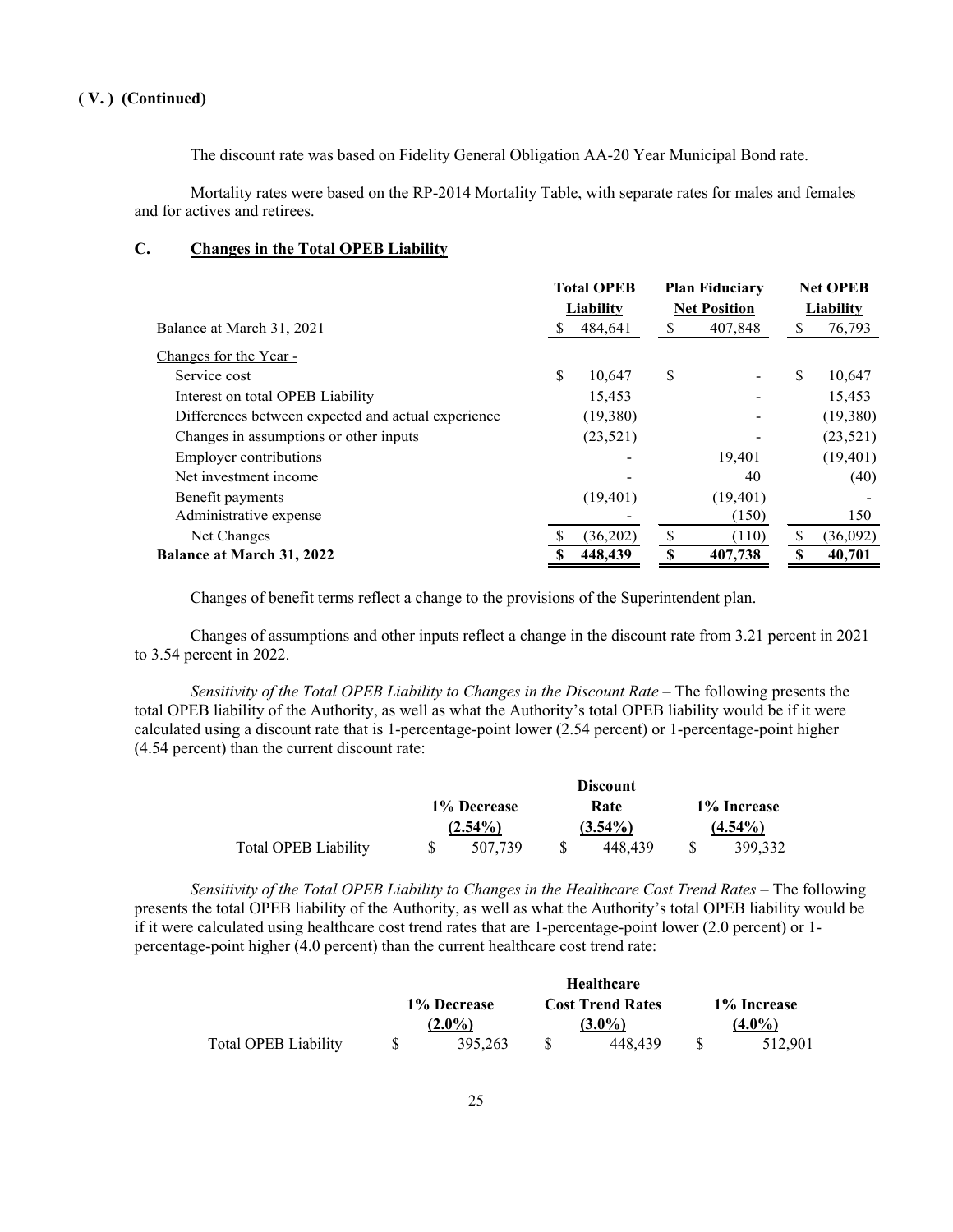The discount rate was based on Fidelity General Obligation AA-20 Year Municipal Bond rate.

Mortality rates were based on the RP-2014 Mortality Table, with separate rates for males and females and for actives and retirees.

#### **C. Changes in the Total OPEB Liability**

|                                                    | <b>Total OPEB</b> |           |     | <b>Plan Fiduciary</b> |     | <b>Net OPEB</b> |  |
|----------------------------------------------------|-------------------|-----------|-----|-----------------------|-----|-----------------|--|
|                                                    |                   | Liability |     | <b>Net Position</b>   |     | Liability       |  |
| Balance at March 31, 2021                          |                   | 484,641   | S   | 407,848               | \$  | 76,793          |  |
| Changes for the Year -                             |                   |           |     |                       |     |                 |  |
| Service cost                                       | \$                | 10.647    | \$  |                       | \$  | 10,647          |  |
| Interest on total OPEB Liability                   |                   | 15,453    |     |                       |     | 15,453          |  |
| Differences between expected and actual experience |                   | (19,380)  |     |                       |     | (19,380)        |  |
| Changes in assumptions or other inputs             |                   | (23,521)  |     |                       |     | (23,521)        |  |
| Employer contributions                             |                   |           |     | 19,401                |     | (19, 401)       |  |
| Net investment income                              |                   |           |     | 40                    |     | (40)            |  |
| Benefit payments                                   |                   | (19,401)  |     | (19, 401)             |     |                 |  |
| Administrative expense                             |                   |           |     | (150)                 |     | 150             |  |
| Net Changes                                        |                   | (36,202)  | \$. | (110)                 | \$. | (36,092)        |  |
| <b>Balance at March 31, 2022</b>                   |                   | 448,439   |     | 407,738               | S   | 40,701          |  |

Changes of benefit terms reflect a change to the provisions of the Superintendent plan.

Changes of assumptions and other inputs reflect a change in the discount rate from 3.21 percent in 2021 to 3.54 percent in 2022.

*Sensitivity of the Total OPEB Liability to Changes in the Discount Rate* – The following presents the total OPEB liability of the Authority, as well as what the Authority's total OPEB liability would be if it were calculated using a discount rate that is 1-percentage-point lower (2.54 percent) or 1-percentage-point higher (4.54 percent) than the current discount rate:

|                      | <b>Discount</b> |            |  |            |  |             |  |
|----------------------|-----------------|------------|--|------------|--|-------------|--|
|                      | 1% Decrease     |            |  | Rate       |  | 1% Increase |  |
|                      |                 | $(2.54\%)$ |  | $(3.54\%)$ |  | $(4.54\%)$  |  |
| Total OPEB Liability |                 | 507.739    |  | 448.439    |  | 399.332     |  |

*Sensitivity of the Total OPEB Liability to Changes in the Healthcare Cost Trend Rates* – The following presents the total OPEB liability of the Authority, as well as what the Authority's total OPEB liability would be if it were calculated using healthcare cost trend rates that are 1-percentage-point lower (2.0 percent) or 1 percentage-point higher (4.0 percent) than the current healthcare cost trend rate:

|                             |             | Healthcare              |             |
|-----------------------------|-------------|-------------------------|-------------|
|                             | 1% Decrease | <b>Cost Trend Rates</b> | 1% Increase |
|                             | $(2.0\%)$   | $(3.0\%)$               | $(4.0\%)$   |
| <b>Total OPEB Liability</b> | 395.263     | 448.439                 | 512.901     |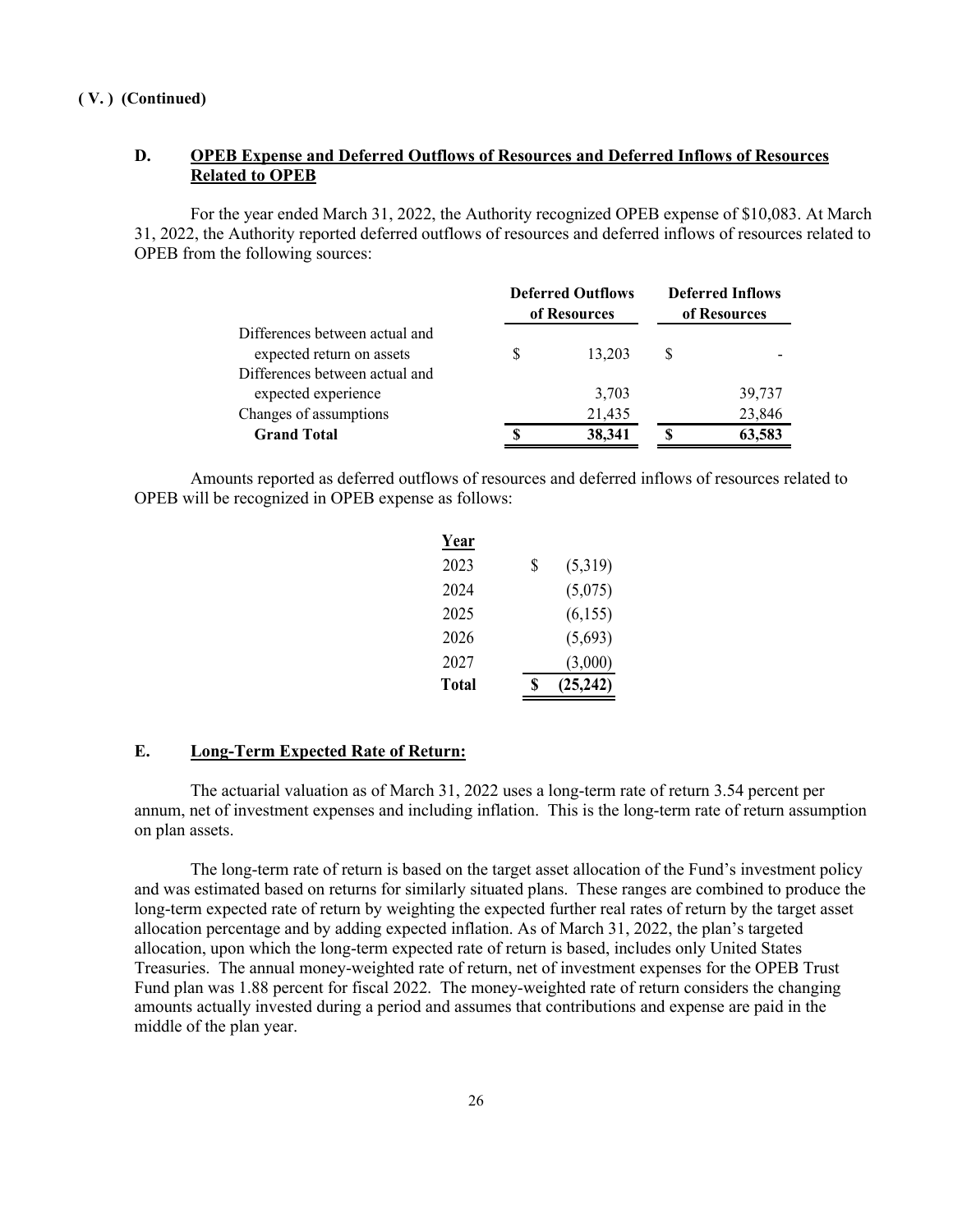### **D. OPEB Expense and Deferred Outflows of Resources and Deferred Inflows of Resources Related to OPEB**

For the year ended March 31, 2022, the Authority recognized OPEB expense of \$10,083. At March 31, 2022, the Authority reported deferred outflows of resources and deferred inflows of resources related to OPEB from the following sources:

|                                                                                               |   | <b>Deferred Outflows</b><br>of Resources | <b>Deferred Inflows</b><br>of Resources |        |  |  |
|-----------------------------------------------------------------------------------------------|---|------------------------------------------|-----------------------------------------|--------|--|--|
| Differences between actual and<br>expected return on assets<br>Differences between actual and | S | 13.203                                   | S                                       |        |  |  |
| expected experience                                                                           |   | 3,703                                    |                                         | 39,737 |  |  |
| Changes of assumptions                                                                        |   | 21,435                                   |                                         | 23,846 |  |  |
| <b>Grand Total</b>                                                                            |   | 38,341                                   | \$                                      | 63,583 |  |  |

Amounts reported as deferred outflows of resources and deferred inflows of resources related to OPEB will be recognized in OPEB expense as follows:

| Year         |    |           |
|--------------|----|-----------|
| 2023         | \$ | (5,319)   |
| 2024         |    | (5,075)   |
| 2025         |    | (6, 155)  |
| 2026         |    | (5,693)   |
| 2027         |    | (3,000)   |
| <b>Total</b> | ς  | (25, 242) |
|              |    |           |

#### **E. Long-Term Expected Rate of Return:**

The actuarial valuation as of March 31, 2022 uses a long-term rate of return 3.54 percent per annum, net of investment expenses and including inflation. This is the long-term rate of return assumption on plan assets.

The long-term rate of return is based on the target asset allocation of the Fund's investment policy and was estimated based on returns for similarly situated plans. These ranges are combined to produce the long-term expected rate of return by weighting the expected further real rates of return by the target asset allocation percentage and by adding expected inflation. As of March 31, 2022, the plan's targeted allocation, upon which the long-term expected rate of return is based, includes only United States Treasuries. The annual money-weighted rate of return, net of investment expenses for the OPEB Trust Fund plan was 1.88 percent for fiscal 2022. The money-weighted rate of return considers the changing amounts actually invested during a period and assumes that contributions and expense are paid in the middle of the plan year.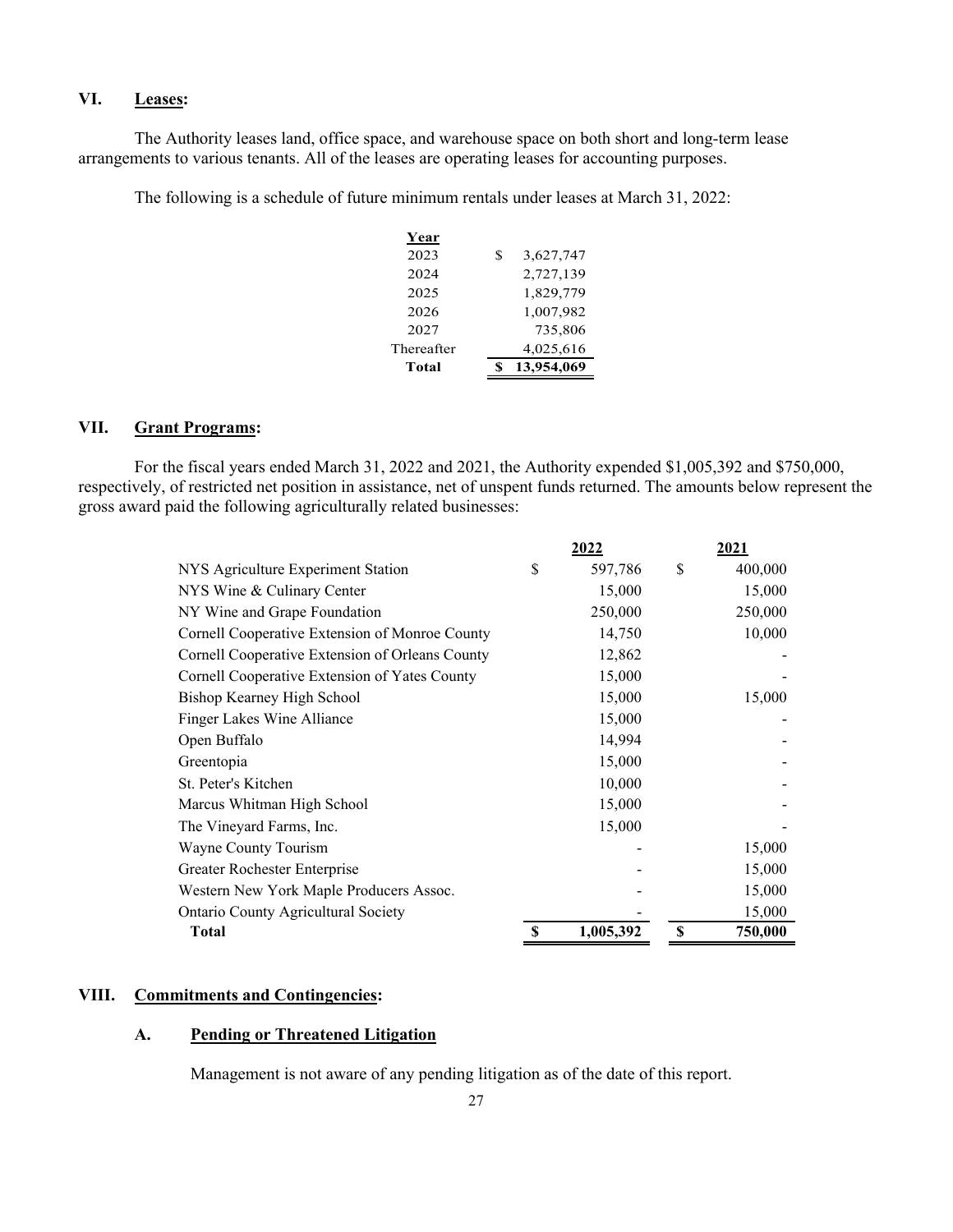# **VI. Leases:**

The Authority leases land, office space, and warehouse space on both short and long-term lease arrangements to various tenants. All of the leases are operating leases for accounting purposes.

The following is a schedule of future minimum rentals under leases at March 31, 2022:

| Year       |   |            |
|------------|---|------------|
| 2023       | S | 3,627,747  |
| 2024       |   | 2,727,139  |
| 2025       |   | 1,829,779  |
| 2026       |   | 1,007,982  |
| 2027       |   | 735,806    |
| Thereafter |   | 4,025,616  |
| Total      |   | 13,954,069 |
|            |   |            |

### **VII. Grant Programs:**

For the fiscal years ended March 31, 2022 and 2021, the Authority expended \$1,005,392 and \$750,000, respectively, of restricted net position in assistance, net of unspent funds returned. The amounts below represent the gross award paid the following agriculturally related businesses:

|                                                 | <u> 2022</u>    | <u>2021</u>   |
|-------------------------------------------------|-----------------|---------------|
| NYS Agriculture Experiment Station              | \$<br>597,786   | \$<br>400,000 |
| NYS Wine & Culinary Center                      | 15,000          | 15,000        |
| NY Wine and Grape Foundation                    | 250,000         | 250,000       |
| Cornell Cooperative Extension of Monroe County  | 14,750          | 10,000        |
| Cornell Cooperative Extension of Orleans County | 12,862          |               |
| Cornell Cooperative Extension of Yates County   | 15,000          |               |
| Bishop Kearney High School                      | 15,000          | 15,000        |
| Finger Lakes Wine Alliance                      | 15,000          |               |
| Open Buffalo                                    | 14,994          |               |
| Greentopia                                      | 15,000          |               |
| St. Peter's Kitchen                             | 10,000          |               |
| Marcus Whitman High School                      | 15,000          |               |
| The Vineyard Farms, Inc.                        | 15,000          |               |
| Wayne County Tourism                            |                 | 15,000        |
| Greater Rochester Enterprise                    |                 | 15,000        |
| Western New York Maple Producers Assoc.         |                 | 15,000        |
| <b>Ontario County Agricultural Society</b>      |                 | 15,000        |
| <b>Total</b>                                    | \$<br>1,005,392 | \$<br>750,000 |

### **VIII. Commitments and Contingencies:**

# **A. Pending or Threatened Litigation**

Management is not aware of any pending litigation as of the date of this report.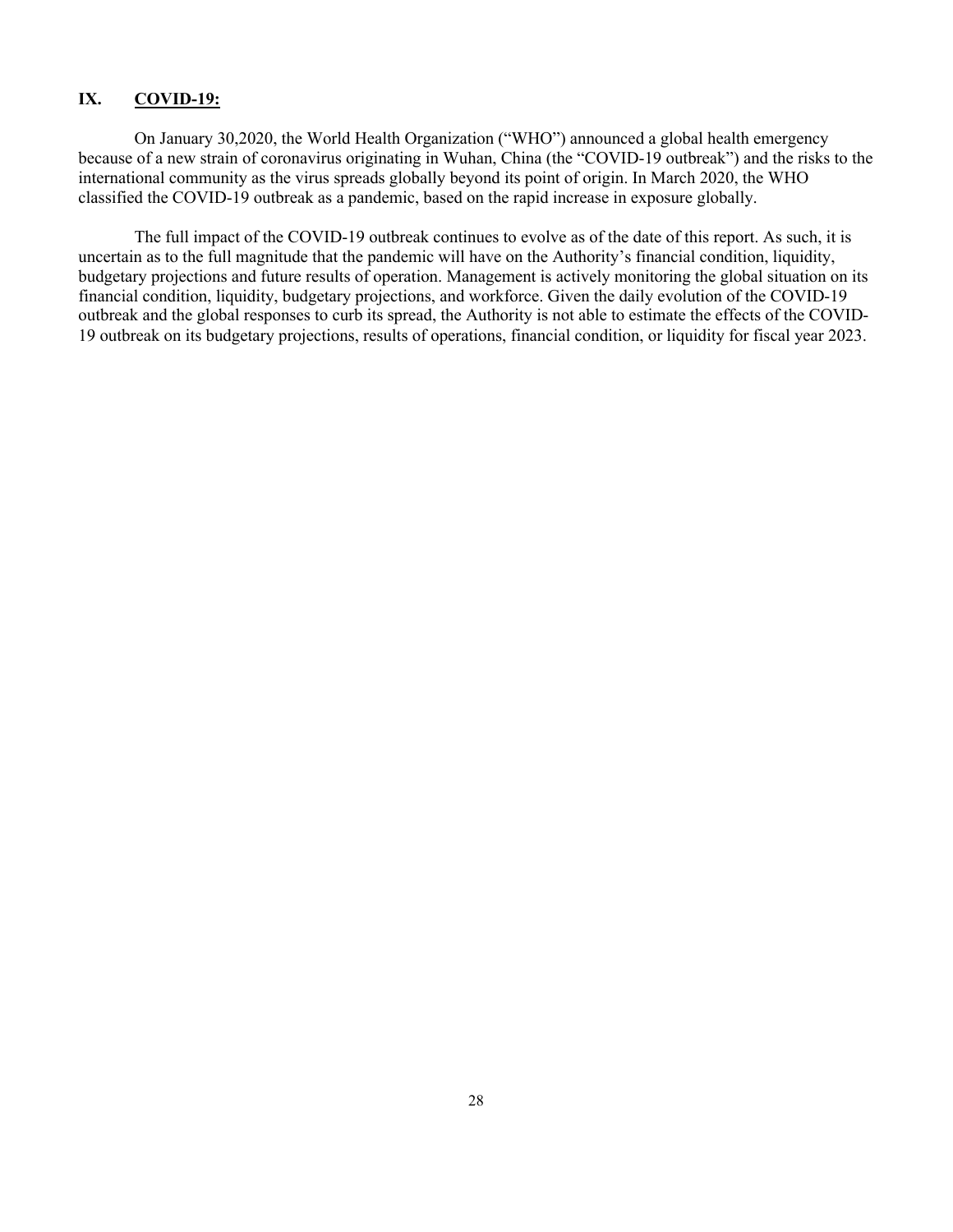# **IX. COVID-19:**

On January 30,2020, the World Health Organization ("WHO") announced a global health emergency because of a new strain of coronavirus originating in Wuhan, China (the "COVID-19 outbreak") and the risks to the international community as the virus spreads globally beyond its point of origin. In March 2020, the WHO classified the COVID-19 outbreak as a pandemic, based on the rapid increase in exposure globally.

The full impact of the COVID-19 outbreak continues to evolve as of the date of this report. As such, it is uncertain as to the full magnitude that the pandemic will have on the Authority's financial condition, liquidity, budgetary projections and future results of operation. Management is actively monitoring the global situation on its financial condition, liquidity, budgetary projections, and workforce. Given the daily evolution of the COVID-19 outbreak and the global responses to curb its spread, the Authority is not able to estimate the effects of the COVID-19 outbreak on its budgetary projections, results of operations, financial condition, or liquidity for fiscal year 2023.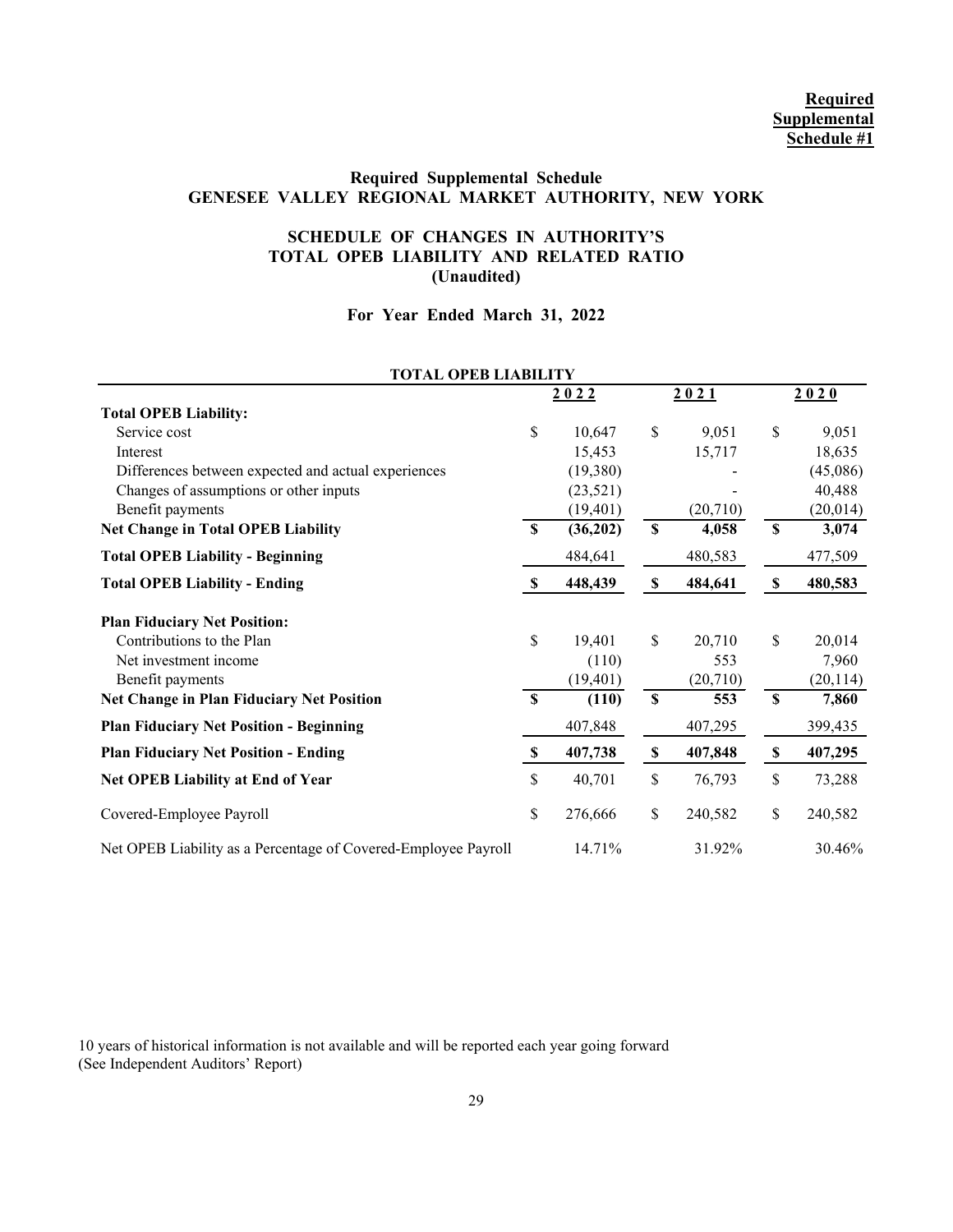# **Required Supplemental Schedule GENESEE VALLEY REGIONAL MARKET AUTHORITY, NEW YORK**

# **SCHEDULE OF CHANGES IN AUTHORITY'S TOTAL OPEB LIABILITY AND RELATED RATIO (Unaudited)**

### **For Year Ended March 31, 2022**

| <b>TOTAL OPEB LIABILITY</b>                                    |                           |           |              |           |                           |           |
|----------------------------------------------------------------|---------------------------|-----------|--------------|-----------|---------------------------|-----------|
|                                                                |                           | 2022      |              | 2021      |                           | 2020      |
| <b>Total OPEB Liability:</b>                                   |                           |           |              |           |                           |           |
| Service cost                                                   | $\mathbb{S}$              | 10,647    | $\mathbb{S}$ | 9,051     | $\mathbb{S}$              | 9,051     |
| Interest                                                       |                           | 15,453    |              | 15,717    |                           | 18,635    |
| Differences between expected and actual experiences            |                           | (19,380)  |              |           |                           | (45,086)  |
| Changes of assumptions or other inputs                         |                           | (23,521)  |              |           |                           | 40,488    |
| Benefit payments                                               |                           | (19, 401) |              | (20, 710) |                           | (20, 014) |
| <b>Net Change in Total OPEB Liability</b>                      | $\mathbf{s}$              | (36,202)  | \$           | 4,058     | <b>S</b>                  | 3,074     |
| <b>Total OPEB Liability - Beginning</b>                        |                           | 484,641   |              | 480,583   |                           | 477,509   |
| <b>Total OPEB Liability - Ending</b>                           | $\boldsymbol{\mathsf{s}}$ | 448,439   | $\mathbb S$  | 484,641   | $\boldsymbol{\mathsf{S}}$ | 480,583   |
| <b>Plan Fiduciary Net Position:</b>                            |                           |           |              |           |                           |           |
| Contributions to the Plan                                      | \$                        | 19,401    | $\mathbb{S}$ | 20,710    | $\mathbb{S}$              | 20,014    |
| Net investment income                                          |                           | (110)     |              | 553       |                           | 7,960     |
| Benefit payments                                               |                           | (19, 401) |              | (20, 710) |                           | (20, 114) |
| <b>Net Change in Plan Fiduciary Net Position</b>               | $\mathbf S$               | (110)     | $\mathbf S$  | 553       | $\mathbf{s}$              | 7,860     |
| <b>Plan Fiduciary Net Position - Beginning</b>                 |                           | 407,848   |              | 407,295   |                           | 399,435   |
| <b>Plan Fiduciary Net Position - Ending</b>                    | <sup>\$</sup>             | 407,738   | $\mathbb S$  | 407,848   | $\mathbf S$               | 407,295   |
| <b>Net OPEB Liability at End of Year</b>                       | \$                        | 40,701    | \$           | 76,793    | $\mathbb{S}$              | 73,288    |
| Covered-Employee Payroll                                       | $\mathbb S$               | 276,666   | \$           | 240,582   | \$                        | 240,582   |
| Net OPEB Liability as a Percentage of Covered-Employee Payroll |                           | 14.71%    |              | 31.92%    |                           | 30.46%    |

10 years of historical information is not available and will be reported each year going forward (See Independent Auditors' Report)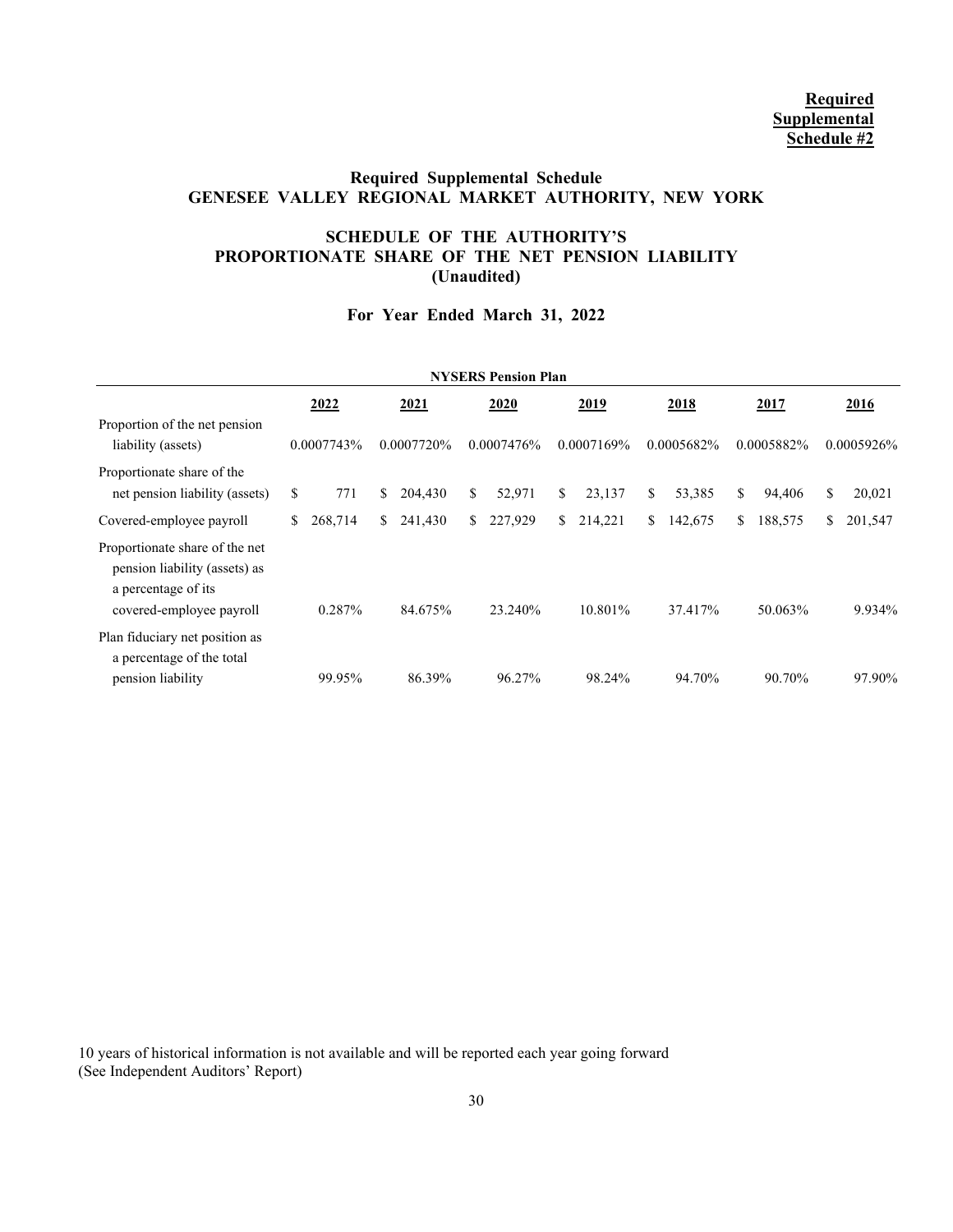## **Required Supplemental Schedule GENESEE VALLEY REGIONAL MARKET AUTHORITY, NEW YORK**

# **SCHEDULE OF THE AUTHORITY'S PROPORTIONATE SHARE OF THE NET PENSION LIABILITY (Unaudited)**

### **For Year Ended March 31, 2022**

| <b>NYSERS Pension Plan</b>                                                                                         |    |            |    |            |    |            |    |            |    |            |    |            |    |            |
|--------------------------------------------------------------------------------------------------------------------|----|------------|----|------------|----|------------|----|------------|----|------------|----|------------|----|------------|
|                                                                                                                    |    | 2022       |    | 2021       |    | 2020       |    | 2019       |    | 2018       |    | 2017       |    | 2016       |
| Proportion of the net pension<br>liability (assets)                                                                |    | 0.0007743% |    | 0.0007720% |    | 0.0007476% |    | 0.0007169% |    | 0.0005682% |    | 0.0005882% |    | 0.0005926% |
| Proportionate share of the<br>net pension liability (assets)                                                       | \$ | 771        | \$ | 204,430    | \$ | 52,971     | \$ | 23,137     | \$ | 53,385     | \$ | 94,406     | \$ | 20,021     |
| Covered-employee payroll                                                                                           | S. | 268,714    | S. | 241,430    | S. | 227,929    | S. | 214,221    | S. | 142,675    | S. | 188,575    | \$ | 201,547    |
| Proportionate share of the net<br>pension liability (assets) as<br>a percentage of its<br>covered-employee payroll |    | 0.287%     |    | 84.675%    |    | 23.240%    |    | 10.801%    |    | 37.417%    |    | 50.063%    |    | 9.934%     |
| Plan fiduciary net position as<br>a percentage of the total<br>pension liability                                   |    | 99.95%     |    | 86.39%     |    | 96.27%     |    | 98.24%     |    | 94.70%     |    | 90.70%     |    | 97.90%     |

10 years of historical information is not available and will be reported each year going forward (See Independent Auditors' Report)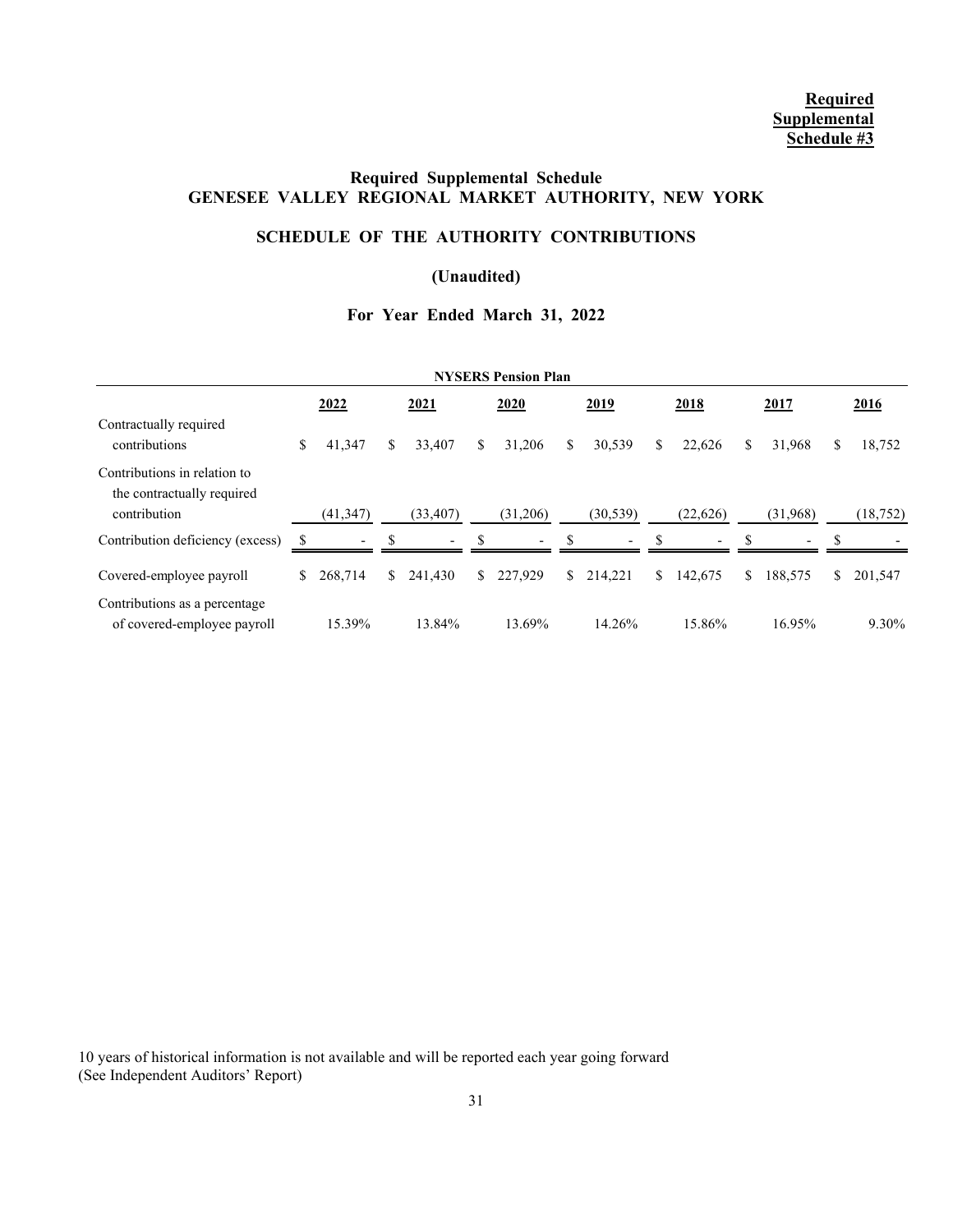# **Required Supplemental Schedule GENESEE VALLEY REGIONAL MARKET AUTHORITY, NEW YORK**

# **SCHEDULE OF THE AUTHORITY CONTRIBUTIONS**

# **(Unaudited)**

### **For Year Ended March 31, 2022**

| <b>NYSERS Pension Plan</b>                                   |    |           |    |                          |    |                          |    |                          |    |          |    |                          |     |           |
|--------------------------------------------------------------|----|-----------|----|--------------------------|----|--------------------------|----|--------------------------|----|----------|----|--------------------------|-----|-----------|
|                                                              |    | 2022      |    | 2021                     |    | 2020                     |    | 2019                     |    | 2018     |    | 2017                     |     | 2016      |
| Contractually required<br>contributions                      | \$ | 41,347    | \$ | 33,407                   | \$ | 31,206                   | \$ | 30,539                   | \$ | 22,626   | \$ | 31,968                   | \$  | 18,752    |
| Contributions in relation to<br>the contractually required   |    |           |    |                          |    |                          |    |                          |    |          |    |                          |     |           |
| contribution                                                 |    | (41, 347) |    | (33, 407)                |    | (31,206)                 |    | (30, 539)                |    | (22,626) |    | (31,968)                 |     | (18, 752) |
| Contribution deficiency (excess)                             |    |           | S  | $\overline{\phantom{a}}$ | S  | $\overline{\phantom{a}}$ | £. | $\overline{\phantom{0}}$ | S. | ٠        | S. | $\overline{\phantom{0}}$ | \$. |           |
| Covered-employee payroll                                     | S. | 268,714   | \$ | 241,430                  | \$ | 227,929                  | \$ | 214,221                  | \$ | 142,675  | \$ | 188,575                  | \$  | 201,547   |
| Contributions as a percentage<br>of covered-employee payroll |    | 15.39%    |    | 13.84%                   |    | 13.69%                   |    | 14.26%                   |    | 15.86%   |    | 16.95%                   |     | 9.30%     |

10 years of historical information is not available and will be reported each year going forward (See Independent Auditors' Report)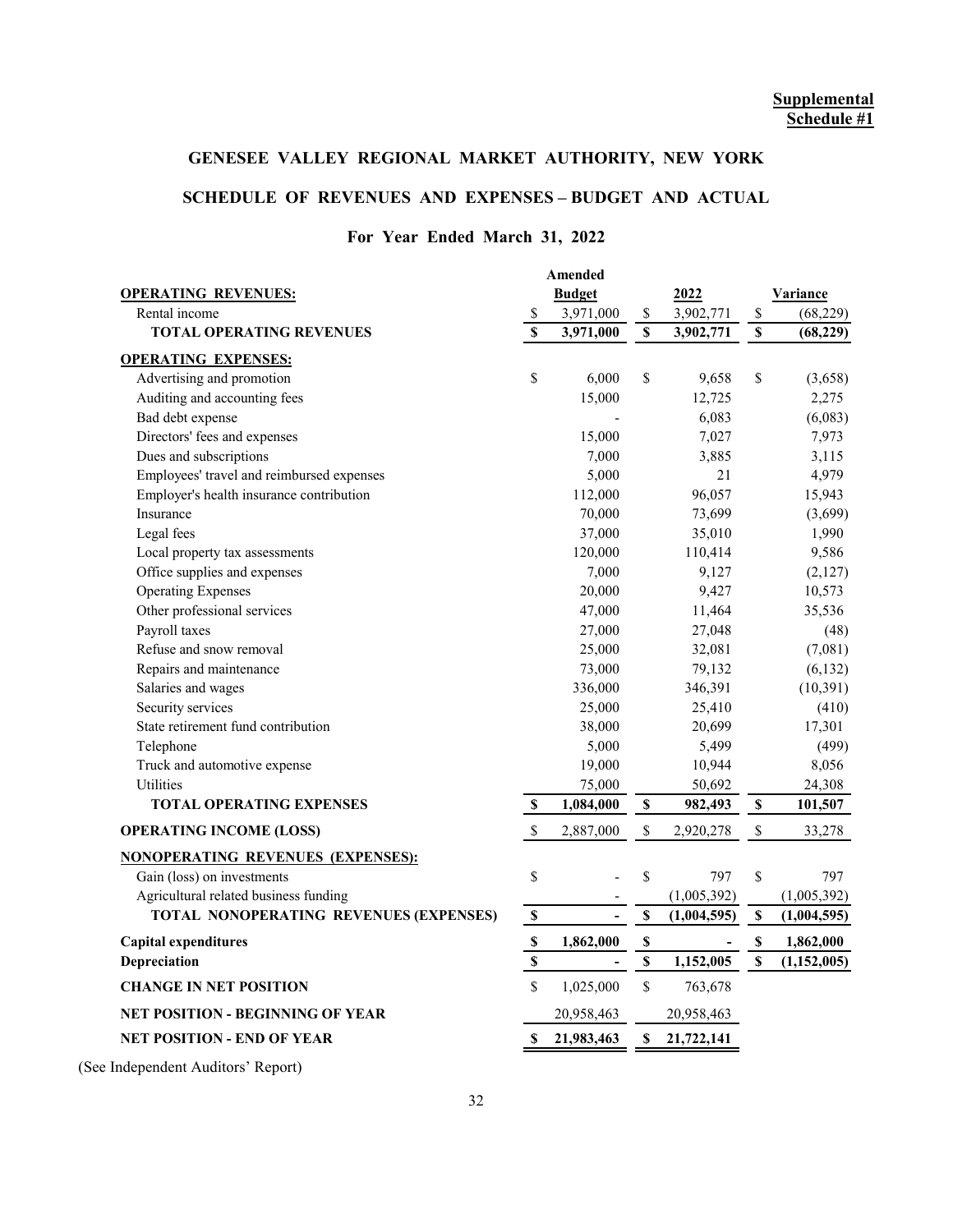# **SCHEDULE OF REVENUES AND EXPENSES – BUDGET AND ACTUAL**

# **For Year Ended March 31, 2022**

|                                           |                           | Amended        |                         |                          |                         |             |
|-------------------------------------------|---------------------------|----------------|-------------------------|--------------------------|-------------------------|-------------|
| <b>OPERATING REVENUES:</b>                |                           | <b>Budget</b>  |                         | 2022                     |                         | Variance    |
| Rental income                             | \$                        | 3,971,000      | \$                      | 3,902,771                | \$                      | (68, 229)   |
| <b>TOTAL OPERATING REVENUES</b>           | \$                        | 3,971,000      | $\mathbb{S}$            | 3,902,771                | \$                      | (68, 229)   |
| <b>OPERATING EXPENSES:</b>                |                           |                |                         |                          |                         |             |
| Advertising and promotion                 | \$                        | 6,000          | \$                      | 9,658                    | \$                      | (3,658)     |
| Auditing and accounting fees              |                           | 15,000         |                         | 12,725                   |                         | 2,275       |
| Bad debt expense                          |                           |                |                         | 6,083                    |                         | (6,083)     |
| Directors' fees and expenses              |                           | 15,000         |                         | 7,027                    |                         | 7,973       |
| Dues and subscriptions                    |                           | 7,000          |                         | 3,885                    |                         | 3,115       |
| Employees' travel and reimbursed expenses |                           | 5,000          |                         | 21                       |                         | 4,979       |
| Employer's health insurance contribution  |                           | 112,000        |                         | 96,057                   |                         | 15,943      |
| Insurance                                 |                           | 70,000         |                         | 73,699                   |                         | (3,699)     |
| Legal fees                                |                           | 37,000         |                         | 35,010                   |                         | 1,990       |
| Local property tax assessments            |                           | 120,000        |                         | 110,414                  |                         | 9,586       |
| Office supplies and expenses              |                           | 7,000          |                         | 9,127                    |                         | (2,127)     |
| <b>Operating Expenses</b>                 |                           | 20,000         |                         | 9,427                    |                         | 10,573      |
| Other professional services               |                           | 47,000         |                         | 11,464                   |                         | 35,536      |
| Payroll taxes                             |                           | 27,000         |                         | 27,048                   |                         | (48)        |
| Refuse and snow removal                   |                           | 25,000         |                         | 32,081                   |                         | (7,081)     |
| Repairs and maintenance                   |                           | 73,000         |                         | 79,132                   |                         | (6, 132)    |
| Salaries and wages                        |                           | 336,000        |                         | 346,391                  |                         | (10, 391)   |
| Security services                         |                           | 25,000         |                         | 25,410                   |                         | (410)       |
| State retirement fund contribution        |                           | 38,000         |                         | 20,699                   |                         | 17,301      |
| Telephone                                 |                           | 5,000          |                         | 5,499                    |                         | (499)       |
| Truck and automotive expense              |                           | 19,000         |                         | 10,944                   |                         | 8,056       |
| Utilities                                 |                           | 75,000         |                         | 50,692                   |                         | 24,308      |
| <b>TOTAL OPERATING EXPENSES</b>           | \$                        | 1,084,000      | $\mathbb S$             | 982,493                  | $\mathbb S$             | 101,507     |
| <b>OPERATING INCOME (LOSS)</b>            | $\mathbb{S}$              | 2,887,000      | \$                      | 2,920,278                | $\mathbb S$             | 33,278      |
| <b>NONOPERATING REVENUES (EXPENSES):</b>  |                           |                |                         |                          |                         |             |
| Gain (loss) on investments                | \$                        |                | \$                      | 797                      | \$                      | 797         |
| Agricultural related business funding     |                           |                |                         | (1,005,392)              |                         | (1,005,392) |
| TOTAL NONOPERATING REVENUES (EXPENSES)    | $\boldsymbol{\mathsf{S}}$ | $\blacksquare$ | $\overline{\mathbb{S}}$ | (1,004,595)              | $\mathbb S$             | (1,004,595) |
| <b>Capital expenditures</b>               | $\mathbf{s}$              | 1,862,000      | $\mathbb S$             | $\overline{\phantom{a}}$ | \$                      | 1,862,000   |
| Depreciation                              | $\overline{\mathbb{S}}$   | $\blacksquare$ | $\overline{\mathbb{S}}$ | 1,152,005                | $\overline{\mathbf{s}}$ | (1,152,005) |
| <b>CHANGE IN NET POSITION</b>             | \$                        | 1,025,000      | $\mathbb S$             | 763,678                  |                         |             |
| NET POSITION - BEGINNING OF YEAR          |                           | 20,958,463     |                         | 20,958,463               |                         |             |
| <b>NET POSITION - END OF YEAR</b>         | \$                        | 21,983,463     | \$                      | 21,722,141               |                         |             |
|                                           |                           |                |                         |                          |                         |             |

(See Independent Auditors' Report)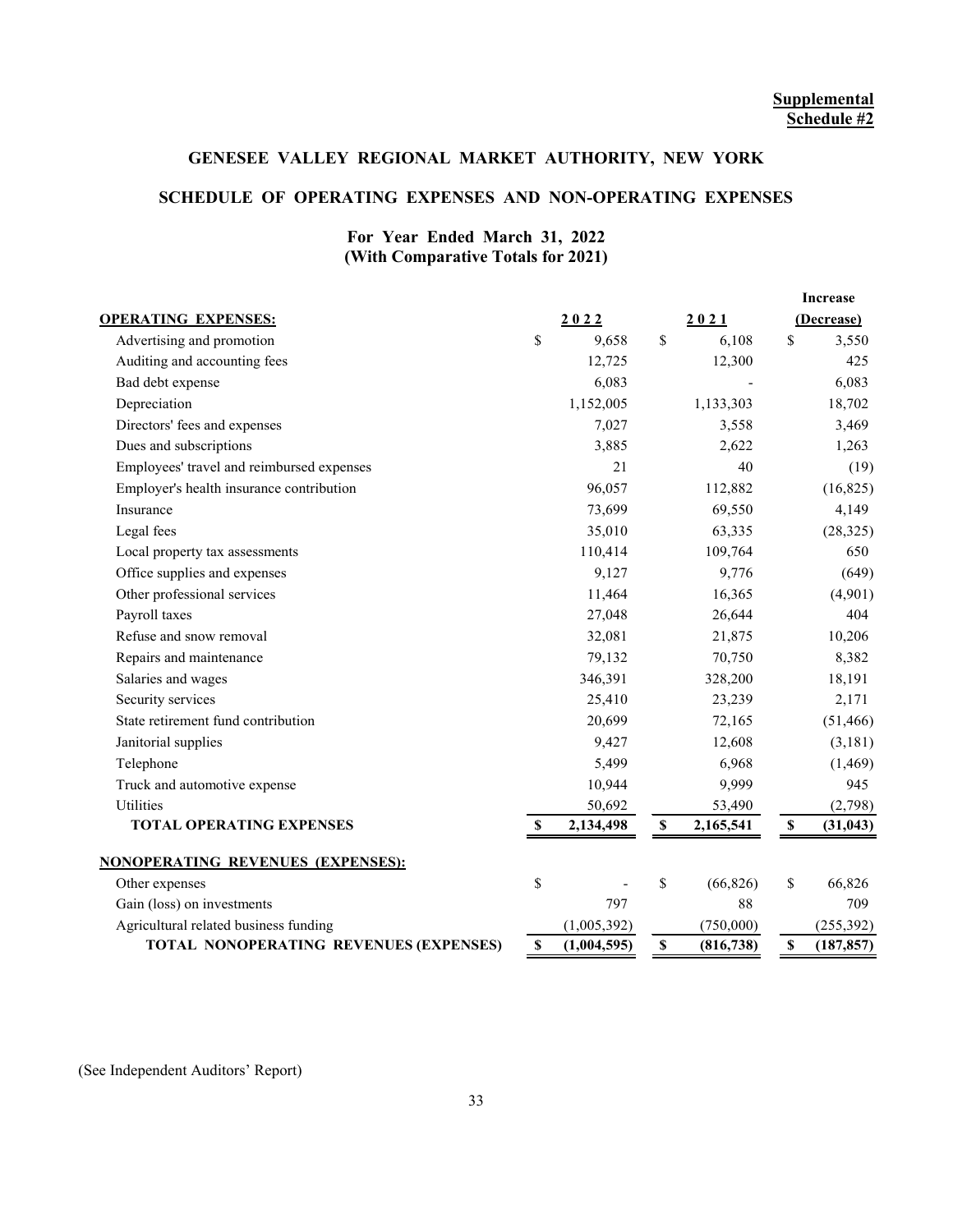# **SCHEDULE OF OPERATING EXPENSES AND NON-OPERATING EXPENSES**

|                                           |                           |             |             |            |              | <b>Increase</b> |
|-------------------------------------------|---------------------------|-------------|-------------|------------|--------------|-----------------|
| <b>OPERATING EXPENSES:</b>                |                           | 2022        |             | 2021       |              | (Decrease)      |
| Advertising and promotion                 | \$                        | 9,658       | \$          | 6,108      | $\mathbb{S}$ | 3,550           |
| Auditing and accounting fees              |                           | 12,725      |             | 12,300     |              | 425             |
| Bad debt expense                          |                           | 6,083       |             |            |              | 6,083           |
| Depreciation                              |                           | 1,152,005   |             | 1,133,303  |              | 18,702          |
| Directors' fees and expenses              |                           | 7,027       |             | 3,558      |              | 3,469           |
| Dues and subscriptions                    |                           | 3,885       |             | 2,622      |              | 1,263           |
| Employees' travel and reimbursed expenses |                           | 21          |             | 40         |              | (19)            |
| Employer's health insurance contribution  |                           | 96,057      |             | 112,882    |              | (16,825)        |
| Insurance                                 |                           | 73,699      |             | 69,550     |              | 4,149           |
| Legal fees                                |                           | 35,010      |             | 63,335     |              | (28, 325)       |
| Local property tax assessments            |                           | 110,414     |             | 109,764    |              | 650             |
| Office supplies and expenses              |                           | 9,127       |             | 9,776      |              | (649)           |
| Other professional services               |                           | 11,464      |             | 16,365     |              | (4,901)         |
| Payroll taxes                             |                           | 27,048      |             | 26,644     |              | 404             |
| Refuse and snow removal                   |                           | 32,081      |             | 21,875     |              | 10,206          |
| Repairs and maintenance                   |                           | 79,132      |             | 70,750     |              | 8,382           |
| Salaries and wages                        |                           | 346,391     |             | 328,200    |              | 18,191          |
| Security services                         |                           | 25,410      |             | 23,239     |              | 2,171           |
| State retirement fund contribution        |                           | 20,699      |             | 72,165     |              | (51, 466)       |
| Janitorial supplies                       |                           | 9,427       |             | 12,608     |              | (3,181)         |
| Telephone                                 |                           | 5,499       |             | 6,968      |              | (1, 469)        |
| Truck and automotive expense              |                           | 10,944      |             | 9,999      |              | 945             |
| Utilities                                 |                           | 50,692      |             | 53,490     |              | (2,798)         |
| <b>TOTAL OPERATING EXPENSES</b>           | $\boldsymbol{\mathsf{S}}$ | 2,134,498   | $\mathbb S$ | 2,165,541  | $\mathbb S$  | (31, 043)       |
| NONOPERATING REVENUES (EXPENSES):         |                           |             |             |            |              |                 |
| Other expenses                            | \$                        |             | \$          | (66, 826)  | \$           | 66,826          |
| Gain (loss) on investments                |                           | 797         |             | 88         |              | 709             |
| Agricultural related business funding     |                           | (1,005,392) |             | (750,000)  |              | (255, 392)      |
| TOTAL NONOPERATING REVENUES (EXPENSES)    | \$                        | (1,004,595) | \$          | (816, 738) | $\mathbb S$  | (187, 857)      |

# **For Year Ended March 31, 2022 (With Comparative Totals for 2021)**

(See Independent Auditors' Report)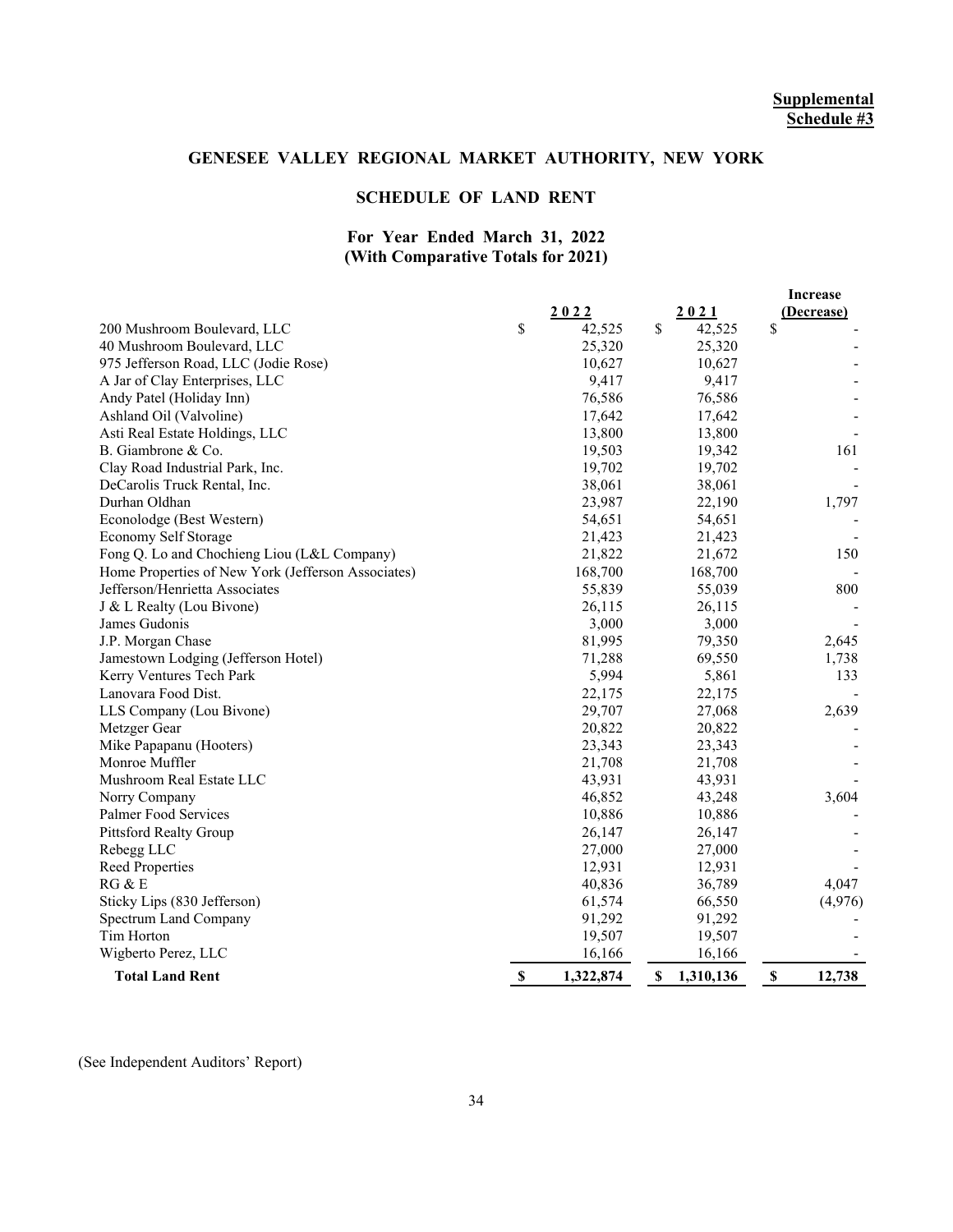# **SCHEDULE OF LAND RENT**

# **For Year Ended March 31, 2022 (With Comparative Totals for 2021)**

|                                                    |    |           |                | <b>Increase</b> |
|----------------------------------------------------|----|-----------|----------------|-----------------|
|                                                    |    | 2022      | 2021           | (Decrease)      |
| 200 Mushroom Boulevard, LLC                        | \$ | 42,525    | \$<br>42,525   | \$              |
| 40 Mushroom Boulevard, LLC                         |    | 25,320    | 25,320         |                 |
| 975 Jefferson Road, LLC (Jodie Rose)               |    | 10,627    | 10,627         |                 |
| A Jar of Clay Enterprises, LLC                     |    | 9,417     | 9,417          |                 |
| Andy Patel (Holiday Inn)                           |    | 76,586    | 76,586         |                 |
| Ashland Oil (Valvoline)                            |    | 17,642    | 17,642         |                 |
| Asti Real Estate Holdings, LLC                     |    | 13,800    | 13,800         |                 |
| B. Giambrone & Co.                                 |    | 19,503    | 19,342         | 161             |
| Clay Road Industrial Park, Inc.                    |    | 19,702    | 19,702         |                 |
| DeCarolis Truck Rental, Inc.                       |    | 38,061    | 38,061         |                 |
| Durhan Oldhan                                      |    | 23,987    | 22,190         | 1,797           |
| Econolodge (Best Western)                          |    | 54,651    | 54,651         |                 |
| Economy Self Storage                               |    | 21,423    | 21,423         |                 |
| Fong Q. Lo and Chochieng Liou (L&L Company)        |    | 21,822    | 21,672         | 150             |
| Home Properties of New York (Jefferson Associates) |    | 168,700   | 168,700        |                 |
| Jefferson/Henrietta Associates                     |    | 55,839    | 55,039         | 800             |
| J & L Realty (Lou Bivone)                          |    | 26,115    | 26,115         |                 |
| James Gudonis                                      |    | 3,000     | 3,000          |                 |
| J.P. Morgan Chase                                  |    | 81,995    | 79,350         | 2,645           |
| Jamestown Lodging (Jefferson Hotel)                |    | 71,288    | 69,550         | 1,738           |
| Kerry Ventures Tech Park                           |    | 5,994     | 5,861          | 133             |
| Lanovara Food Dist.                                |    | 22,175    | 22,175         |                 |
| LLS Company (Lou Bivone)                           |    | 29,707    | 27,068         | 2,639           |
| Metzger Gear                                       |    | 20,822    | 20,822         |                 |
| Mike Papapanu (Hooters)                            |    | 23,343    | 23,343         |                 |
| Monroe Muffler                                     |    | 21,708    | 21,708         |                 |
| Mushroom Real Estate LLC                           |    | 43,931    | 43,931         |                 |
| Norry Company                                      |    | 46,852    | 43,248         | 3,604           |
| Palmer Food Services                               |    | 10,886    | 10,886         |                 |
| <b>Pittsford Realty Group</b>                      |    | 26,147    | 26,147         |                 |
| Rebegg LLC                                         |    | 27,000    | 27,000         |                 |
| Reed Properties                                    |    | 12,931    | 12,931         |                 |
| RG & E                                             |    | 40,836    | 36,789         | 4,047           |
| Sticky Lips (830 Jefferson)                        |    | 61,574    | 66,550         | (4,976)         |
| Spectrum Land Company                              |    | 91,292    | 91,292         |                 |
| Tim Horton                                         |    | 19,507    | 19,507         |                 |
| Wigberto Perez, LLC                                |    | 16,166    | 16,166         |                 |
| <b>Total Land Rent</b>                             | S  | 1,322,874 | S<br>1,310,136 | S<br>12,738     |

(See Independent Auditors' Report)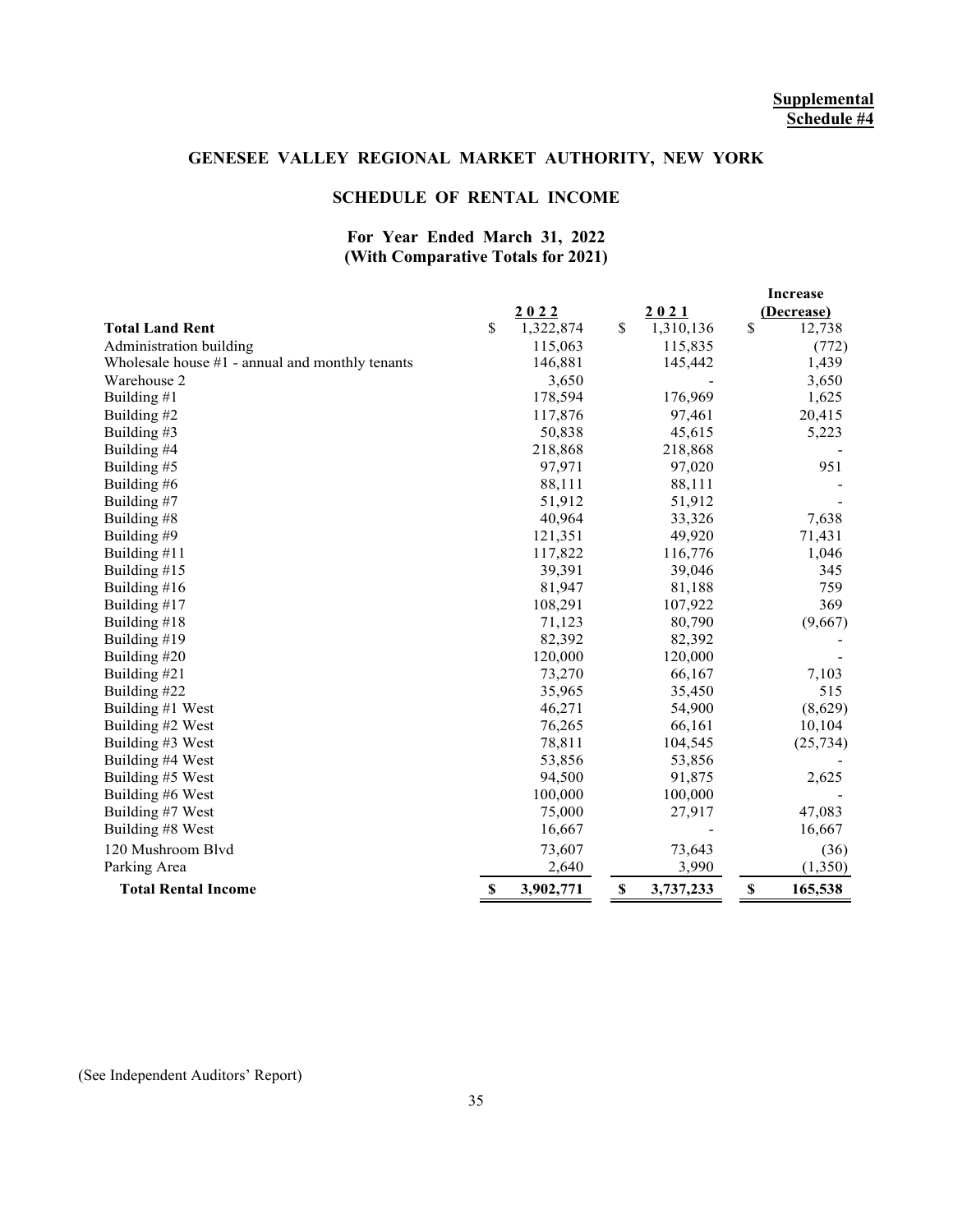# **SCHEDULE OF RENTAL INCOME**

# **For Year Ended March 31, 2022 (With Comparative Totals for 2021)**

|                                                 |                           |           |                           |           |             | <b>Increase</b> |
|-------------------------------------------------|---------------------------|-----------|---------------------------|-----------|-------------|-----------------|
|                                                 |                           | 2022      |                           | 2021      |             | (Decrease)      |
| <b>Total Land Rent</b>                          | \$                        | 1,322,874 | \$                        | 1,310,136 | \$          | 12,738          |
| Administration building                         |                           | 115,063   |                           | 115,835   |             | (772)           |
| Wholesale house #1 - annual and monthly tenants |                           | 146,881   |                           | 145,442   |             | 1,439           |
| Warehouse 2                                     |                           | 3,650     |                           |           |             | 3,650           |
| Building #1                                     |                           | 178,594   |                           | 176,969   |             | 1,625           |
| Building #2                                     |                           | 117,876   |                           | 97,461    |             | 20,415          |
| Building #3                                     |                           | 50,838    |                           | 45,615    |             | 5,223           |
| Building #4                                     |                           | 218,868   |                           | 218,868   |             |                 |
| Building #5                                     |                           | 97,971    |                           | 97,020    |             | 951             |
| Building #6                                     |                           | 88,111    |                           | 88,111    |             |                 |
| Building #7                                     |                           | 51,912    |                           | 51,912    |             |                 |
| Building #8                                     |                           | 40,964    |                           | 33,326    |             | 7,638           |
| Building #9                                     |                           | 121,351   |                           | 49,920    |             | 71,431          |
| Building $#11$                                  |                           | 117,822   |                           | 116,776   |             | 1,046           |
| Building #15                                    |                           | 39,391    |                           | 39,046    |             | 345             |
| Building #16                                    |                           | 81,947    |                           | 81,188    |             | 759             |
| Building #17                                    |                           | 108,291   |                           | 107,922   |             | 369             |
| Building #18                                    |                           | 71,123    |                           | 80,790    |             | (9,667)         |
| Building #19                                    |                           | 82,392    |                           | 82,392    |             |                 |
| Building #20                                    |                           | 120,000   |                           | 120,000   |             |                 |
| Building #21                                    |                           | 73,270    |                           | 66,167    |             | 7,103           |
| Building #22                                    |                           | 35,965    |                           | 35,450    |             | 515             |
| Building #1 West                                |                           | 46,271    |                           | 54,900    |             | (8,629)         |
| Building #2 West                                |                           | 76,265    |                           | 66,161    |             | 10,104          |
| Building #3 West                                |                           | 78,811    |                           | 104,545   |             | (25, 734)       |
| Building #4 West                                |                           | 53,856    |                           | 53,856    |             |                 |
| Building #5 West                                |                           | 94,500    |                           | 91,875    |             | 2,625           |
| Building #6 West                                |                           | 100,000   |                           | 100,000   |             |                 |
| Building #7 West                                |                           | 75,000    |                           | 27,917    |             | 47,083          |
| Building #8 West                                |                           | 16,667    |                           |           |             | 16,667          |
| 120 Mushroom Blyd                               |                           | 73,607    |                           | 73,643    |             | (36)            |
| Parking Area                                    |                           | 2,640     |                           | 3,990     |             | (1,350)         |
| <b>Total Rental Income</b>                      | $\boldsymbol{\mathsf{S}}$ | 3,902,771 | $\boldsymbol{\mathsf{S}}$ | 3,737,233 | $\mathbb S$ | 165,538         |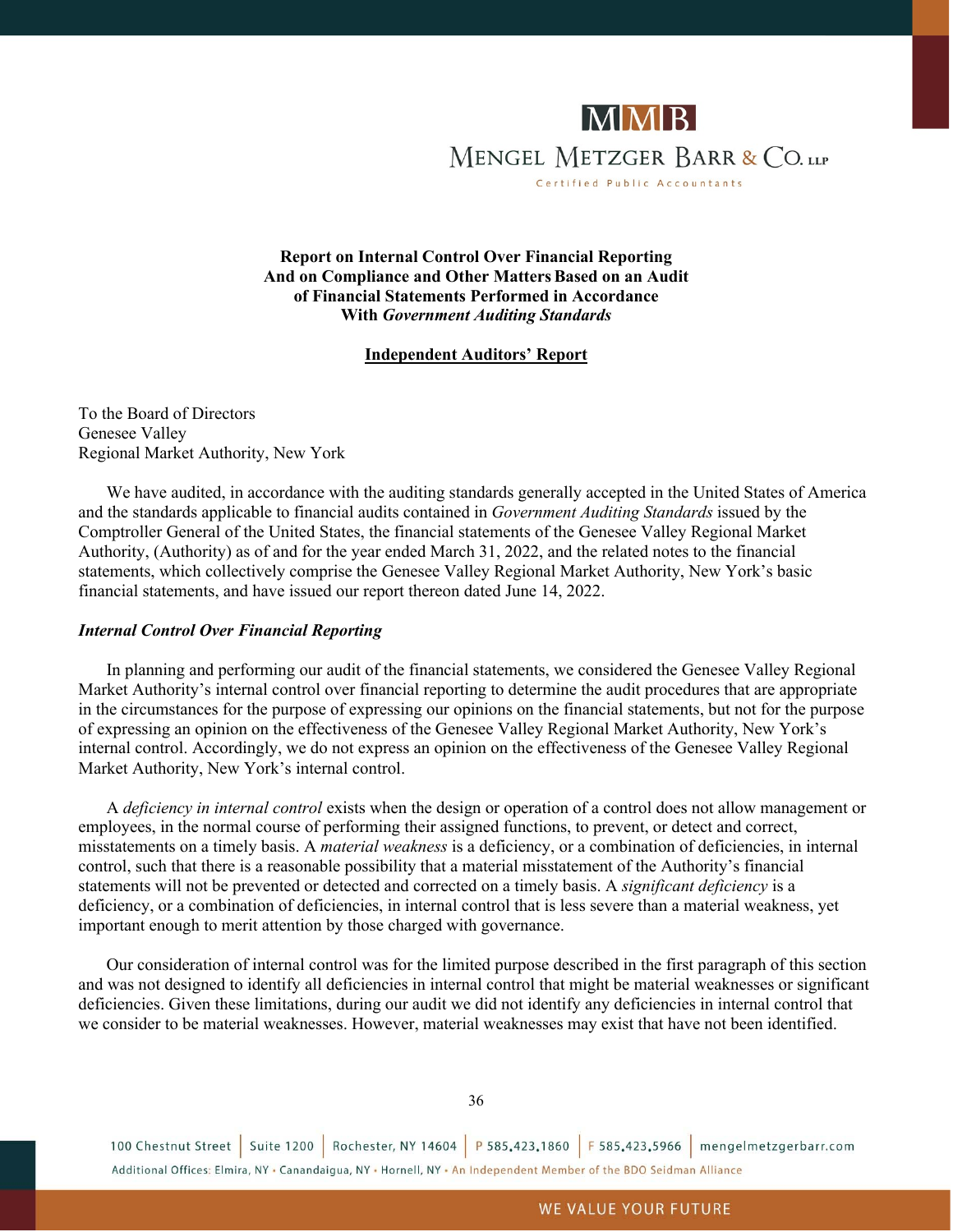

**Report on Internal Control Over Financial Reporting And on Compliance and Other MattersBased on an Audit of Financial Statements Performed in Accordance With** *Government Auditing Standards*

### **Independent Auditors' Report**

To the Board of Directors Genesee Valley Regional Market Authority, New York

We have audited, in accordance with the auditing standards generally accepted in the United States of America and the standards applicable to financial audits contained in *Government Auditing Standards* issued by the Comptroller General of the United States, the financial statements of the Genesee Valley Regional Market Authority, (Authority) as of and for the year ended March 31, 2022, and the related notes to the financial statements, which collectively comprise the Genesee Valley Regional Market Authority, New York's basic financial statements, and have issued our report thereon dated June 14, 2022.

#### *Internal Control Over Financial Reporting*

In planning and performing our audit of the financial statements, we considered the Genesee Valley Regional Market Authority's internal control over financial reporting to determine the audit procedures that are appropriate in the circumstances for the purpose of expressing our opinions on the financial statements, but not for the purpose of expressing an opinion on the effectiveness of the Genesee Valley Regional Market Authority, New York's internal control. Accordingly, we do not express an opinion on the effectiveness of the Genesee Valley Regional Market Authority, New York's internal control.

A *deficiency in internal control* exists when the design or operation of a control does not allow management or employees, in the normal course of performing their assigned functions, to prevent, or detect and correct, misstatements on a timely basis. A *material weakness* is a deficiency, or a combination of deficiencies, in internal control, such that there is a reasonable possibility that a material misstatement of the Authority's financial statements will not be prevented or detected and corrected on a timely basis. A *significant deficiency* is a deficiency, or a combination of deficiencies, in internal control that is less severe than a material weakness, yet important enough to merit attention by those charged with governance.

Our consideration of internal control was for the limited purpose described in the first paragraph of this section and was not designed to identify all deficiencies in internal control that might be material weaknesses or significant deficiencies. Given these limitations, during our audit we did not identify any deficiencies in internal control that we consider to be material weaknesses. However, material weaknesses may exist that have not been identified.

100 Chestnut Street | Suite 1200 | Rochester, NY 14604 | P 585.423.1860 | F 585.423.5966 | mengelmetzgerbarr.com Additional Offices: Elmira, NY . Canandaigua, NY . Hornell, NY . An Independent Member of the BDO Seidman Alliance